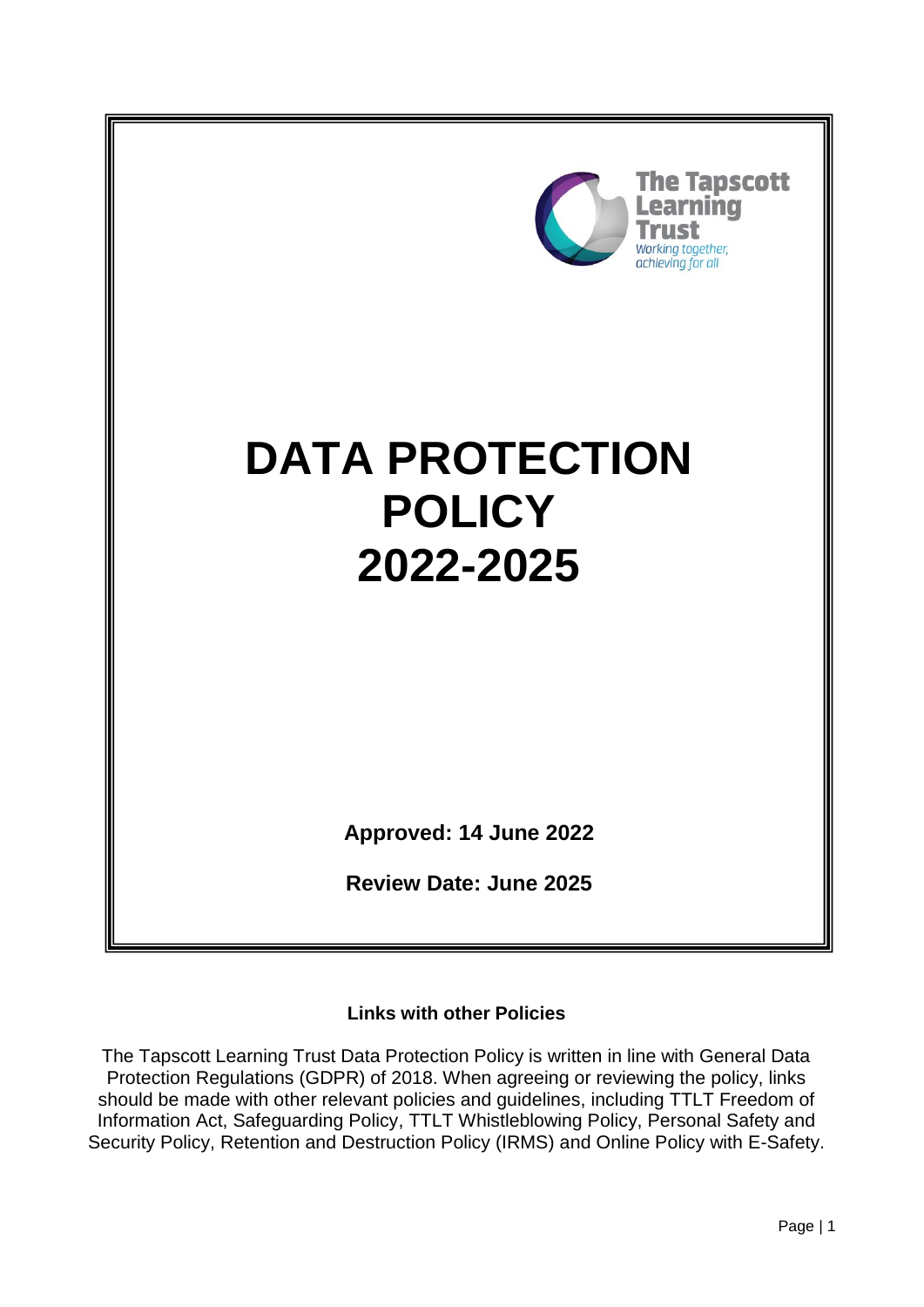

#### **Links with other Policies**

The Tapscott Learning Trust Data Protection Policy is written in line with General Data Protection Regulations (GDPR) of 2018. When agreeing or reviewing the policy, links should be made with other relevant policies and guidelines, including TTLT Freedom of Information Act, Safeguarding Policy, TTLT Whistleblowing Policy, Personal Safety and Security Policy, Retention and Destruction Policy (IRMS) and Online Policy with E-Safety.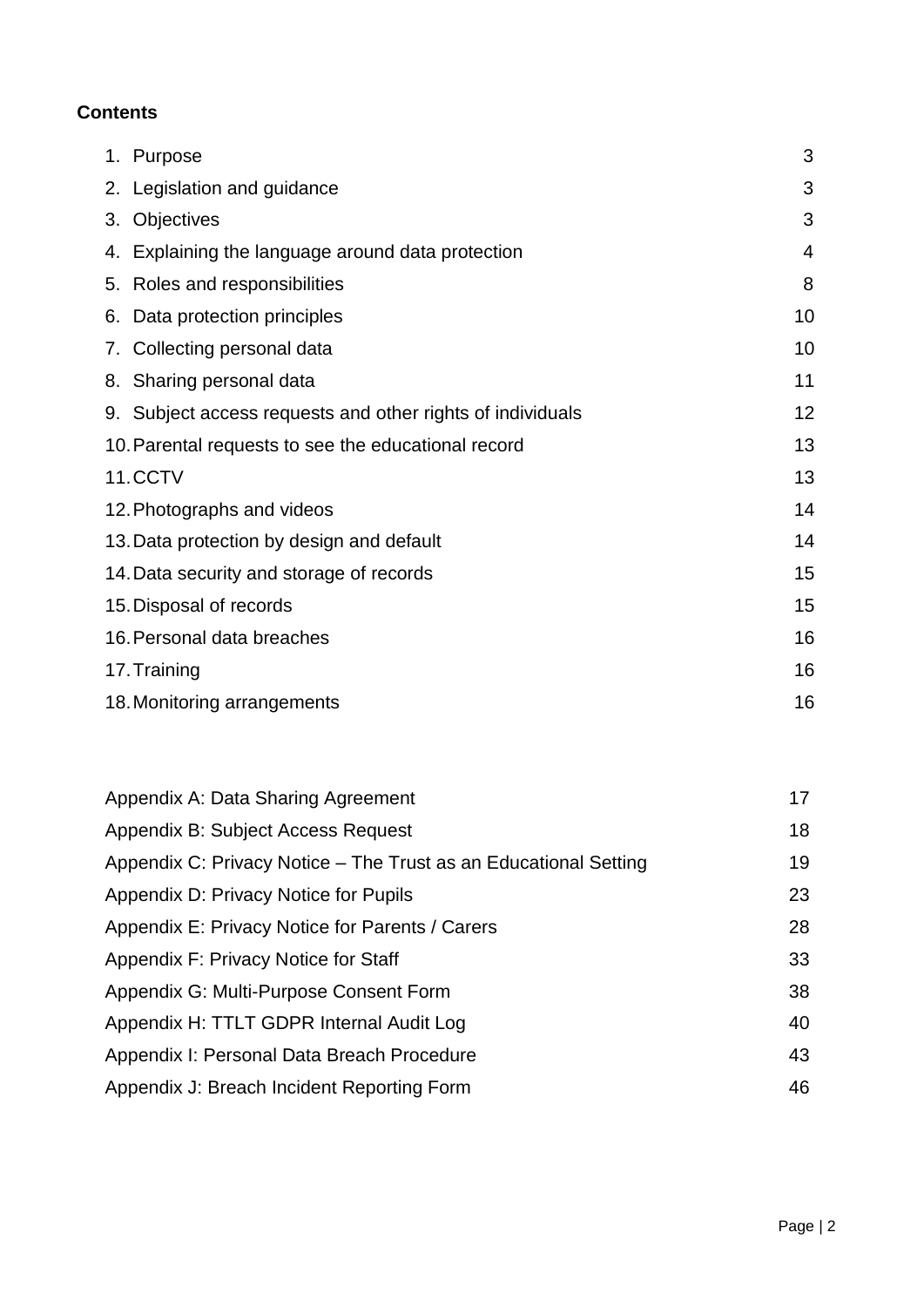# **Contents**

|    | 1. Purpose                                                 | 3  |
|----|------------------------------------------------------------|----|
|    | 2. Legislation and guidance                                | 3  |
| 3. | Objectives                                                 | 3  |
|    | 4. Explaining the language around data protection          | 4  |
|    | 5. Roles and responsibilities                              | 8  |
|    | 6. Data protection principles                              | 10 |
|    | 7. Collecting personal data                                | 10 |
|    | 8. Sharing personal data                                   | 11 |
|    | 9. Subject access requests and other rights of individuals | 12 |
|    | 10. Parental requests to see the educational record        | 13 |
|    | 11.CCTV                                                    | 13 |
|    | 12. Photographs and videos                                 | 14 |
|    | 13. Data protection by design and default                  | 14 |
|    | 14. Data security and storage of records                   | 15 |
|    | 15. Disposal of records                                    |    |
|    | 16. Personal data breaches                                 | 16 |
|    | 17. Training                                               |    |
|    | 18. Monitoring arrangements                                | 16 |

| Appendix A: Data Sharing Agreement                               | 17 |
|------------------------------------------------------------------|----|
| Appendix B: Subject Access Request                               | 18 |
| Appendix C: Privacy Notice – The Trust as an Educational Setting | 19 |
| Appendix D: Privacy Notice for Pupils                            | 23 |
| Appendix E: Privacy Notice for Parents / Carers                  | 28 |
| Appendix F: Privacy Notice for Staff                             | 33 |
| Appendix G: Multi-Purpose Consent Form                           | 38 |
| Appendix H: TTLT GDPR Internal Audit Log                         | 40 |
| Appendix I: Personal Data Breach Procedure                       | 43 |
| Appendix J: Breach Incident Reporting Form                       | 46 |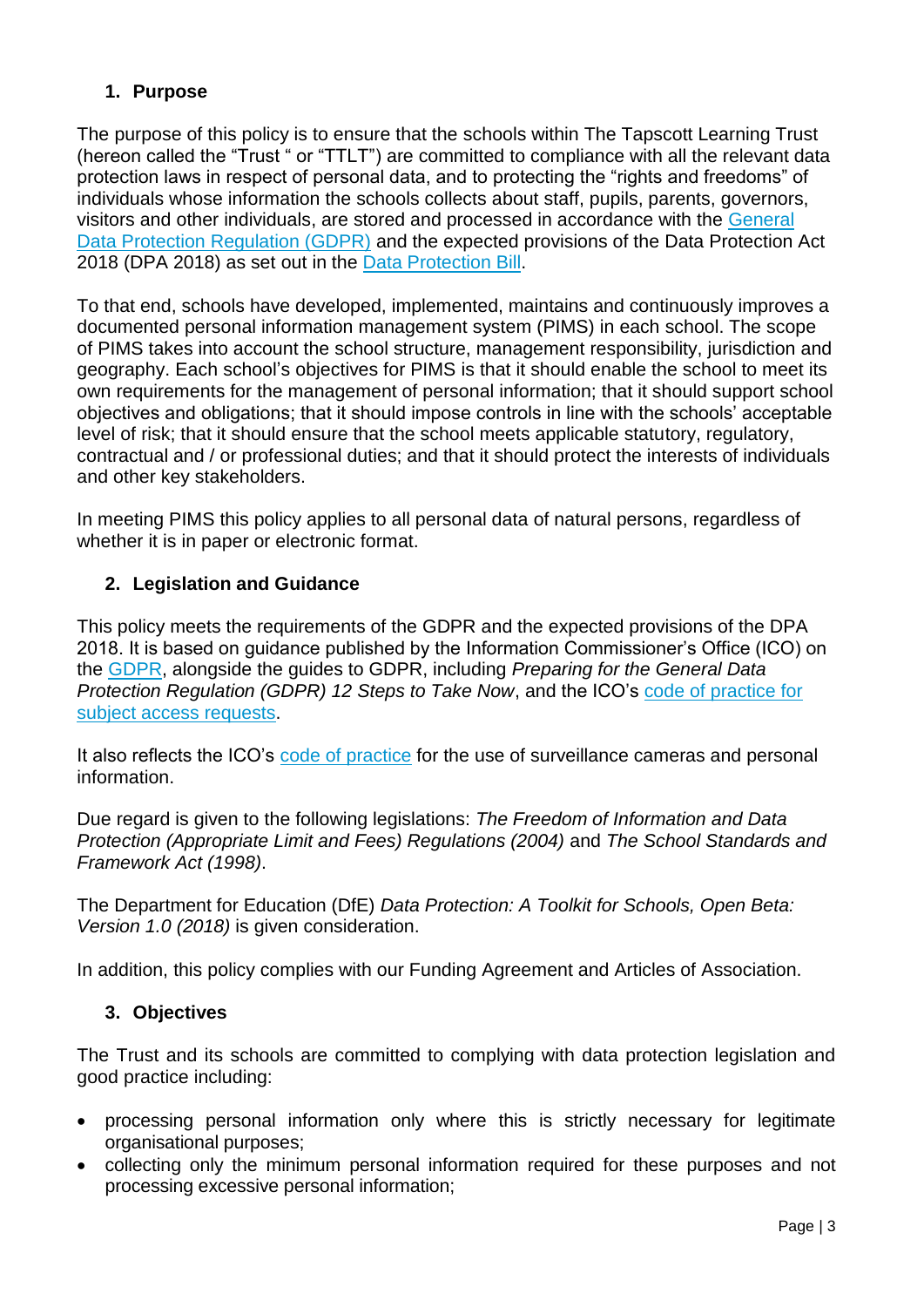### **1. Purpose**

The purpose of this policy is to ensure that the schools within The Tapscott Learning Trust (hereon called the "Trust " or "TTLT") are committed to compliance with all the relevant data protection laws in respect of personal data, and to protecting the "rights and freedoms" of individuals whose information the schools collects about staff, pupils, parents, governors, visitors and other individuals, are stored and processed in accordance with the [General](http://data.consilium.europa.eu/doc/document/ST-5419-2016-INIT/en/pdf)  [Data Protection Regulation \(GDPR\)](http://data.consilium.europa.eu/doc/document/ST-5419-2016-INIT/en/pdf) and the expected provisions of the Data Protection Act 2018 (DPA 2018) as set out in the [Data Protection Bill.](https://publications.parliament.uk/pa/bills/cbill/2017-2019/0153/18153.pdf)

To that end, schools have developed, implemented, maintains and continuously improves a documented personal information management system (PIMS) in each school. The scope of PIMS takes into account the school structure, management responsibility, jurisdiction and geography. Each school's objectives for PIMS is that it should enable the school to meet its own requirements for the management of personal information; that it should support school objectives and obligations; that it should impose controls in line with the schools' acceptable level of risk; that it should ensure that the school meets applicable statutory, regulatory, contractual and / or professional duties; and that it should protect the interests of individuals and other key stakeholders.

In meeting PIMS this policy applies to all personal data of natural persons, regardless of whether it is in paper or electronic format.

### **2. Legislation and Guidance**

This policy meets the requirements of the GDPR and the expected provisions of the DPA 2018. It is based on guidance published by the Information Commissioner's Office (ICO) on the [GDPR,](https://ico.org.uk/for-organisations/guide-to-the-general-data-protection-regulation-gdpr/) alongside the guides to GDPR, including *Preparing for the General Data Protection Regulation (GDPR) 12 Steps to Take Now*, and the ICO's [code of practice for](https://ico.org.uk/media/for-organisations/documents/2014223/subject-access-code-of-practice.pdf)  [subject access requests.](https://ico.org.uk/media/for-organisations/documents/2014223/subject-access-code-of-practice.pdf)

It also reflects the ICO's [code of practice](https://ico.org.uk/media/for-organisations/documents/1542/cctv-code-of-practice.pdf) for the use of surveillance cameras and personal information.

Due regard is given to the following legislations: *The Freedom of Information and Data Protection (Appropriate Limit and Fees) Regulations (2004)* and *The School Standards and Framework Act (1998)*.

The Department for Education (DfE) *Data Protection: A Toolkit for Schools, Open Beta: Version 1.0 (2018)* is given consideration.

In addition, this policy complies with our Funding Agreement and Articles of Association.

### **3. Objectives**

The Trust and its schools are committed to complying with data protection legislation and good practice including:

- processing personal information only where this is strictly necessary for legitimate organisational purposes;
- collecting only the minimum personal information required for these purposes and not processing excessive personal information;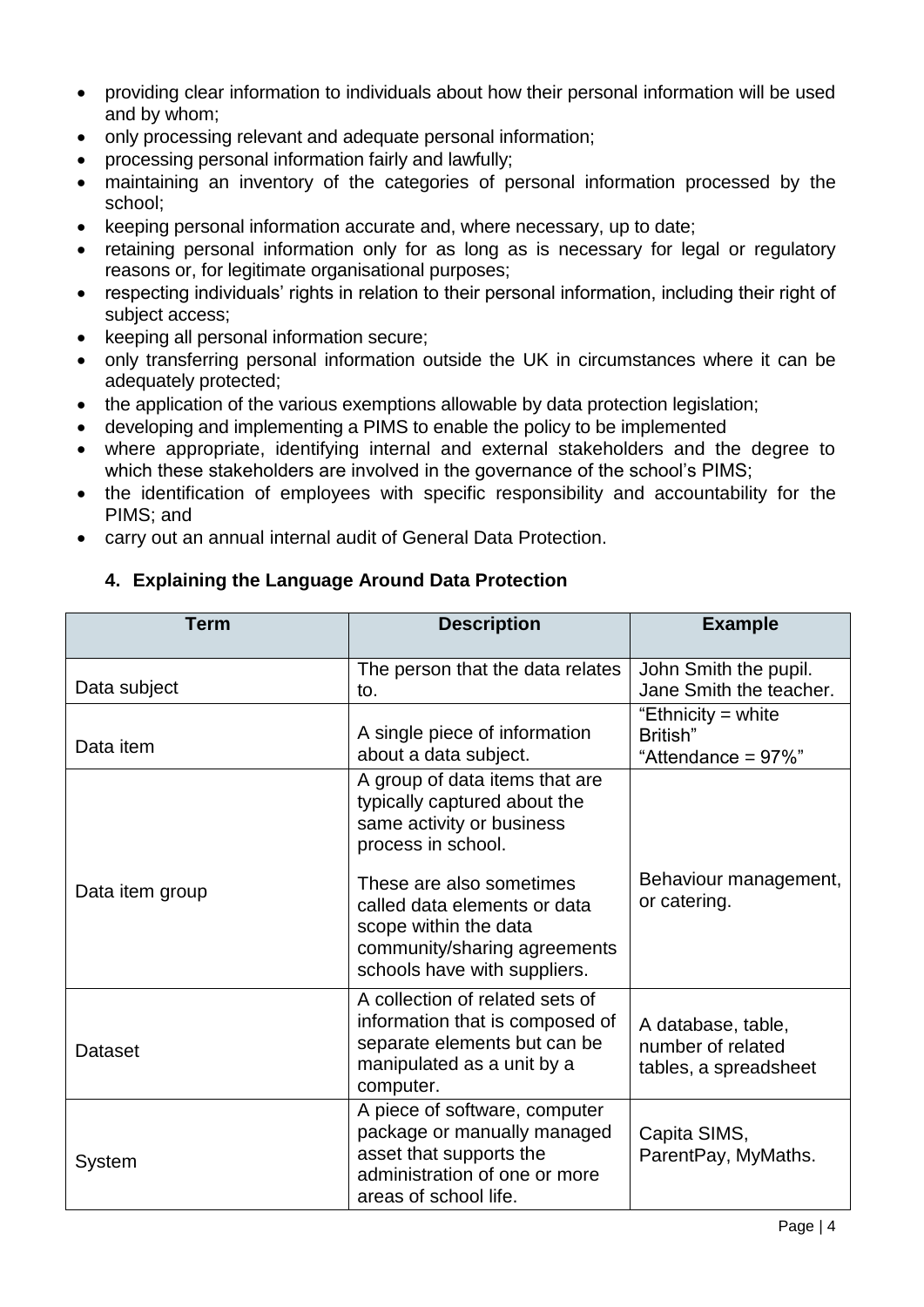- providing clear information to individuals about how their personal information will be used and by whom;
- only processing relevant and adequate personal information;
- processing personal information fairly and lawfully;
- maintaining an inventory of the categories of personal information processed by the school;
- keeping personal information accurate and, where necessary, up to date;
- retaining personal information only for as long as is necessary for legal or regulatory reasons or, for legitimate organisational purposes;
- respecting individuals' rights in relation to their personal information, including their right of subject access;
- keeping all personal information secure;
- only transferring personal information outside the UK in circumstances where it can be adequately protected;
- the application of the various exemptions allowable by data protection legislation;
- developing and implementing a PIMS to enable the policy to be implemented
- where appropriate, identifying internal and external stakeholders and the degree to which these stakeholders are involved in the governance of the school's PIMS;
- the identification of employees with specific responsibility and accountability for the PIMS; and
- carry out an annual internal audit of General Data Protection.

### **4. Explaining the Language Around Data Protection**

| <b>Term</b>     | <b>Description</b>                                                                                                                                                            | <b>Example</b>                                                   |
|-----------------|-------------------------------------------------------------------------------------------------------------------------------------------------------------------------------|------------------------------------------------------------------|
| Data subject    | The person that the data relates<br>to.                                                                                                                                       | John Smith the pupil.<br>Jane Smith the teacher.                 |
| Data item       | A single piece of information<br>about a data subject.                                                                                                                        | "Ethnicity = white<br>British"<br>"Attendance = $97\%$ "         |
| Data item group | A group of data items that are<br>typically captured about the<br>same activity or business<br>process in school.<br>These are also sometimes<br>called data elements or data | Behaviour management,<br>or catering.                            |
|                 | scope within the data<br>community/sharing agreements<br>schools have with suppliers.                                                                                         |                                                                  |
| Dataset         | A collection of related sets of<br>information that is composed of<br>separate elements but can be<br>manipulated as a unit by a<br>computer.                                 | A database, table,<br>number of related<br>tables, a spreadsheet |
| System          | A piece of software, computer<br>package or manually managed<br>asset that supports the<br>administration of one or more<br>areas of school life.                             | Capita SIMS,<br>ParentPay, MyMaths.                              |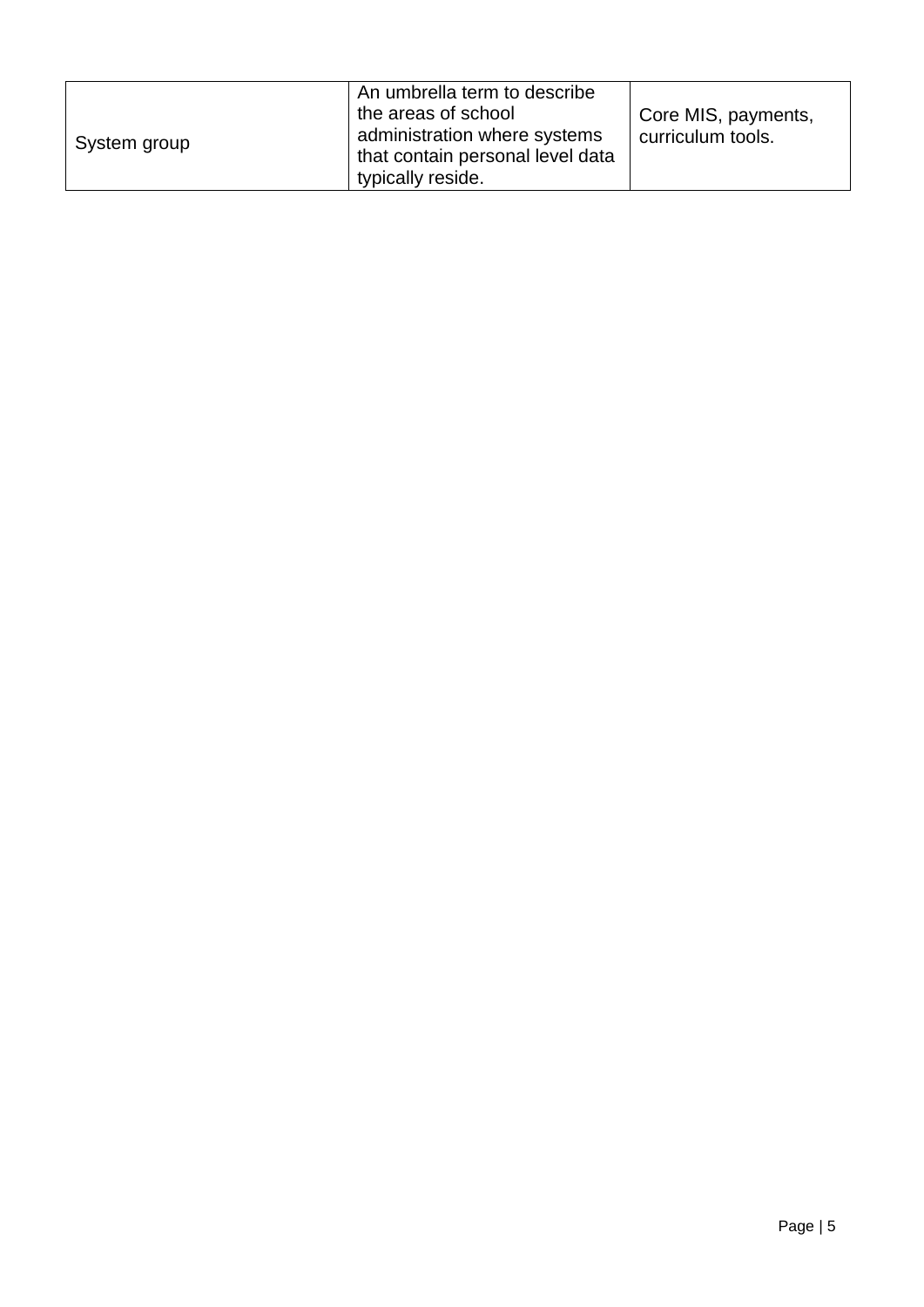| System group | An umbrella term to describe<br>the areas of school<br>administration where systems<br>that contain personal level data | Core MIS, payments,<br>curriculum tools. |
|--------------|-------------------------------------------------------------------------------------------------------------------------|------------------------------------------|
|              | typically reside.                                                                                                       |                                          |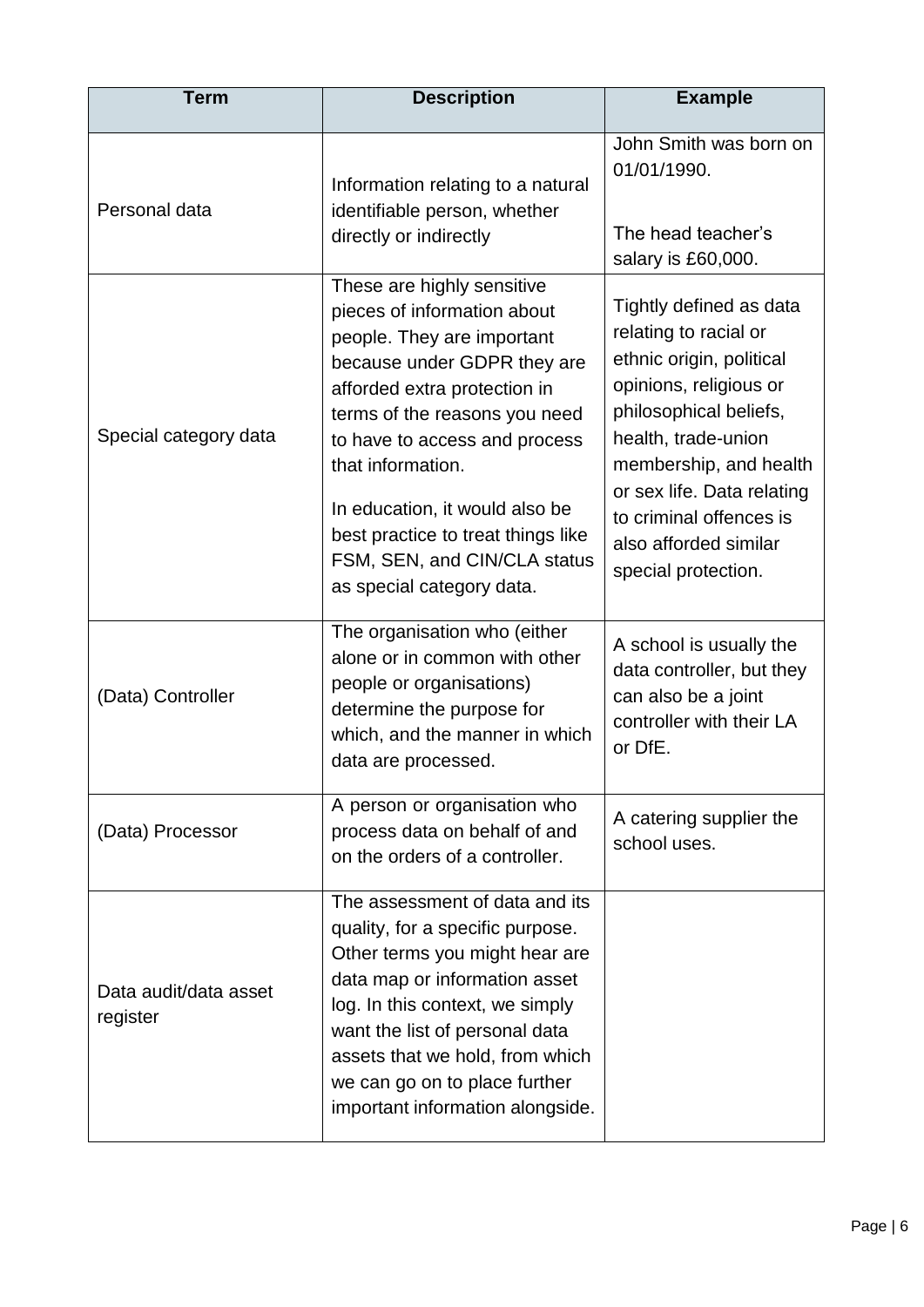| <b>Term</b>                       | <b>Description</b>                                                                                                                                                                                                                                                                                                                                                                 | <b>Example</b>                                                                                                                                                                                                                                                                             |
|-----------------------------------|------------------------------------------------------------------------------------------------------------------------------------------------------------------------------------------------------------------------------------------------------------------------------------------------------------------------------------------------------------------------------------|--------------------------------------------------------------------------------------------------------------------------------------------------------------------------------------------------------------------------------------------------------------------------------------------|
| Personal data                     | Information relating to a natural<br>identifiable person, whether<br>directly or indirectly                                                                                                                                                                                                                                                                                        | John Smith was born on<br>01/01/1990.<br>The head teacher's<br>salary is £60,000.                                                                                                                                                                                                          |
| Special category data             | These are highly sensitive<br>pieces of information about<br>people. They are important<br>because under GDPR they are<br>afforded extra protection in<br>terms of the reasons you need<br>to have to access and process<br>that information.<br>In education, it would also be<br>best practice to treat things like<br>FSM, SEN, and CIN/CLA status<br>as special category data. | Tightly defined as data<br>relating to racial or<br>ethnic origin, political<br>opinions, religious or<br>philosophical beliefs,<br>health, trade-union<br>membership, and health<br>or sex life. Data relating<br>to criminal offences is<br>also afforded similar<br>special protection. |
| (Data) Controller                 | The organisation who (either<br>alone or in common with other<br>people or organisations)<br>determine the purpose for<br>which, and the manner in which<br>data are processed.                                                                                                                                                                                                    | A school is usually the<br>data controller, but they<br>can also be a joint<br>controller with their LA<br>or DfE.                                                                                                                                                                         |
| (Data) Processor                  | A person or organisation who<br>process data on behalf of and<br>on the orders of a controller.                                                                                                                                                                                                                                                                                    | A catering supplier the<br>school uses.                                                                                                                                                                                                                                                    |
| Data audit/data asset<br>register | The assessment of data and its<br>quality, for a specific purpose.<br>Other terms you might hear are<br>data map or information asset<br>log. In this context, we simply<br>want the list of personal data<br>assets that we hold, from which<br>we can go on to place further<br>important information alongside.                                                                 |                                                                                                                                                                                                                                                                                            |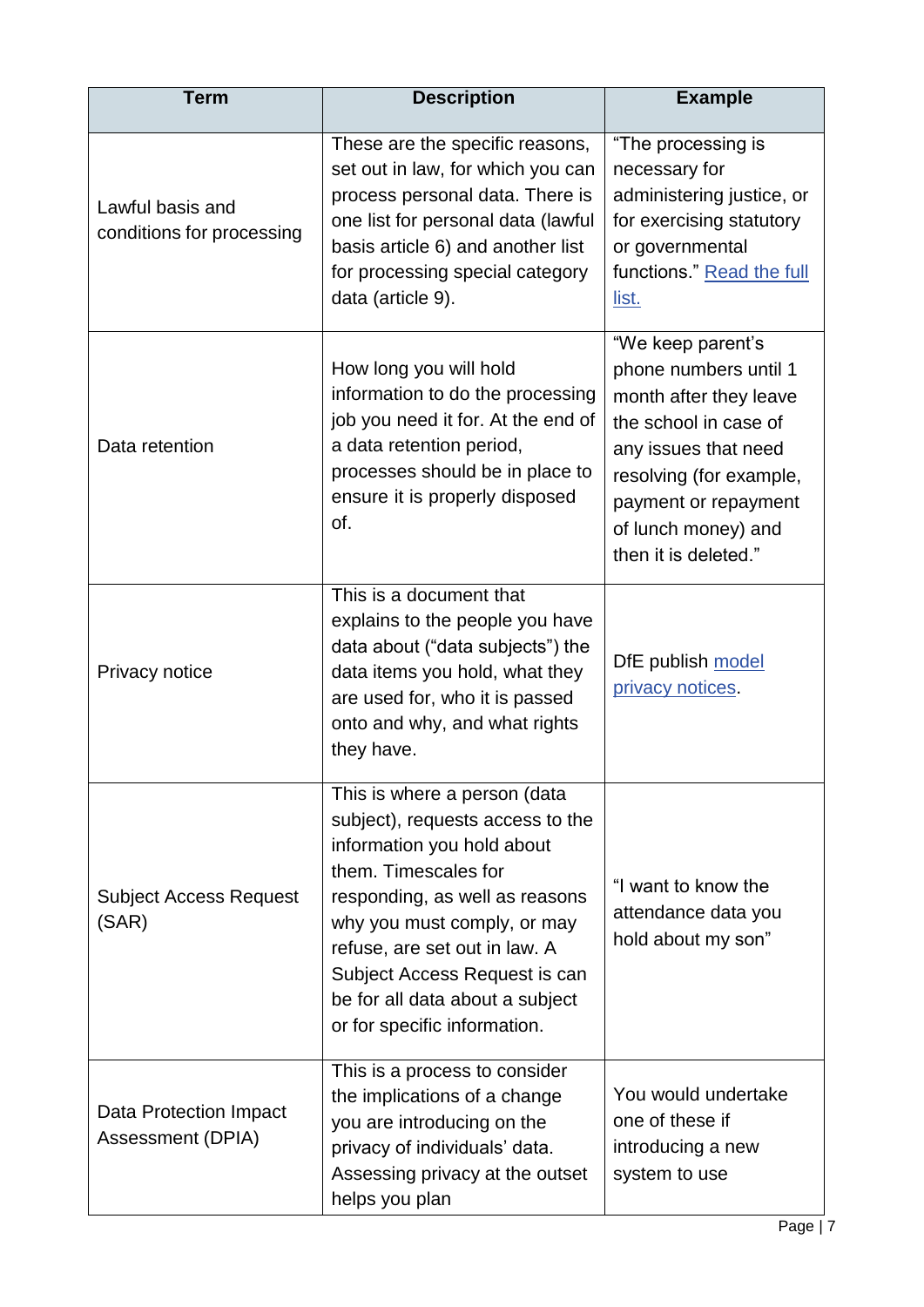| <b>Term</b>                                   | <b>Description</b>                                                                                                                                                                                                                                                                                                           | <b>Example</b>                                                                                                                                                                                                          |
|-----------------------------------------------|------------------------------------------------------------------------------------------------------------------------------------------------------------------------------------------------------------------------------------------------------------------------------------------------------------------------------|-------------------------------------------------------------------------------------------------------------------------------------------------------------------------------------------------------------------------|
| Lawful basis and<br>conditions for processing | These are the specific reasons,<br>set out in law, for which you can<br>process personal data. There is<br>one list for personal data (lawful<br>basis article 6) and another list<br>for processing special category<br>data (article 9).                                                                                   | "The processing is<br>necessary for<br>administering justice, or<br>for exercising statutory<br>or governmental<br>functions." Read the full<br>list.                                                                   |
| Data retention                                | How long you will hold<br>information to do the processing<br>job you need it for. At the end of<br>a data retention period,<br>processes should be in place to<br>ensure it is properly disposed<br>of.                                                                                                                     | "We keep parent's<br>phone numbers until 1<br>month after they leave<br>the school in case of<br>any issues that need<br>resolving (for example,<br>payment or repayment<br>of lunch money) and<br>then it is deleted." |
| Privacy notice                                | This is a document that<br>explains to the people you have<br>data about ("data subjects") the<br>data items you hold, what they<br>are used for, who it is passed<br>onto and why, and what rights<br>they have.                                                                                                            | DfE publish model<br>privacy notices.                                                                                                                                                                                   |
| <b>Subject Access Request</b><br>(SAR)        | This is where a person (data<br>subject), requests access to the<br>information you hold about<br>them. Timescales for<br>responding, as well as reasons<br>why you must comply, or may<br>refuse, are set out in law. A<br>Subject Access Request is can<br>be for all data about a subject<br>or for specific information. | "I want to know the<br>attendance data you<br>hold about my son"                                                                                                                                                        |
| Data Protection Impact<br>Assessment (DPIA)   | This is a process to consider<br>the implications of a change<br>you are introducing on the<br>privacy of individuals' data.<br>Assessing privacy at the outset<br>helps you plan                                                                                                                                            | You would undertake<br>one of these if<br>introducing a new<br>system to use                                                                                                                                            |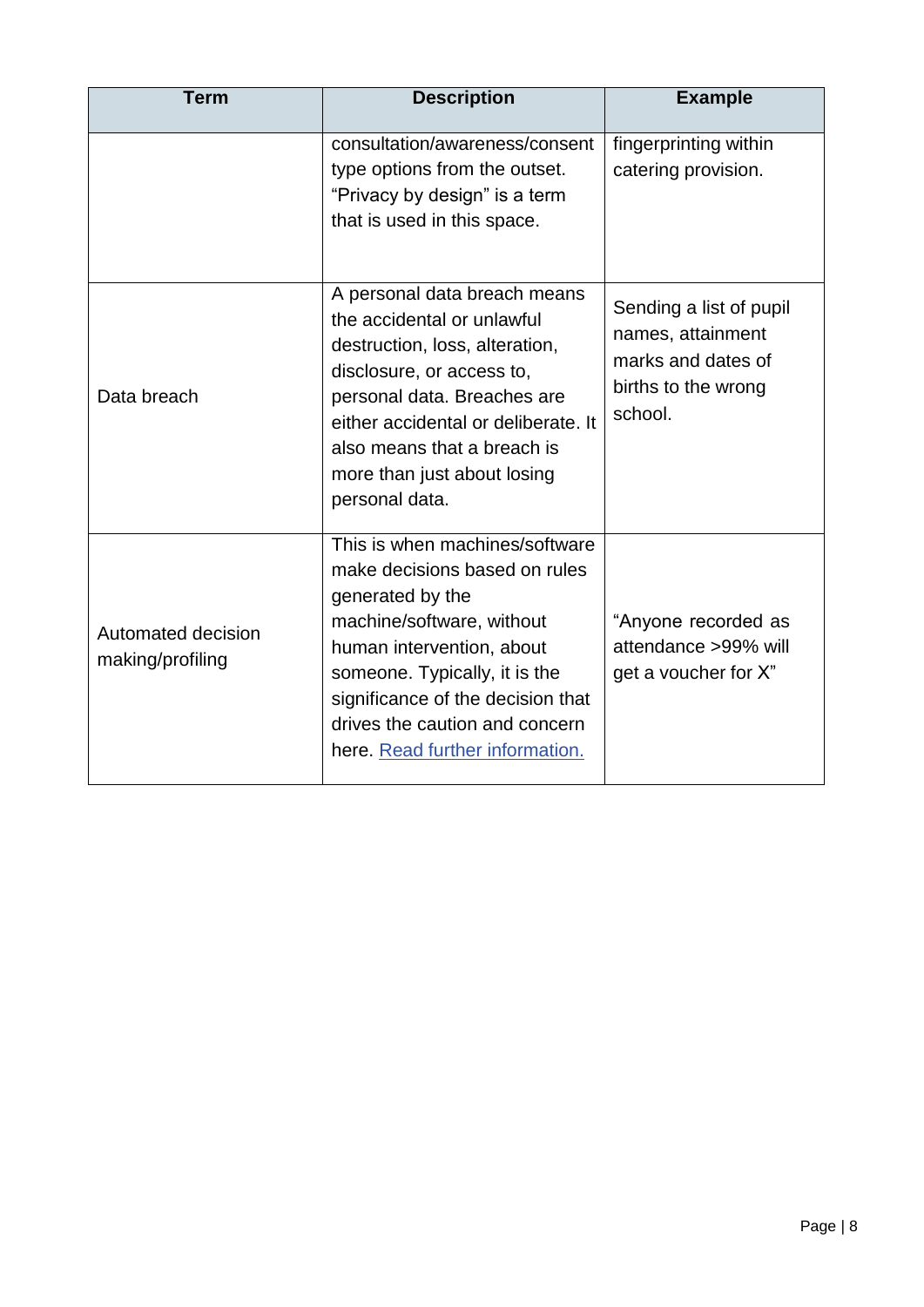| <b>Term</b>                            | <b>Description</b>                                                                                                                                                                                                                                                                       | <b>Example</b>                                                                                       |
|----------------------------------------|------------------------------------------------------------------------------------------------------------------------------------------------------------------------------------------------------------------------------------------------------------------------------------------|------------------------------------------------------------------------------------------------------|
|                                        | consultation/awareness/consent<br>type options from the outset.<br>"Privacy by design" is a term<br>that is used in this space.                                                                                                                                                          | fingerprinting within<br>catering provision.                                                         |
| Data breach                            | A personal data breach means<br>the accidental or unlawful<br>destruction, loss, alteration,<br>disclosure, or access to,<br>personal data. Breaches are<br>either accidental or deliberate. It<br>also means that a breach is<br>more than just about losing<br>personal data.          | Sending a list of pupil<br>names, attainment<br>marks and dates of<br>births to the wrong<br>school. |
| Automated decision<br>making/profiling | This is when machines/software<br>make decisions based on rules<br>generated by the<br>machine/software, without<br>human intervention, about<br>someone. Typically, it is the<br>significance of the decision that<br>drives the caution and concern<br>here. Read further information. | "Anyone recorded as<br>attendance >99% will<br>get a voucher for X"                                  |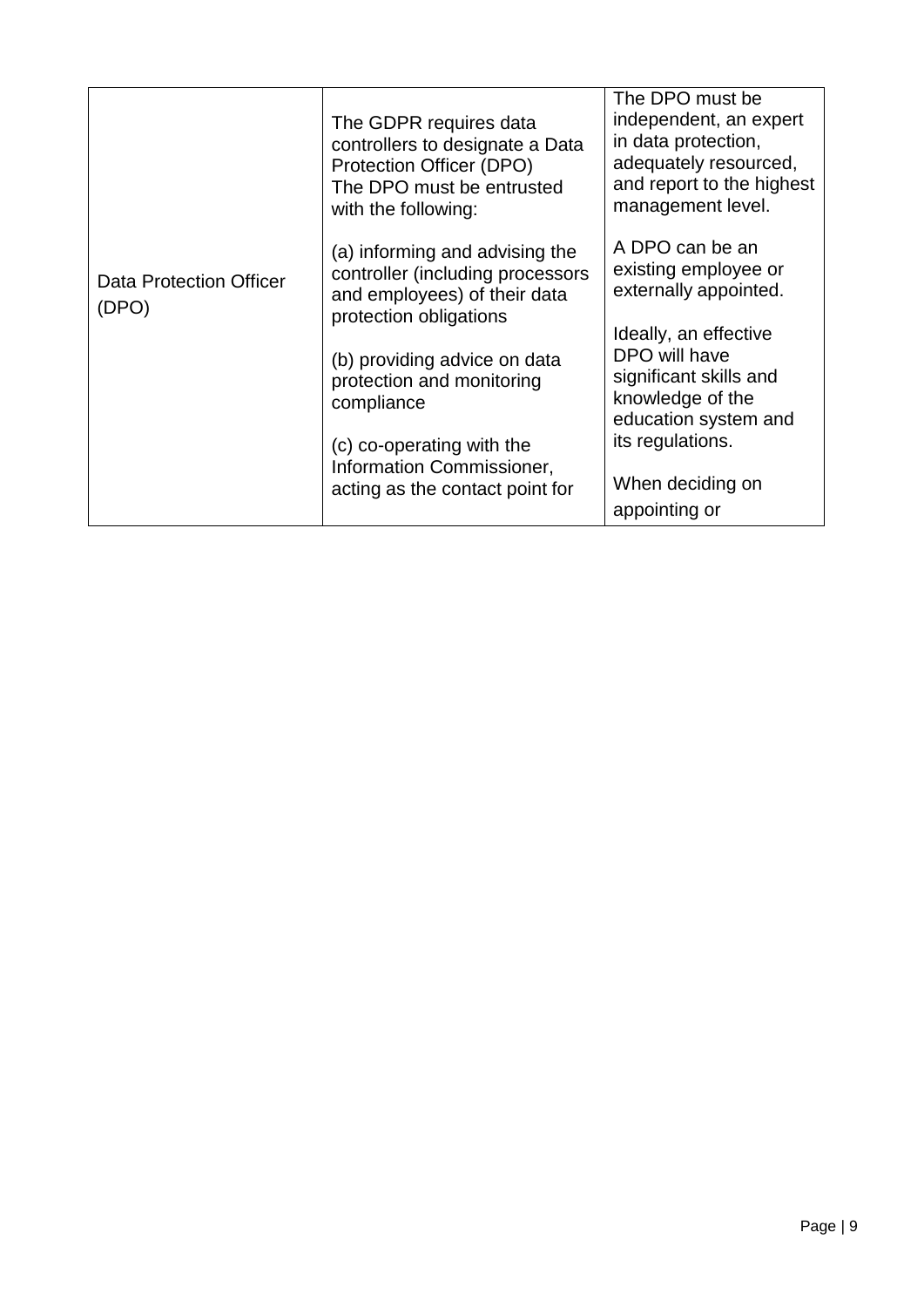|                                  | The GDPR requires data<br>controllers to designate a Data<br>Protection Officer (DPO)<br>The DPO must be entrusted<br>with the following:                                                                                                                                                            | The DPO must be<br>independent, an expert<br>in data protection,<br>adequately resourced,<br>and report to the highest<br>management level.                                                                                               |
|----------------------------------|------------------------------------------------------------------------------------------------------------------------------------------------------------------------------------------------------------------------------------------------------------------------------------------------------|-------------------------------------------------------------------------------------------------------------------------------------------------------------------------------------------------------------------------------------------|
| Data Protection Officer<br>(DPO) | (a) informing and advising the<br>controller (including processors<br>and employees) of their data<br>protection obligations<br>(b) providing advice on data<br>protection and monitoring<br>compliance<br>(c) co-operating with the<br>Information Commissioner,<br>acting as the contact point for | A DPO can be an<br>existing employee or<br>externally appointed.<br>Ideally, an effective<br>DPO will have<br>significant skills and<br>knowledge of the<br>education system and<br>its regulations.<br>When deciding on<br>appointing or |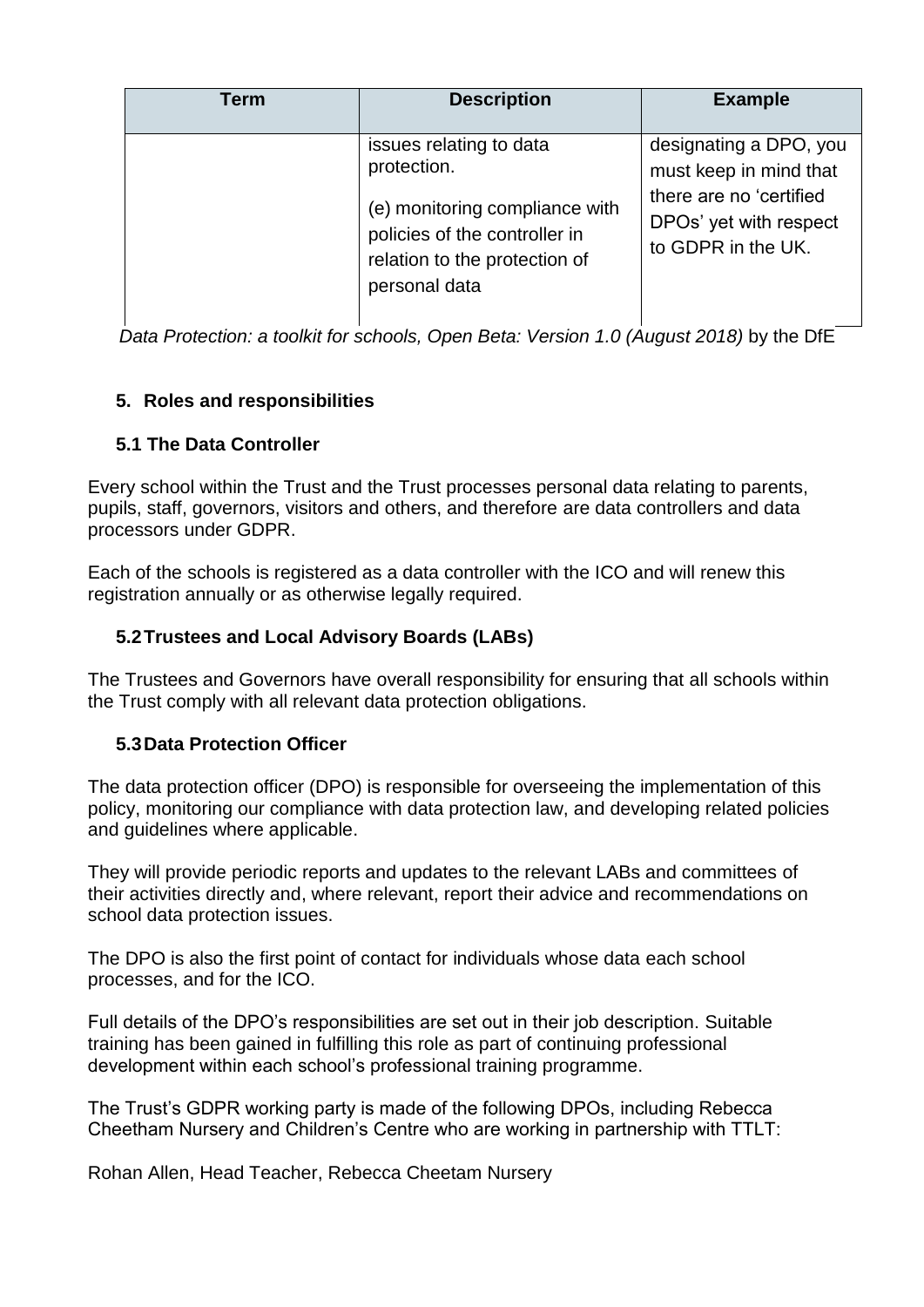| Term | <b>Description</b>                                                                                                                                          | <b>Example</b>                                                                                                              |
|------|-------------------------------------------------------------------------------------------------------------------------------------------------------------|-----------------------------------------------------------------------------------------------------------------------------|
|      | issues relating to data<br>protection.<br>(e) monitoring compliance with<br>policies of the controller in<br>relation to the protection of<br>personal data | designating a DPO, you<br>must keep in mind that<br>there are no 'certified<br>DPOs' yet with respect<br>to GDPR in the UK. |

*Data Protection: a toolkit for schools, Open Beta: Version 1.0 (August 2018)* by the DfE

# **5. Roles and responsibilities**

# **5.1 The Data Controller**

Every school within the Trust and the Trust processes personal data relating to parents, pupils, staff, governors, visitors and others, and therefore are data controllers and data processors under GDPR.

Each of the schools is registered as a data controller with the ICO and will renew this registration annually or as otherwise legally required.

# **5.2Trustees and Local Advisory Boards (LABs)**

The Trustees and Governors have overall responsibility for ensuring that all schools within the Trust comply with all relevant data protection obligations.

# **5.3Data Protection Officer**

The data protection officer (DPO) is responsible for overseeing the implementation of this policy, monitoring our compliance with data protection law, and developing related policies and guidelines where applicable.

They will provide periodic reports and updates to the relevant LABs and committees of their activities directly and, where relevant, report their advice and recommendations on school data protection issues.

The DPO is also the first point of contact for individuals whose data each school processes, and for the ICO.

Full details of the DPO's responsibilities are set out in their job description. Suitable training has been gained in fulfilling this role as part of continuing professional development within each school's professional training programme.

The Trust's GDPR working party is made of the following DPOs, including Rebecca Cheetham Nursery and Children's Centre who are working in partnership with TTLT:

Rohan Allen, Head Teacher, Rebecca Cheetam Nursery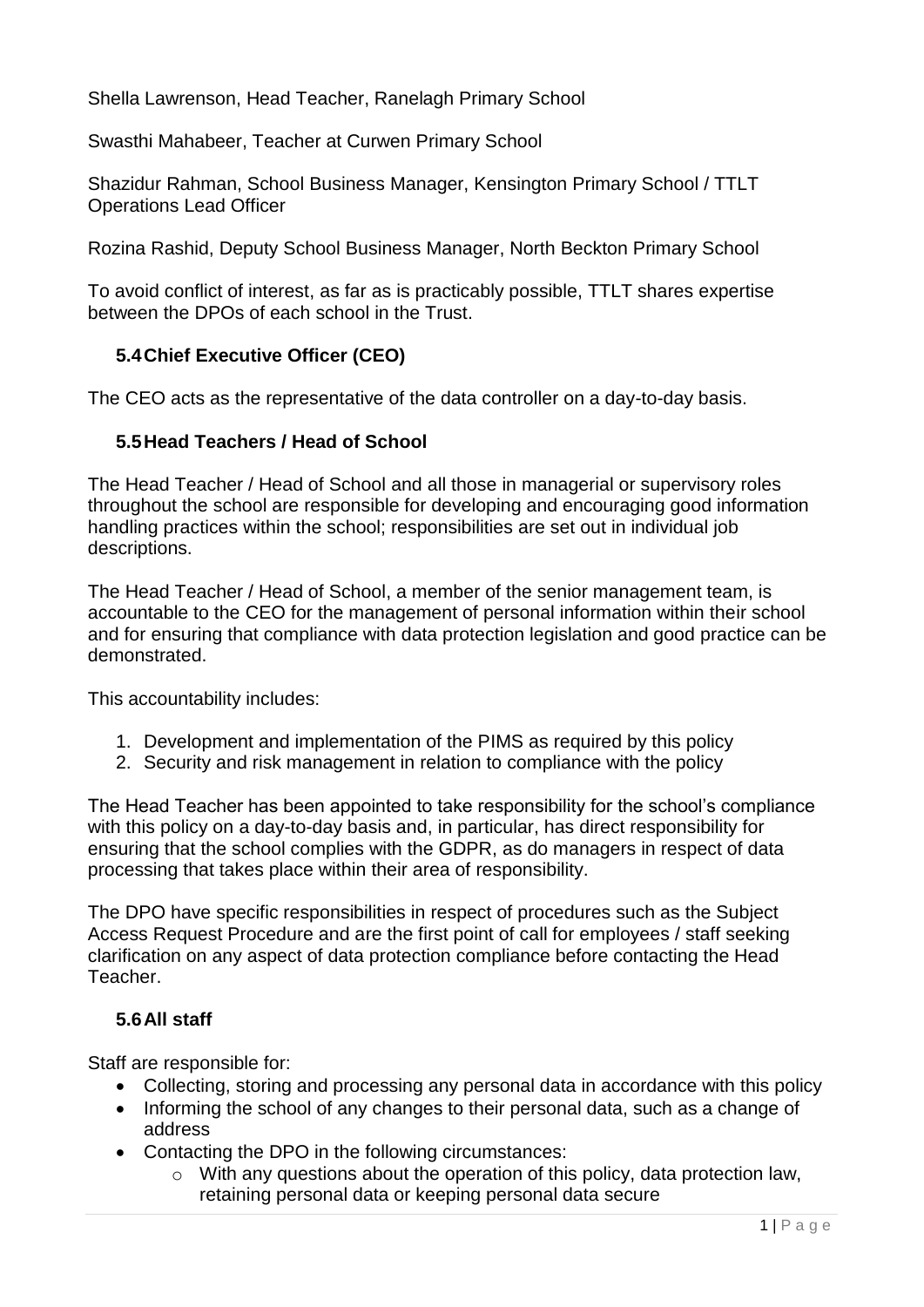Shella Lawrenson, Head Teacher, Ranelagh Primary School

Swasthi Mahabeer, Teacher at Curwen Primary School

Shazidur Rahman, School Business Manager, Kensington Primary School / TTLT Operations Lead Officer

Rozina Rashid, Deputy School Business Manager, North Beckton Primary School

To avoid conflict of interest, as far as is practicably possible, TTLT shares expertise between the DPOs of each school in the Trust.

### **5.4Chief Executive Officer (CEO)**

The CEO acts as the representative of the data controller on a day-to-day basis.

#### **5.5Head Teachers / Head of School**

The Head Teacher / Head of School and all those in managerial or supervisory roles throughout the school are responsible for developing and encouraging good information handling practices within the school; responsibilities are set out in individual job descriptions.

The Head Teacher / Head of School, a member of the senior management team, is accountable to the CEO for the management of personal information within their school and for ensuring that compliance with data protection legislation and good practice can be demonstrated.

This accountability includes:

- 1. Development and implementation of the PIMS as required by this policy
- 2. Security and risk management in relation to compliance with the policy

The Head Teacher has been appointed to take responsibility for the school's compliance with this policy on a day-to-day basis and, in particular, has direct responsibility for ensuring that the school complies with the GDPR, as do managers in respect of data processing that takes place within their area of responsibility.

The DPO have specific responsibilities in respect of procedures such as the Subject Access Request Procedure and are the first point of call for employees / staff seeking clarification on any aspect of data protection compliance before contacting the Head Teacher.

#### **5.6All staff**

Staff are responsible for:

- Collecting, storing and processing any personal data in accordance with this policy
- Informing the school of any changes to their personal data, such as a change of address
- Contacting the DPO in the following circumstances:
	- o With any questions about the operation of this policy, data protection law, retaining personal data or keeping personal data secure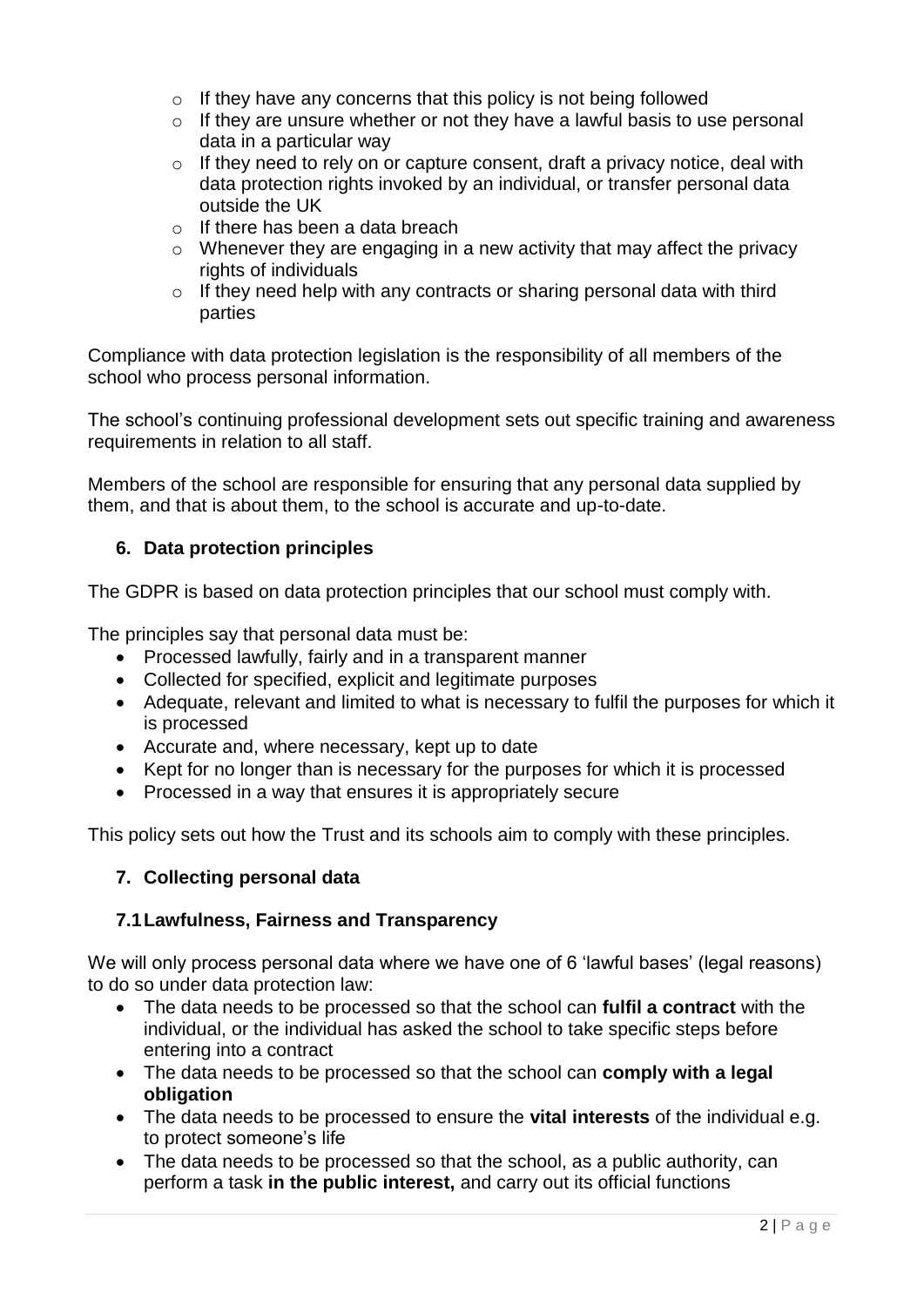- $\circ$  If they have any concerns that this policy is not being followed
- o If they are unsure whether or not they have a lawful basis to use personal data in a particular way
- $\circ$  If they need to rely on or capture consent, draft a privacy notice, deal with data protection rights invoked by an individual, or transfer personal data outside the UK
- o If there has been a data breach
- $\circ$  Whenever they are engaging in a new activity that may affect the privacy rights of individuals
- $\circ$  If they need help with any contracts or sharing personal data with third parties

Compliance with data protection legislation is the responsibility of all members of the school who process personal information.

The school's continuing professional development sets out specific training and awareness requirements in relation to all staff.

Members of the school are responsible for ensuring that any personal data supplied by them, and that is about them, to the school is accurate and up-to-date.

### **6. Data protection principles**

The GDPR is based on data protection principles that our school must comply with.

The principles say that personal data must be:

- Processed lawfully, fairly and in a transparent manner
- Collected for specified, explicit and legitimate purposes
- Adequate, relevant and limited to what is necessary to fulfil the purposes for which it is processed
- Accurate and, where necessary, kept up to date
- Kept for no longer than is necessary for the purposes for which it is processed
- Processed in a way that ensures it is appropriately secure

This policy sets out how the Trust and its schools aim to comply with these principles.

### **7. Collecting personal data**

### **7.1Lawfulness, Fairness and Transparency**

We will only process personal data where we have one of 6 'lawful bases' (legal reasons) to do so under data protection law:

- The data needs to be processed so that the school can **fulfil a contract** with the individual, or the individual has asked the school to take specific steps before entering into a contract
- The data needs to be processed so that the school can **comply with a legal obligation**
- The data needs to be processed to ensure the **vital interests** of the individual e.g. to protect someone's life
- The data needs to be processed so that the school, as a public authority, can perform a task **in the public interest,** and carry out its official functions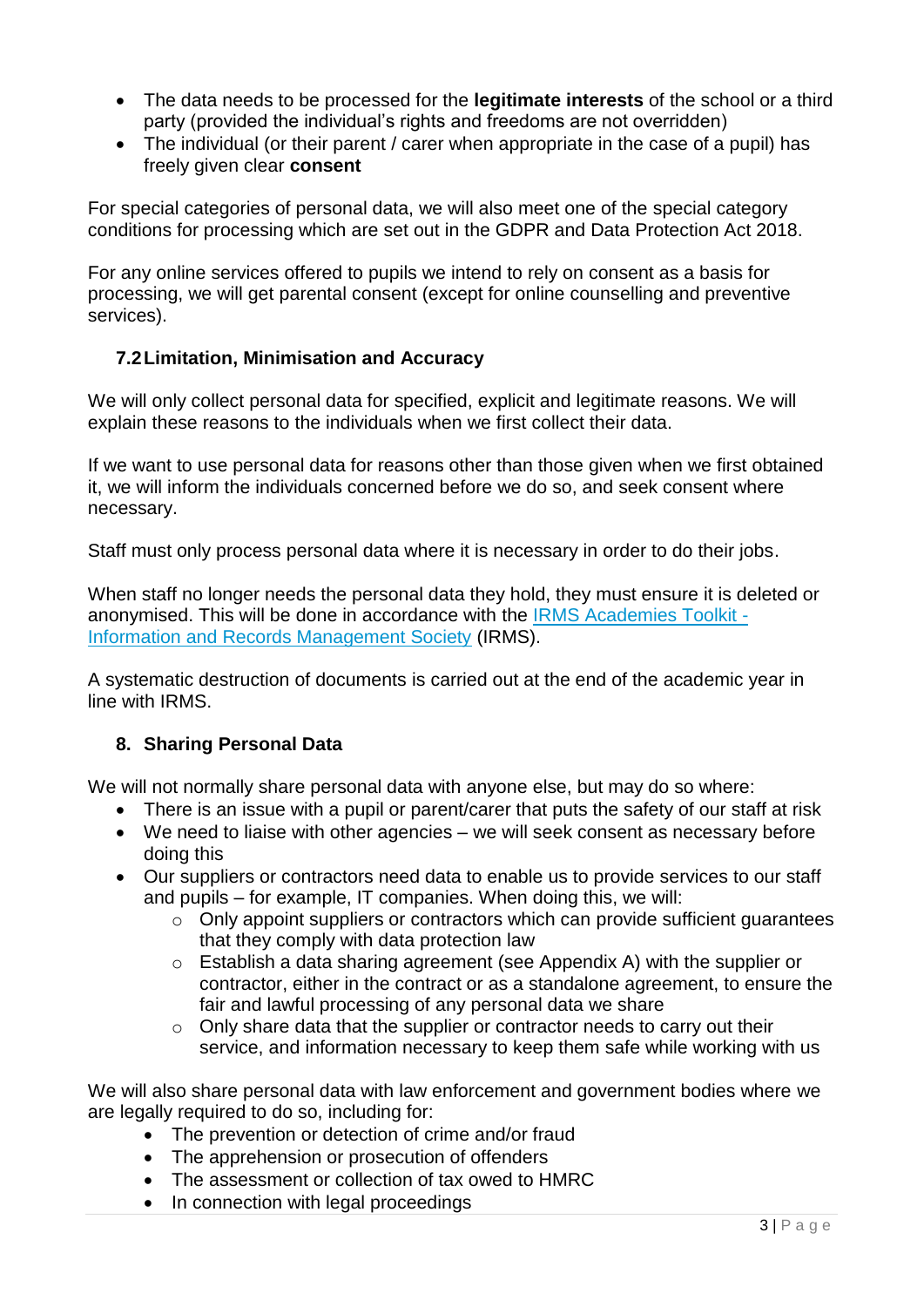- The data needs to be processed for the **legitimate interests** of the school or a third party (provided the individual's rights and freedoms are not overridden)
- The individual (or their parent / carer when appropriate in the case of a pupil) has freely given clear **consent**

For special categories of personal data, we will also meet one of the special category conditions for processing which are set out in the GDPR and Data Protection Act 2018.

For any online services offered to pupils we intend to rely on consent as a basis for processing, we will get parental consent (except for online counselling and preventive services).

### **7.2Limitation, Minimisation and Accuracy**

We will only collect personal data for specified, explicit and legitimate reasons. We will explain these reasons to the individuals when we first collect their data.

If we want to use personal data for reasons other than those given when we first obtained it, we will inform the individuals concerned before we do so, and seek consent where necessary.

Staff must only process personal data where it is necessary in order to do their jobs.

When staff no longer needs the personal data they hold, they must ensure it is deleted or anonymised. This will be done in accordance with the [IRMS Academies Toolkit -](https://irms.org.uk/page/AcademiesToolkit) [Information and Records Management Society](https://irms.org.uk/page/AcademiesToolkit) (IRMS).

A systematic destruction of documents is carried out at the end of the academic year in line with IRMS.

# **8. Sharing Personal Data**

We will not normally share personal data with anyone else, but may do so where:

- There is an issue with a pupil or parent/carer that puts the safety of our staff at risk
- We need to liaise with other agencies we will seek consent as necessary before doing this
- Our suppliers or contractors need data to enable us to provide services to our staff and pupils – for example, IT companies. When doing this, we will:
	- o Only appoint suppliers or contractors which can provide sufficient guarantees that they comply with data protection law
	- o Establish a data sharing agreement (see Appendix A) with the supplier or contractor, either in the contract or as a standalone agreement, to ensure the fair and lawful processing of any personal data we share
	- o Only share data that the supplier or contractor needs to carry out their service, and information necessary to keep them safe while working with us

We will also share personal data with law enforcement and government bodies where we are legally required to do so, including for:

- The prevention or detection of crime and/or fraud
- The apprehension or prosecution of offenders
- The assessment or collection of tax owed to HMRC
- In connection with legal proceedings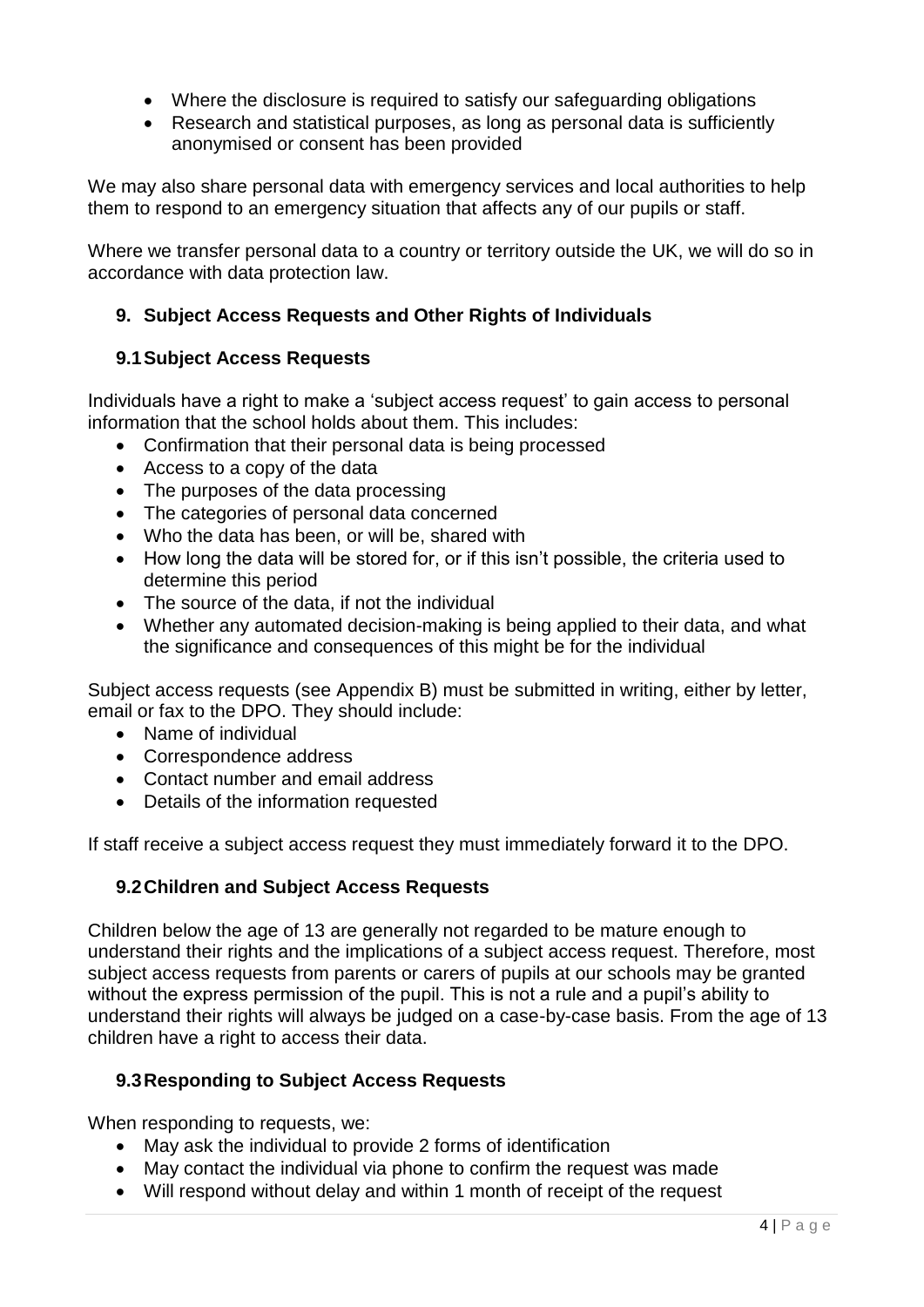- Where the disclosure is required to satisfy our safeguarding obligations
- Research and statistical purposes, as long as personal data is sufficiently anonymised or consent has been provided

We may also share personal data with emergency services and local authorities to help them to respond to an emergency situation that affects any of our pupils or staff.

Where we transfer personal data to a country or territory outside the UK, we will do so in accordance with data protection law.

# **9. Subject Access Requests and Other Rights of Individuals**

### **9.1Subject Access Requests**

Individuals have a right to make a 'subject access request' to gain access to personal information that the school holds about them. This includes:

- Confirmation that their personal data is being processed
- Access to a copy of the data
- The purposes of the data processing
- The categories of personal data concerned
- Who the data has been, or will be, shared with
- How long the data will be stored for, or if this isn't possible, the criteria used to determine this period
- The source of the data, if not the individual
- Whether any automated decision-making is being applied to their data, and what the significance and consequences of this might be for the individual

Subject access requests (see Appendix B) must be submitted in writing, either by letter, email or fax to the DPO. They should include:

- Name of individual
- Correspondence address
- Contact number and email address
- Details of the information requested

If staff receive a subject access request they must immediately forward it to the DPO.

### **9.2Children and Subject Access Requests**

Children below the age of 13 are generally not regarded to be mature enough to understand their rights and the implications of a subject access request. Therefore, most subject access requests from parents or carers of pupils at our schools may be granted without the express permission of the pupil. This is not a rule and a pupil's ability to understand their rights will always be judged on a case-by-case basis. From the age of 13 children have a right to access their data.

# **9.3Responding to Subject Access Requests**

When responding to requests, we:

- May ask the individual to provide 2 forms of identification
- May contact the individual via phone to confirm the request was made
- Will respond without delay and within 1 month of receipt of the request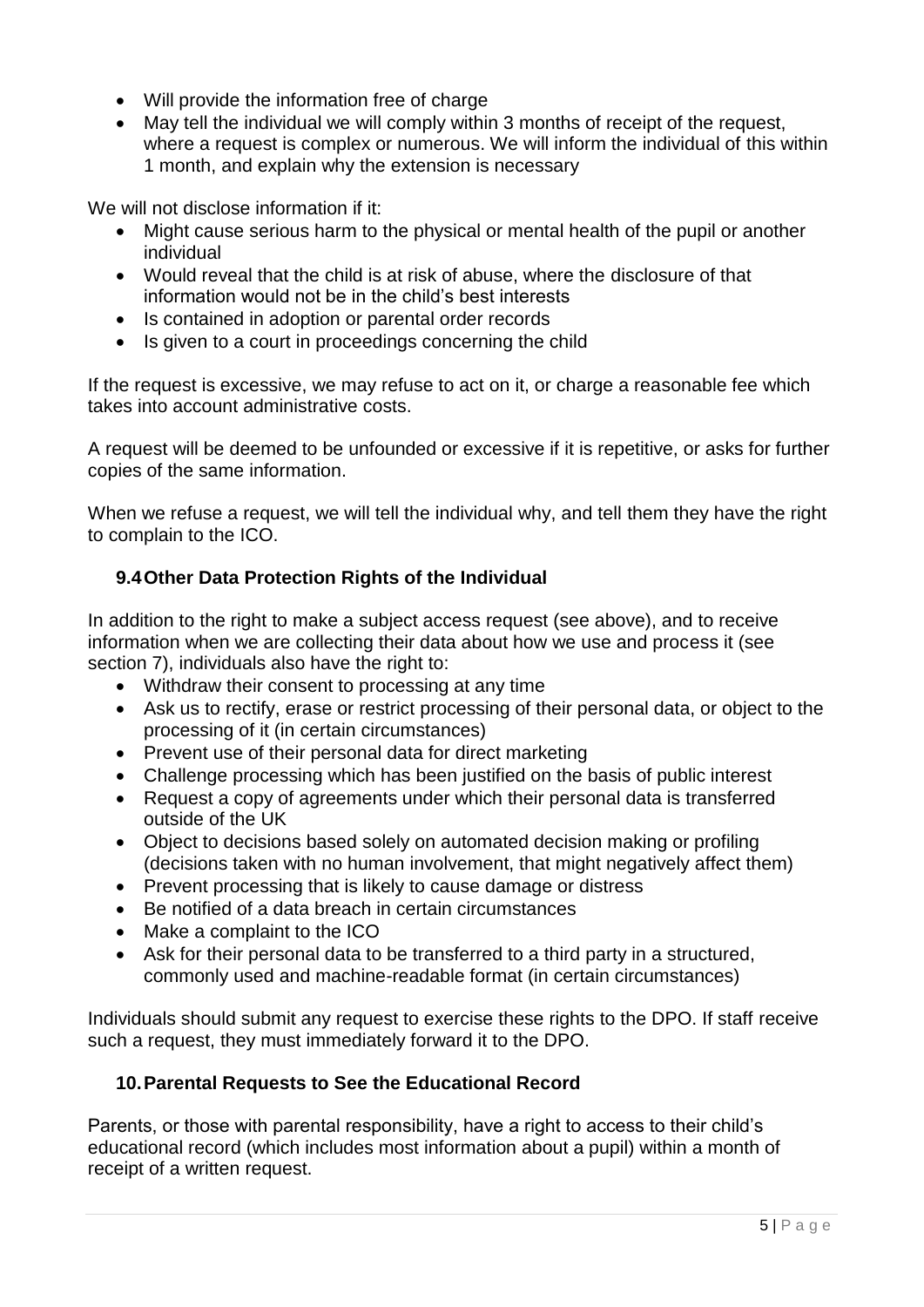- Will provide the information free of charge
- May tell the individual we will comply within 3 months of receipt of the request, where a request is complex or numerous. We will inform the individual of this within 1 month, and explain why the extension is necessary

We will not disclose information if it:

- Might cause serious harm to the physical or mental health of the pupil or another individual
- Would reveal that the child is at risk of abuse, where the disclosure of that information would not be in the child's best interests
- Is contained in adoption or parental order records
- Is given to a court in proceedings concerning the child

If the request is excessive, we may refuse to act on it, or charge a reasonable fee which takes into account administrative costs.

A request will be deemed to be unfounded or excessive if it is repetitive, or asks for further copies of the same information.

When we refuse a request, we will tell the individual why, and tell them they have the right to complain to the ICO.

# **9.4Other Data Protection Rights of the Individual**

In addition to the right to make a subject access request (see above), and to receive information when we are collecting their data about how we use and process it (see section 7), individuals also have the right to:

- Withdraw their consent to processing at any time
- Ask us to rectify, erase or restrict processing of their personal data, or object to the processing of it (in certain circumstances)
- Prevent use of their personal data for direct marketing
- Challenge processing which has been justified on the basis of public interest
- Request a copy of agreements under which their personal data is transferred outside of the UK
- Object to decisions based solely on automated decision making or profiling (decisions taken with no human involvement, that might negatively affect them)
- Prevent processing that is likely to cause damage or distress
- Be notified of a data breach in certain circumstances
- Make a complaint to the ICO
- Ask for their personal data to be transferred to a third party in a structured, commonly used and machine-readable format (in certain circumstances)

Individuals should submit any request to exercise these rights to the DPO. If staff receive such a request, they must immediately forward it to the DPO.

### **10.Parental Requests to See the Educational Record**

Parents, or those with parental responsibility, have a right to access to their child's educational record (which includes most information about a pupil) within a month of receipt of a written request.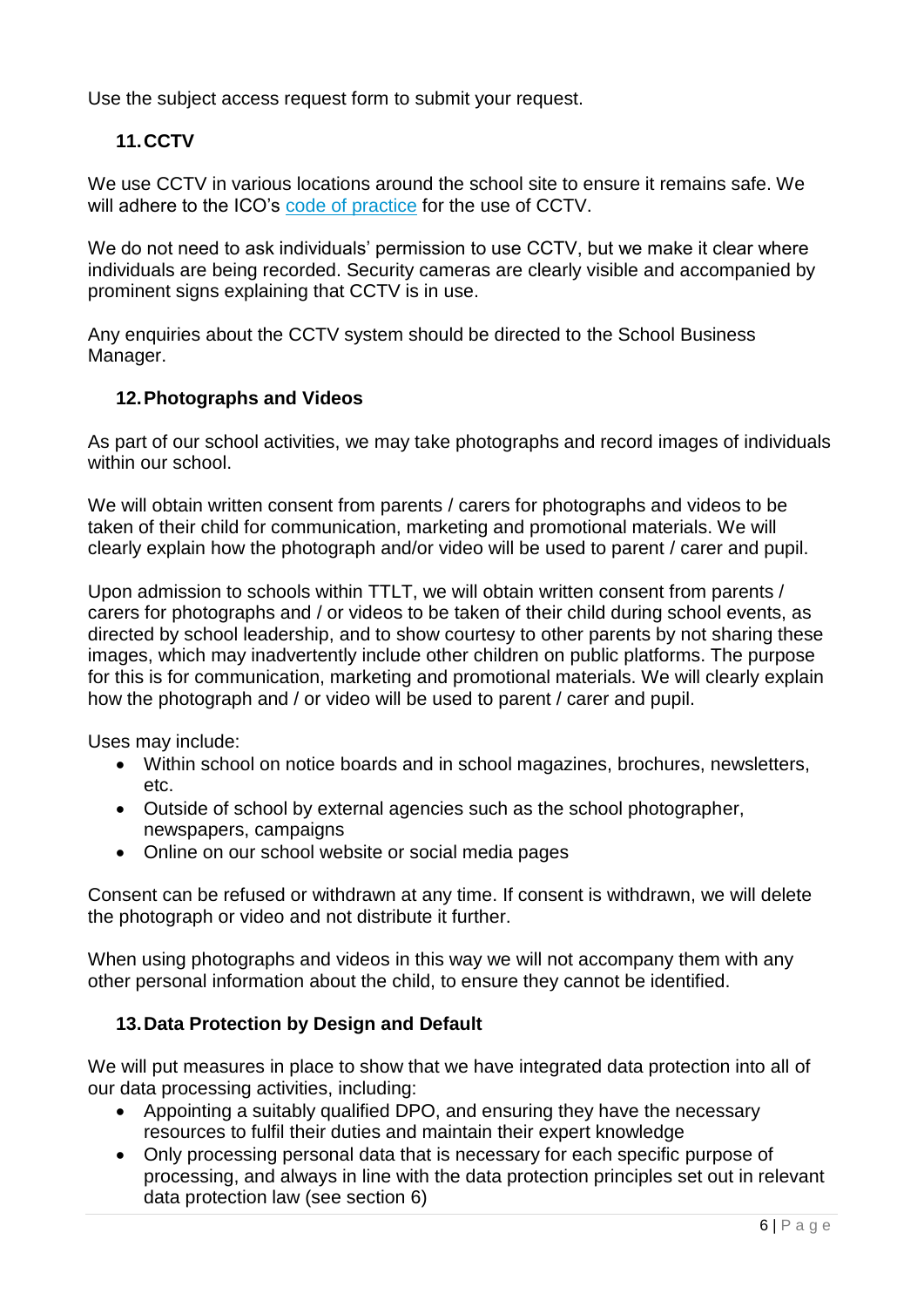Use the subject access request form to submit your request.

# **11.CCTV**

We use CCTV in various locations around the school site to ensure it remains safe. We will adhere to the ICO's [code of practice](https://ico.org.uk/media/for-organisations/documents/1542/cctv-code-of-practice.pdf) for the use of CCTV.

We do not need to ask individuals' permission to use CCTV, but we make it clear where individuals are being recorded. Security cameras are clearly visible and accompanied by prominent signs explaining that CCTV is in use.

Any enquiries about the CCTV system should be directed to the School Business Manager.

### **12.Photographs and Videos**

As part of our school activities, we may take photographs and record images of individuals within our school.

We will obtain written consent from parents / carers for photographs and videos to be taken of their child for communication, marketing and promotional materials. We will clearly explain how the photograph and/or video will be used to parent / carer and pupil.

Upon admission to schools within TTLT, we will obtain written consent from parents / carers for photographs and / or videos to be taken of their child during school events, as directed by school leadership, and to show courtesy to other parents by not sharing these images, which may inadvertently include other children on public platforms. The purpose for this is for communication, marketing and promotional materials. We will clearly explain how the photograph and / or video will be used to parent / carer and pupil.

Uses may include:

- Within school on notice boards and in school magazines, brochures, newsletters, etc.
- Outside of school by external agencies such as the school photographer, newspapers, campaigns
- Online on our school website or social media pages

Consent can be refused or withdrawn at any time. If consent is withdrawn, we will delete the photograph or video and not distribute it further.

When using photographs and videos in this way we will not accompany them with any other personal information about the child, to ensure they cannot be identified.

### **13.Data Protection by Design and Default**

We will put measures in place to show that we have integrated data protection into all of our data processing activities, including:

- Appointing a suitably qualified DPO, and ensuring they have the necessary resources to fulfil their duties and maintain their expert knowledge
- Only processing personal data that is necessary for each specific purpose of processing, and always in line with the data protection principles set out in relevant data protection law (see section 6)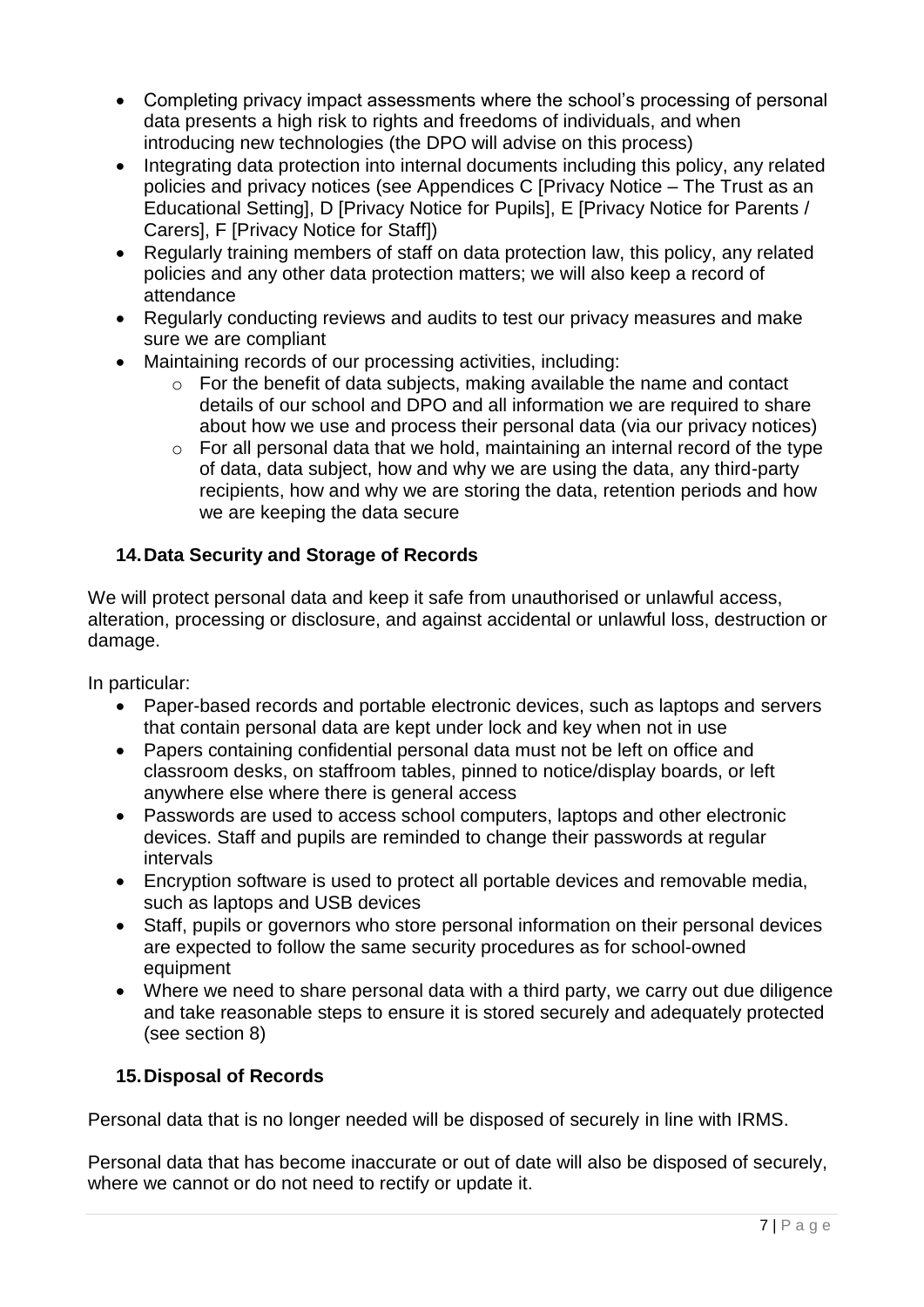- Completing privacy impact assessments where the school's processing of personal data presents a high risk to rights and freedoms of individuals, and when introducing new technologies (the DPO will advise on this process)
- Integrating data protection into internal documents including this policy, any related policies and privacy notices (see Appendices C [Privacy Notice – The Trust as an Educational Setting], D [Privacy Notice for Pupils], E [Privacy Notice for Parents / Carers], F [Privacy Notice for Staff])
- Regularly training members of staff on data protection law, this policy, any related policies and any other data protection matters; we will also keep a record of attendance
- Regularly conducting reviews and audits to test our privacy measures and make sure we are compliant
- Maintaining records of our processing activities, including:
	- o For the benefit of data subjects, making available the name and contact details of our school and DPO and all information we are required to share about how we use and process their personal data (via our privacy notices)
	- $\circ$  For all personal data that we hold, maintaining an internal record of the type of data, data subject, how and why we are using the data, any third-party recipients, how and why we are storing the data, retention periods and how we are keeping the data secure

# **14.Data Security and Storage of Records**

We will protect personal data and keep it safe from unauthorised or unlawful access, alteration, processing or disclosure, and against accidental or unlawful loss, destruction or damage.

In particular:

- Paper-based records and portable electronic devices, such as laptops and servers that contain personal data are kept under lock and key when not in use
- Papers containing confidential personal data must not be left on office and classroom desks, on staffroom tables, pinned to notice/display boards, or left anywhere else where there is general access
- Passwords are used to access school computers, laptops and other electronic devices. Staff and pupils are reminded to change their passwords at regular intervals
- Encryption software is used to protect all portable devices and removable media, such as laptops and USB devices
- Staff, pupils or governors who store personal information on their personal devices are expected to follow the same security procedures as for school-owned equipment
- Where we need to share personal data with a third party, we carry out due diligence and take reasonable steps to ensure it is stored securely and adequately protected (see section 8)

# **15.Disposal of Records**

Personal data that is no longer needed will be disposed of securely in line with IRMS.

Personal data that has become inaccurate or out of date will also be disposed of securely, where we cannot or do not need to rectify or update it.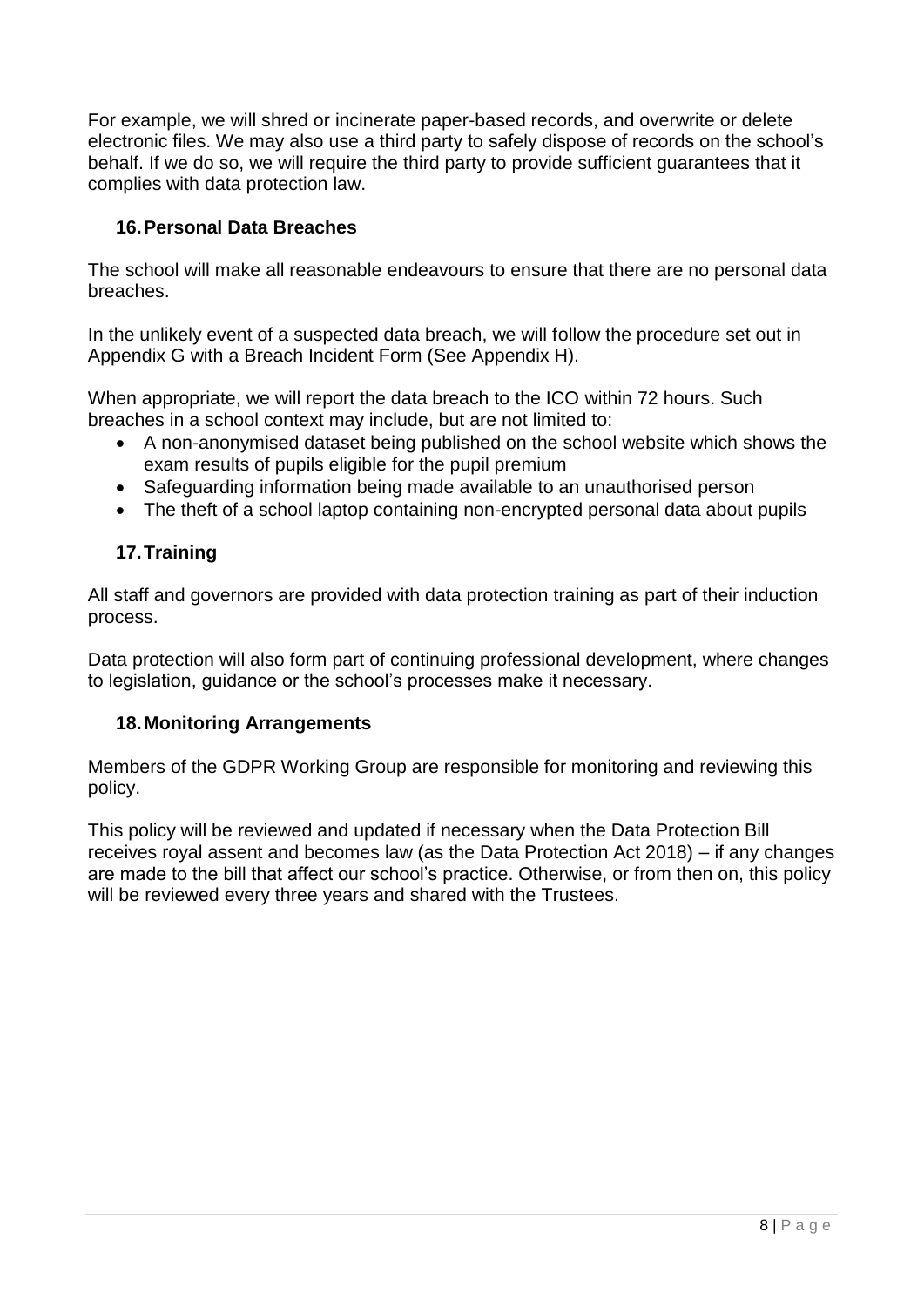For example, we will shred or incinerate paper-based records, and overwrite or delete electronic files. We may also use a third party to safely dispose of records on the school's behalf. If we do so, we will require the third party to provide sufficient guarantees that it complies with data protection law.

### **16.Personal Data Breaches**

The school will make all reasonable endeavours to ensure that there are no personal data breaches.

In the unlikely event of a suspected data breach, we will follow the procedure set out in Appendix G with a Breach Incident Form (See Appendix H).

When appropriate, we will report the data breach to the ICO within 72 hours. Such breaches in a school context may include, but are not limited to:

- A non-anonymised dataset being published on the school website which shows the exam results of pupils eligible for the pupil premium
- Safeguarding information being made available to an unauthorised person
- The theft of a school laptop containing non-encrypted personal data about pupils

# **17.Training**

All staff and governors are provided with data protection training as part of their induction process.

Data protection will also form part of continuing professional development, where changes to legislation, guidance or the school's processes make it necessary.

### **18.Monitoring Arrangements**

Members of the GDPR Working Group are responsible for monitoring and reviewing this policy.

This policy will be reviewed and updated if necessary when the Data Protection Bill receives royal assent and becomes law (as the Data Protection Act 2018) – if any changes are made to the bill that affect our school's practice. Otherwise, or from then on, this policy will be reviewed every three years and shared with the Trustees.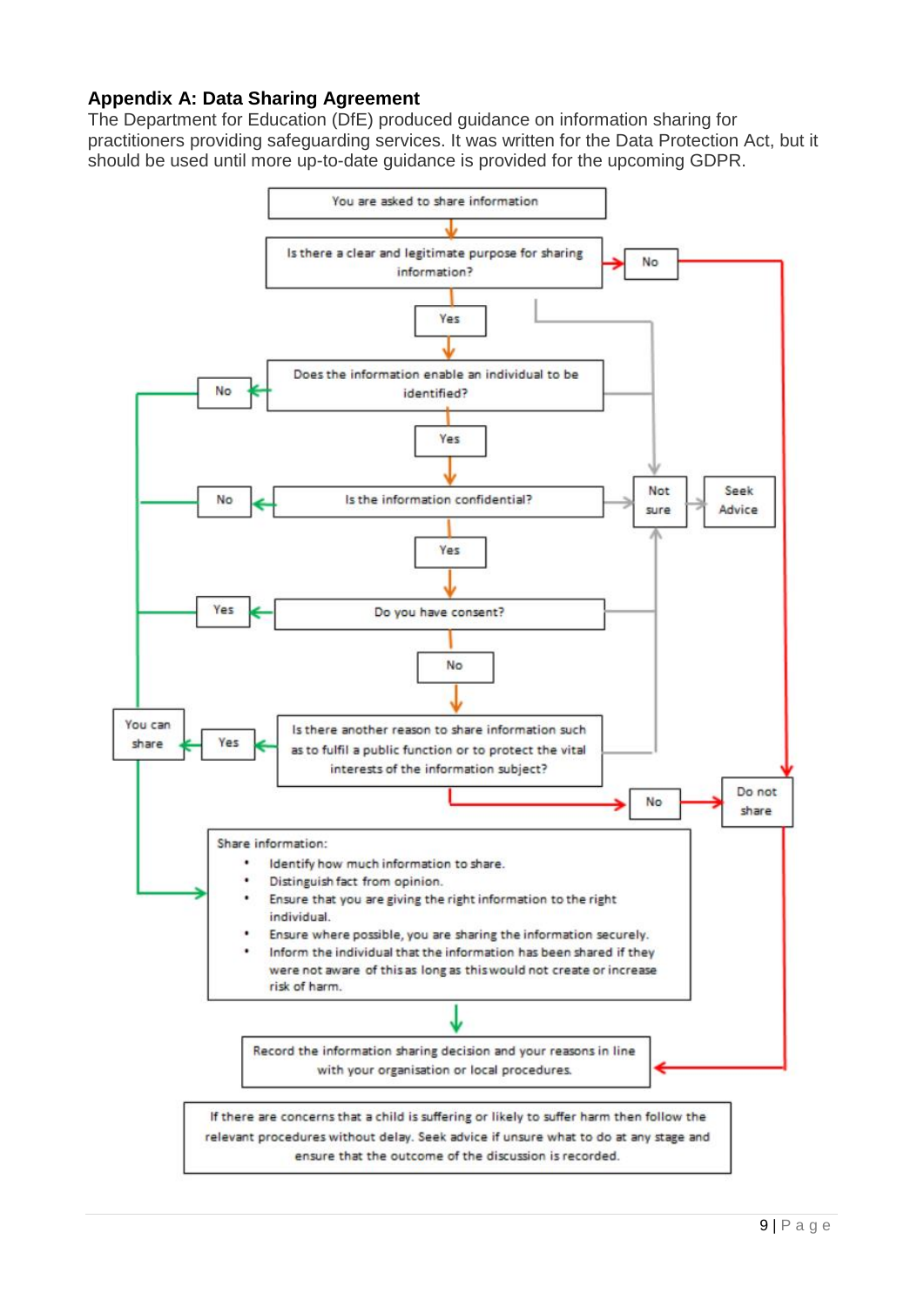### **Appendix A: Data Sharing Agreement**

The Department for Education (DfE) produced guidance on information sharing for practitioners providing safeguarding services. It was written for the Data Protection Act, but it should be used until more up-to-date guidance is provided for the upcoming GDPR.

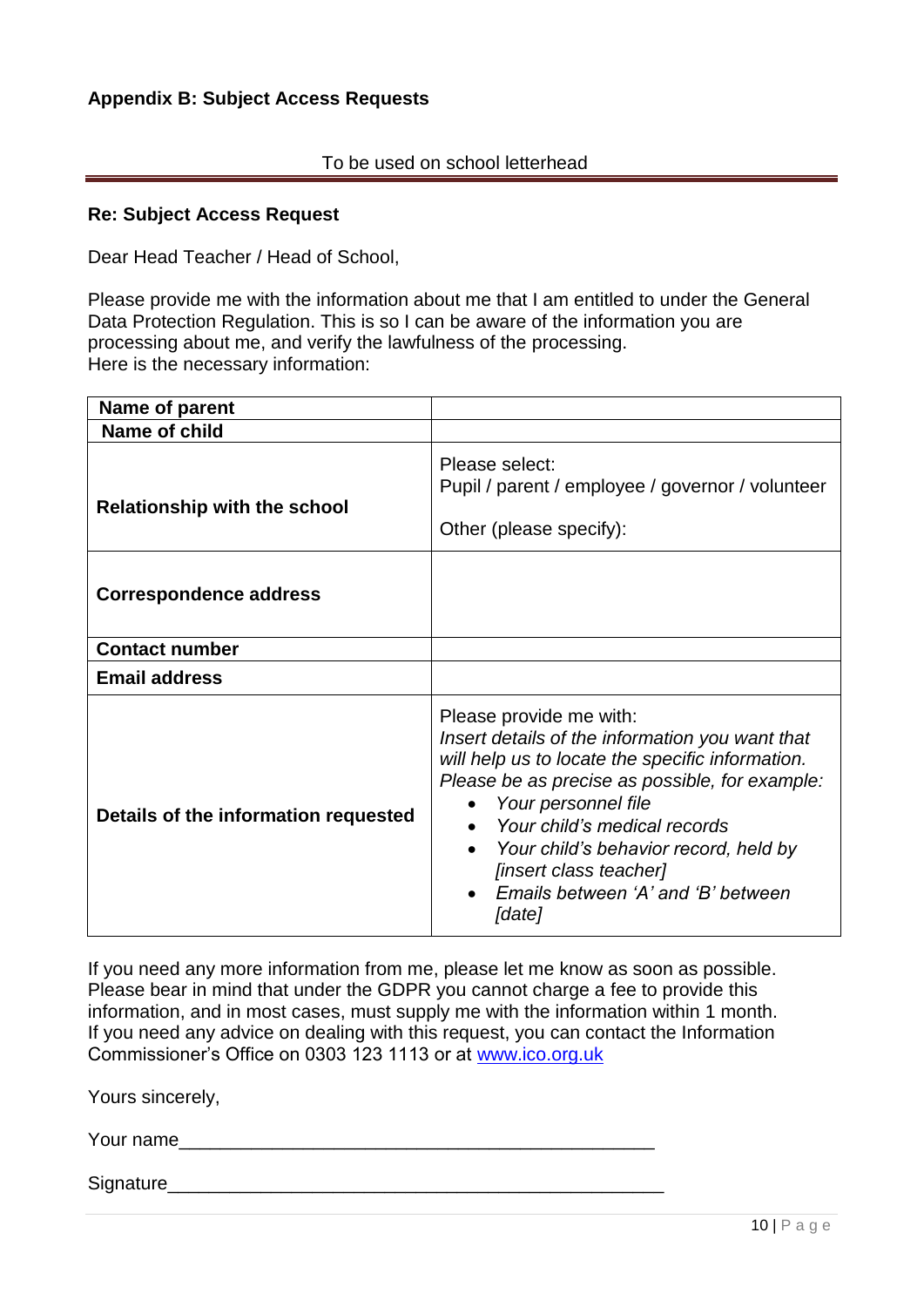#### To be used on school letterhead

#### **Re: Subject Access Request**

Dear Head Teacher / Head of School,

Please provide me with the information about me that I am entitled to under the General Data Protection Regulation. This is so I can be aware of the information you are processing about me, and verify the lawfulness of the processing. Here is the necessary information:

| Name of parent                       |                                                                                                                                                                                                                                                                                                                                                            |  |
|--------------------------------------|------------------------------------------------------------------------------------------------------------------------------------------------------------------------------------------------------------------------------------------------------------------------------------------------------------------------------------------------------------|--|
| Name of child                        |                                                                                                                                                                                                                                                                                                                                                            |  |
| <b>Relationship with the school</b>  | Please select:<br>Pupil / parent / employee / governor / volunteer<br>Other (please specify):                                                                                                                                                                                                                                                              |  |
| <b>Correspondence address</b>        |                                                                                                                                                                                                                                                                                                                                                            |  |
| <b>Contact number</b>                |                                                                                                                                                                                                                                                                                                                                                            |  |
| <b>Email address</b>                 |                                                                                                                                                                                                                                                                                                                                                            |  |
| Details of the information requested | Please provide me with:<br>Insert details of the information you want that<br>will help us to locate the specific information.<br>Please be as precise as possible, for example:<br>Your personnel file<br>Your child's medical records<br>Your child's behavior record, held by<br>[insert class teacher]<br>Emails between 'A' and 'B' between<br>[date] |  |

If you need any more information from me, please let me know as soon as possible. Please bear in mind that under the GDPR you cannot charge a fee to provide this information, and in most cases, must supply me with the information within 1 month. If you need any advice on dealing with this request, you can contact the Information Commissioner's Office on 0303 123 1113 or at [www.ico.org.uk](http://www.ico.org.uk/)

Yours sincerely,

Your name

Signature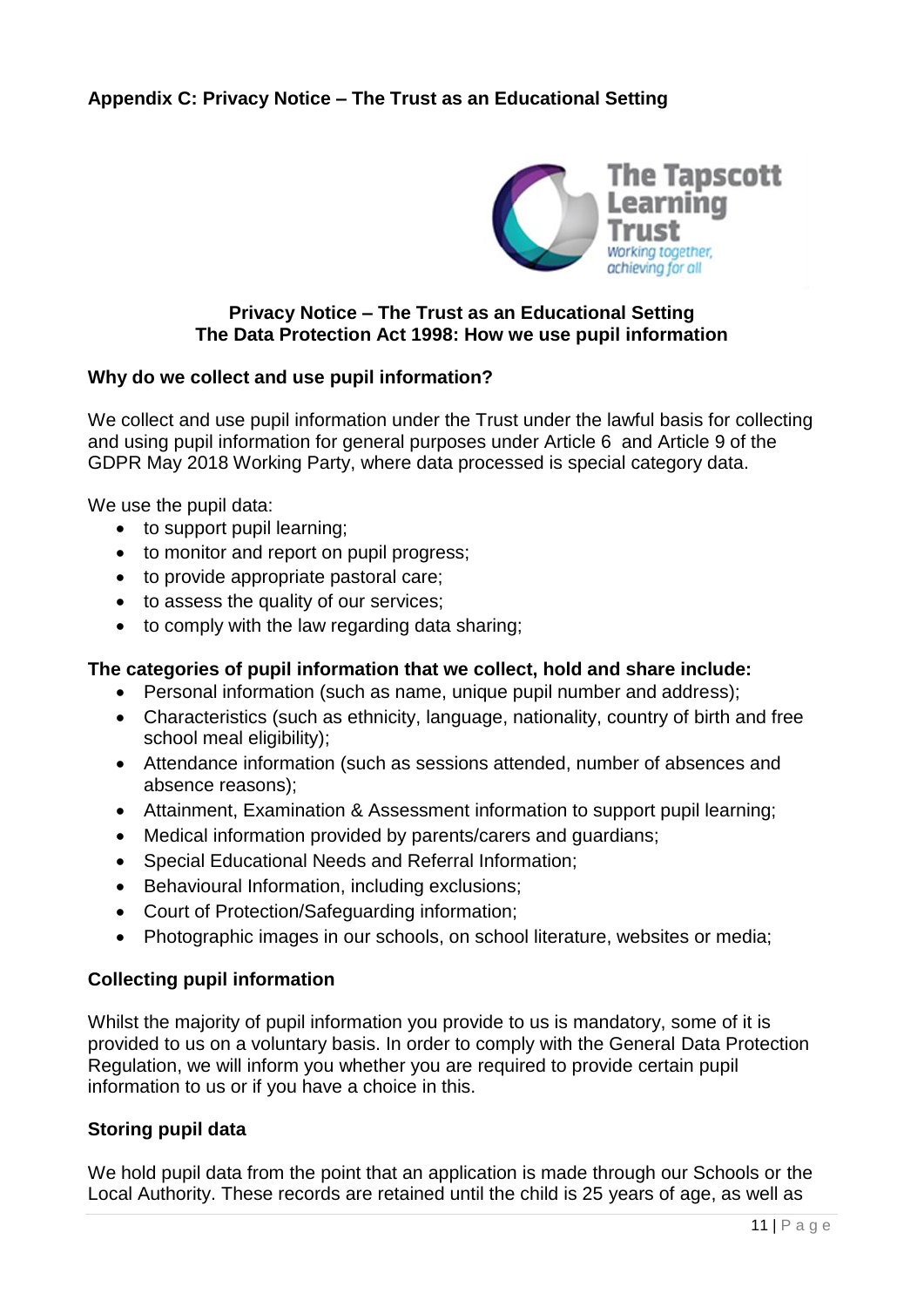# **Appendix C: Privacy Notice – The Trust as an Educational Setting**



### **Privacy Notice – The Trust as an Educational Setting The Data Protection Act 1998: How we use pupil information**

#### **Why do we collect and use pupil information?**

We collect and use pupil information under the Trust under the lawful basis for collecting and using pupil information for general purposes under Article 6 and Article 9 of the GDPR May 2018 Working Party, where data processed is special category data.

We use the pupil data:

- to support pupil learning;
- to monitor and report on pupil progress;
- to provide appropriate pastoral care;
- to assess the quality of our services;
- to comply with the law regarding data sharing;

#### **The categories of pupil information that we collect, hold and share include:**

- Personal information (such as name, unique pupil number and address);
- Characteristics (such as ethnicity, language, nationality, country of birth and free school meal eligibility);
- Attendance information (such as sessions attended, number of absences and absence reasons);
- Attainment, Examination & Assessment information to support pupil learning;
- Medical information provided by parents/carers and guardians;
- Special Educational Needs and Referral Information;
- Behavioural Information, including exclusions;
- Court of Protection/Safeguarding information;
- Photographic images in our schools, on school literature, websites or media;

#### **Collecting pupil information**

Whilst the majority of pupil information you provide to us is mandatory, some of it is provided to us on a voluntary basis. In order to comply with the General Data Protection Regulation, we will inform you whether you are required to provide certain pupil information to us or if you have a choice in this.

#### **Storing pupil data**

We hold pupil data from the point that an application is made through our Schools or the Local Authority. These records are retained until the child is 25 years of age, as well as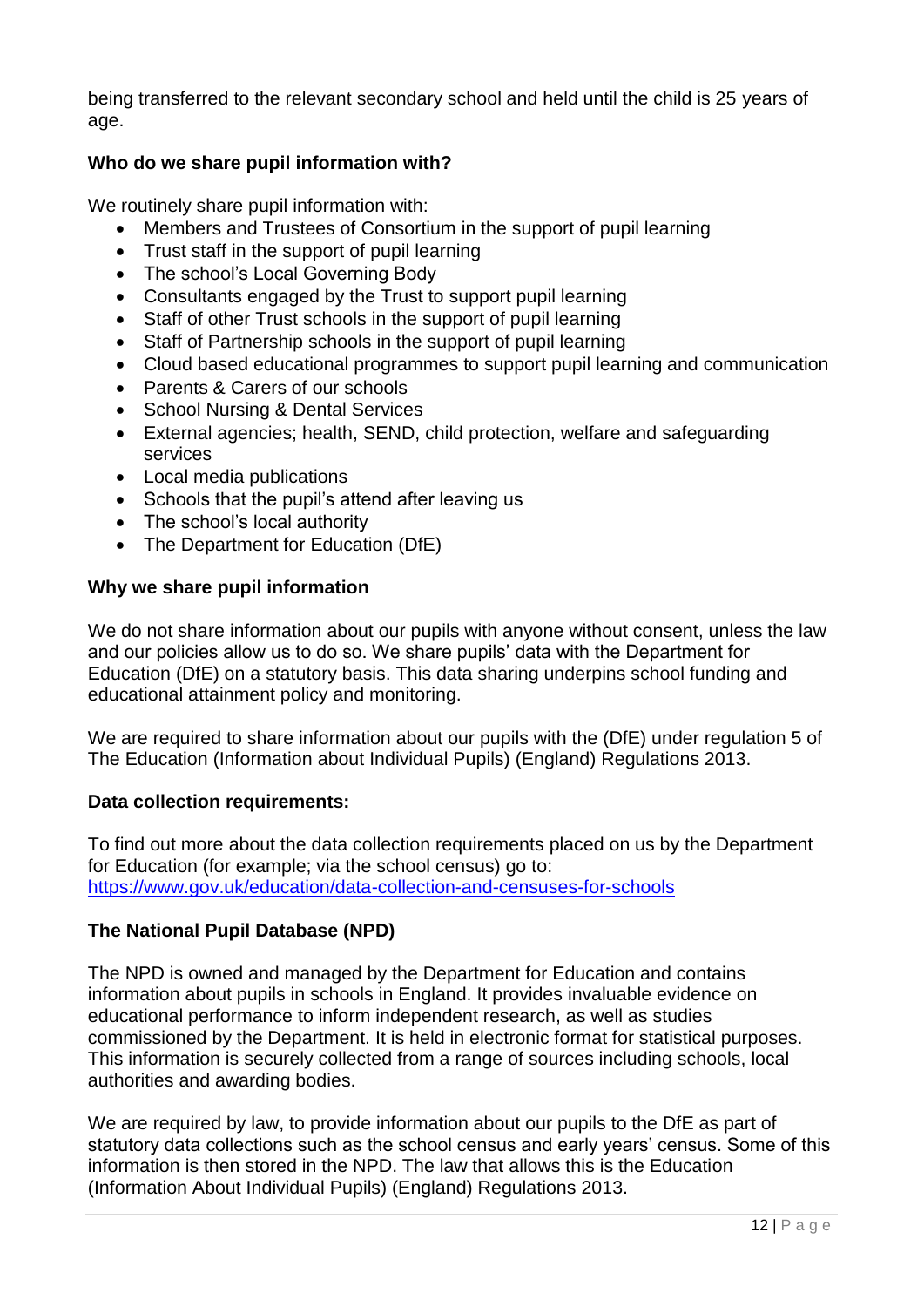being transferred to the relevant secondary school and held until the child is 25 years of age.

# **Who do we share pupil information with?**

We routinely share pupil information with:

- Members and Trustees of Consortium in the support of pupil learning
- Trust staff in the support of pupil learning
- The school's Local Governing Body
- Consultants engaged by the Trust to support pupil learning
- Staff of other Trust schools in the support of pupil learning
- Staff of Partnership schools in the support of pupil learning
- Cloud based educational programmes to support pupil learning and communication
- Parents & Carers of our schools
- School Nursing & Dental Services
- External agencies; health, SEND, child protection, welfare and safeguarding services
- Local media publications
- Schools that the pupil's attend after leaving us
- The school's local authority
- The Department for Education (DfE)

### **Why we share pupil information**

We do not share information about our pupils with anyone without consent, unless the law and our policies allow us to do so. We share pupils' data with the Department for Education (DfE) on a statutory basis. This data sharing underpins school funding and educational attainment policy and monitoring.

We are required to share information about our pupils with the (DfE) under regulation 5 of The Education (Information about Individual Pupils) (England) Regulations 2013.

#### **Data collection requirements:**

To find out more about the data collection requirements placed on us by the Department for Education (for example; via the school census) go to: <https://www.gov.uk/education/data-collection-and-censuses-for-schools>

### **The National Pupil Database (NPD)**

The NPD is owned and managed by the Department for Education and contains information about pupils in schools in England. It provides invaluable evidence on educational performance to inform independent research, as well as studies commissioned by the Department. It is held in electronic format for statistical purposes. This information is securely collected from a range of sources including schools, local authorities and awarding bodies.

We are required by law, to provide information about our pupils to the DfE as part of statutory data collections such as the school census and early years' census. Some of this information is then stored in the NPD. The law that allows this is the Education (Information About Individual Pupils) (England) Regulations 2013.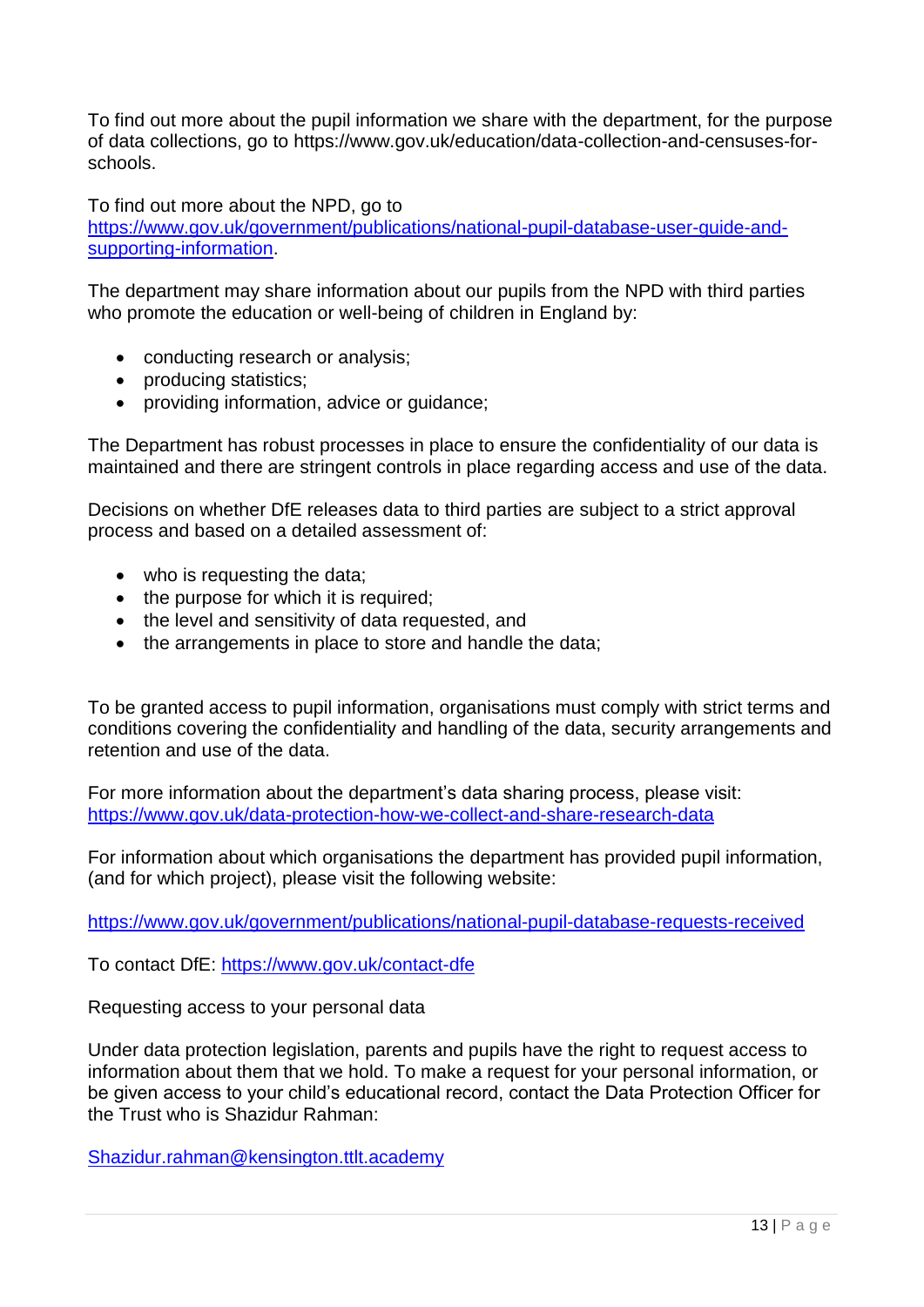To find out more about the pupil information we share with the department, for the purpose of data collections, go to https://www.gov.uk/education/data-collection-and-censuses-forschools.

To find out more about the NPD, go to

[https://www.gov.uk/government/publications/national-pupil-database-user-guide-and](https://www.gov.uk/government/publications/national-pupil-database-user-guide-and-supporting-information)[supporting-information.](https://www.gov.uk/government/publications/national-pupil-database-user-guide-and-supporting-information)

The department may share information about our pupils from the NPD with third parties who promote the education or well-being of children in England by:

- conducting research or analysis;
- producing statistics;
- providing information, advice or quidance:

The Department has robust processes in place to ensure the confidentiality of our data is maintained and there are stringent controls in place regarding access and use of the data.

Decisions on whether DfE releases data to third parties are subject to a strict approval process and based on a detailed assessment of:

- who is requesting the data;
- the purpose for which it is required;
- the level and sensitivity of data requested, and
- the arrangements in place to store and handle the data;

To be granted access to pupil information, organisations must comply with strict terms and conditions covering the confidentiality and handling of the data, security arrangements and retention and use of the data.

For more information about the department's data sharing process, please visit: <https://www.gov.uk/data-protection-how-we-collect-and-share-research-data>

For information about which organisations the department has provided pupil information, (and for which project), please visit the following website:

<https://www.gov.uk/government/publications/national-pupil-database-requests-received>

To contact DfE:<https://www.gov.uk/contact-dfe>

Requesting access to your personal data

Under data protection legislation, parents and pupils have the right to request access to information about them that we hold. To make a request for your personal information, or be given access to your child's educational record, contact the Data Protection Officer for the Trust who is Shazidur Rahman:

[Shazidur.rahman@kensington.ttlt.academy](mailto:Shazidur.rahman@kensington.ttlt.academy)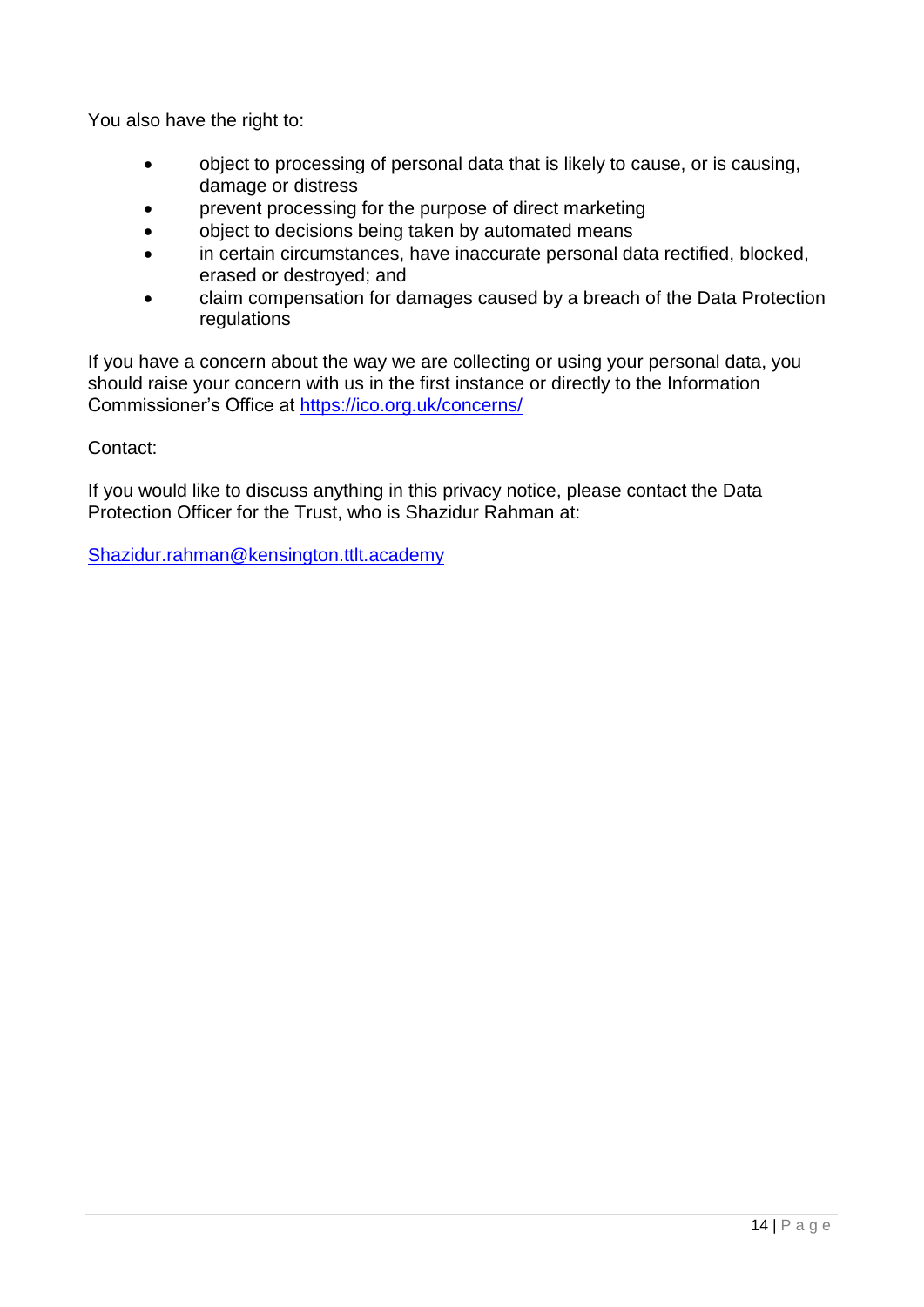You also have the right to:

- object to processing of personal data that is likely to cause, or is causing, damage or distress
- prevent processing for the purpose of direct marketing
- object to decisions being taken by automated means
- in certain circumstances, have inaccurate personal data rectified, blocked, erased or destroyed; and
- claim compensation for damages caused by a breach of the Data Protection regulations

If you have a concern about the way we are collecting or using your personal data, you should raise your concern with us in the first instance or directly to the Information Commissioner's Office at<https://ico.org.uk/concerns/>

Contact:

If you would like to discuss anything in this privacy notice, please contact the Data Protection Officer for the Trust, who is Shazidur Rahman at:

[Shazidur.rahman@kensington.ttlt.academy](mailto:Shazidur.rahman@kensington.ttlt.academy)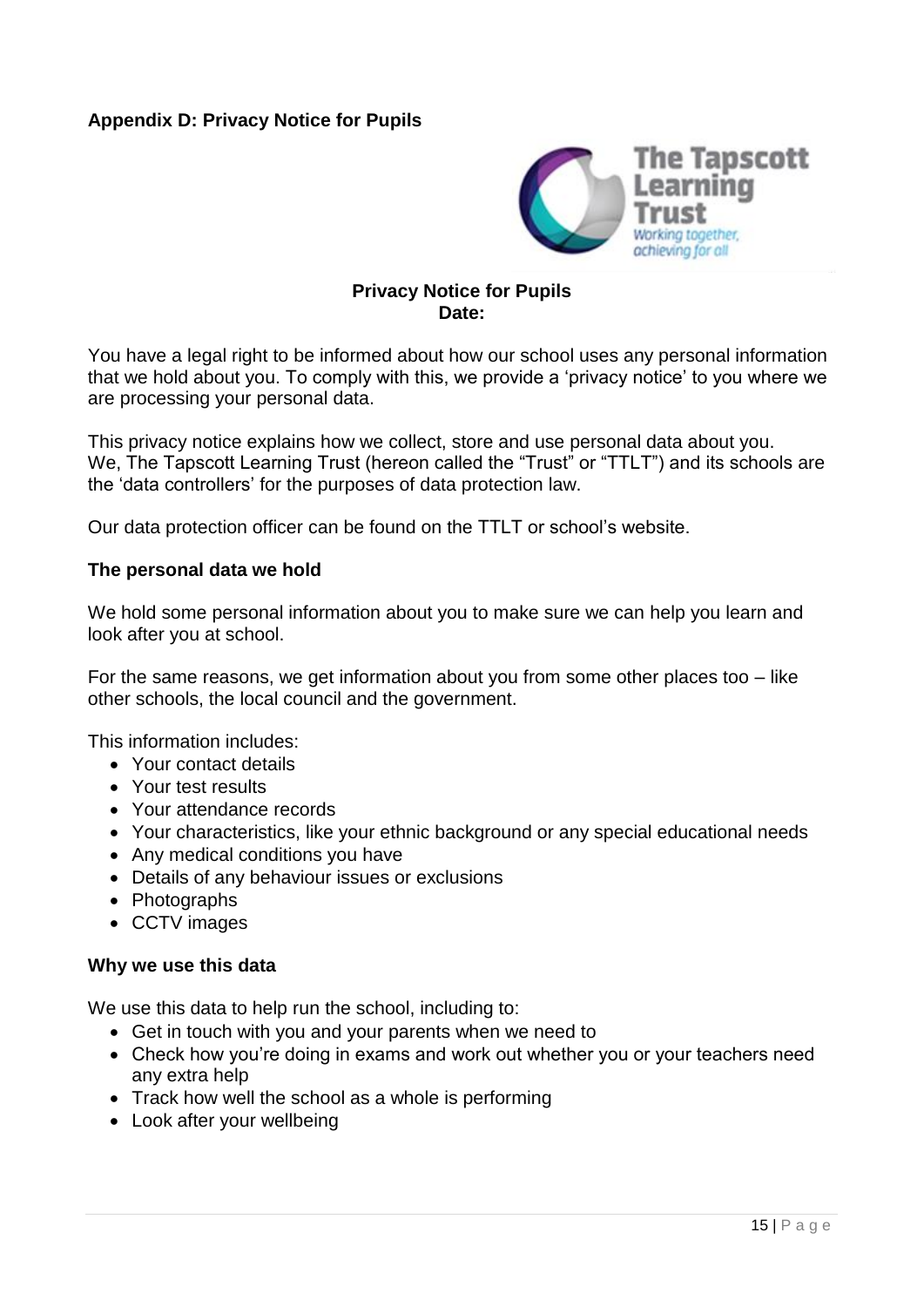### **Appendix D: Privacy Notice for Pupils**



#### **Privacy Notice for Pupils Date:**

You have a legal right to be informed about how our school uses any personal information that we hold about you. To comply with this, we provide a 'privacy notice' to you where we are processing your personal data.

This privacy notice explains how we collect, store and use personal data about you. We, The Tapscott Learning Trust (hereon called the "Trust" or "TTLT") and its schools are the 'data controllers' for the purposes of data protection law.

Our data protection officer can be found on the TTLT or school's website.

#### **The personal data we hold**

We hold some personal information about you to make sure we can help you learn and look after you at school.

For the same reasons, we get information about you from some other places too  $-$  like other schools, the local council and the government.

This information includes:

- Your contact details
- Your test results
- Your attendance records
- Your characteristics, like your ethnic background or any special educational needs
- Any medical conditions you have
- Details of any behaviour issues or exclusions
- Photographs
- CCTV images

#### **Why we use this data**

We use this data to help run the school, including to:

- Get in touch with you and your parents when we need to
- Check how you're doing in exams and work out whether you or your teachers need any extra help
- Track how well the school as a whole is performing
- Look after your wellbeing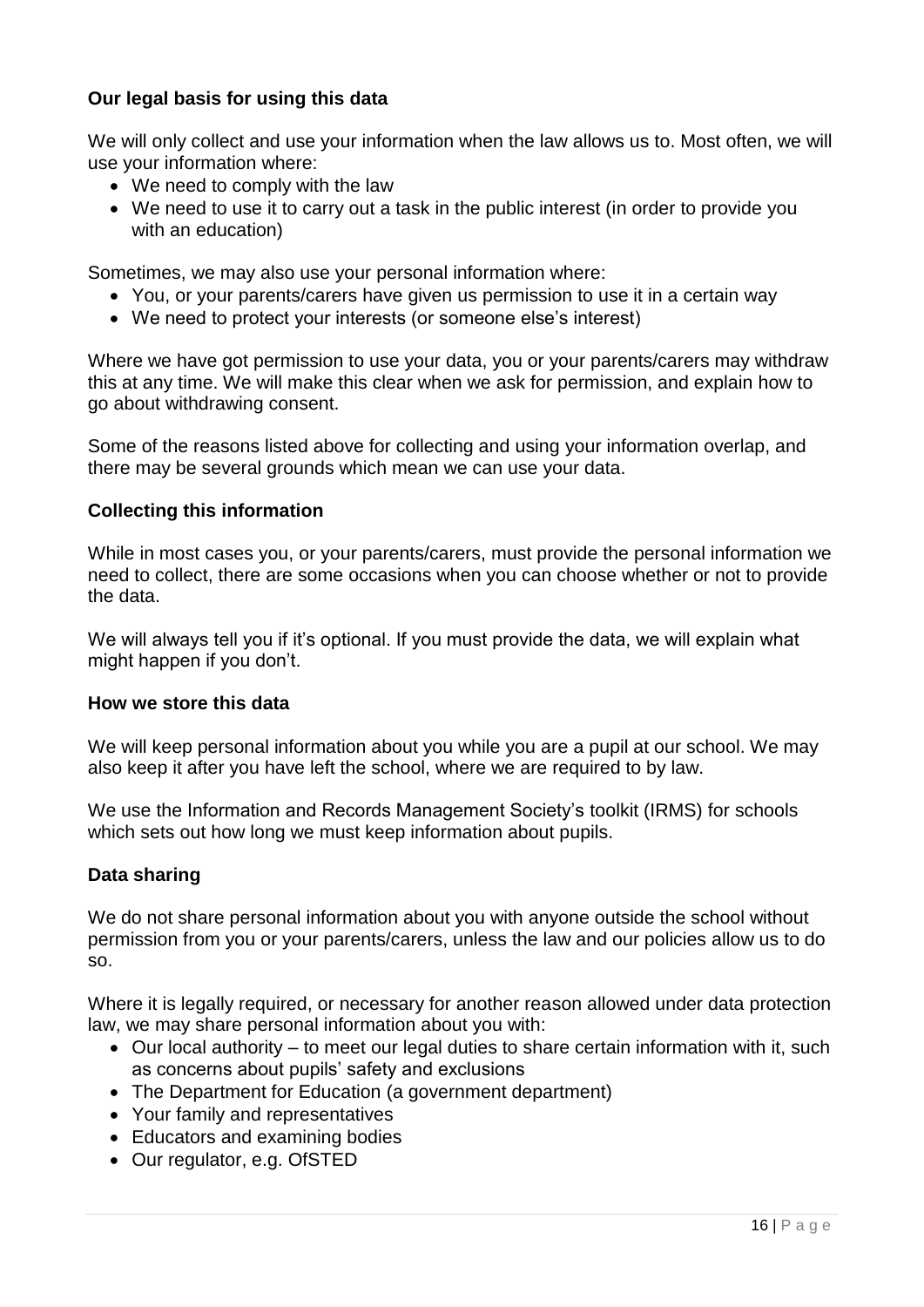### **Our legal basis for using this data**

We will only collect and use your information when the law allows us to. Most often, we will use your information where:

- We need to comply with the law
- We need to use it to carry out a task in the public interest (in order to provide you with an education)

Sometimes, we may also use your personal information where:

- You, or your parents/carers have given us permission to use it in a certain way
- We need to protect your interests (or someone else's interest)

Where we have got permission to use your data, you or your parents/carers may withdraw this at any time. We will make this clear when we ask for permission, and explain how to go about withdrawing consent.

Some of the reasons listed above for collecting and using your information overlap, and there may be several grounds which mean we can use your data.

### **Collecting this information**

While in most cases you, or your parents/carers, must provide the personal information we need to collect, there are some occasions when you can choose whether or not to provide the data.

We will always tell you if it's optional. If you must provide the data, we will explain what might happen if you don't.

#### **How we store this data**

We will keep personal information about you while you are a pupil at our school. We may also keep it after you have left the school, where we are required to by law.

We use the Information and Records Management Society's toolkit (IRMS) for schools which sets out how long we must keep information about pupils.

#### **Data sharing**

We do not share personal information about you with anyone outside the school without permission from you or your parents/carers, unless the law and our policies allow us to do so.

Where it is legally required, or necessary for another reason allowed under data protection law, we may share personal information about you with:

- Our local authority to meet our legal duties to share certain information with it, such as concerns about pupils' safety and exclusions
- The Department for Education (a government department)
- Your family and representatives
- Educators and examining bodies
- Our regulator, e.g. OfSTED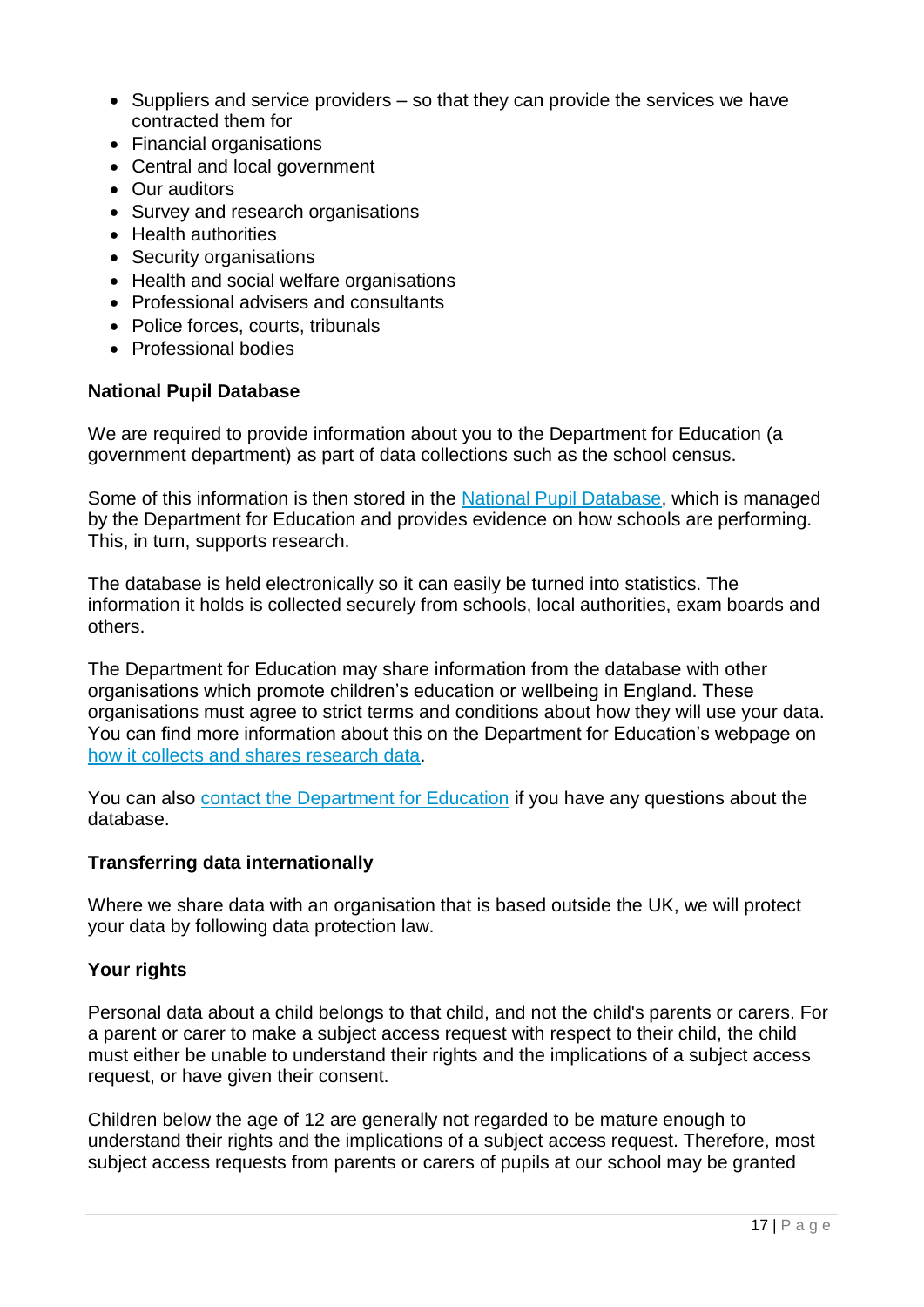- $\bullet$  Suppliers and service providers  $-$  so that they can provide the services we have contracted them for
- Financial organisations
- Central and local government
- Our auditors
- Survey and research organisations
- Health authorities
- Security organisations
- Health and social welfare organisations
- Professional advisers and consultants
- Police forces, courts, tribunals
- Professional bodies

#### **National Pupil Database**

We are required to provide information about you to the Department for Education (a government department) as part of data collections such as the school census.

Some of this information is then stored in the [National Pupil Database,](https://www.gov.uk/government/publications/national-pupil-database-user-guide-and-supporting-information) which is managed by the Department for Education and provides evidence on how schools are performing. This, in turn, supports research.

The database is held electronically so it can easily be turned into statistics. The information it holds is collected securely from schools, local authorities, exam boards and others.

The Department for Education may share information from the database with other organisations which promote children's education or wellbeing in England. These organisations must agree to strict terms and conditions about how they will use your data. You can find more information about this on the Department for Education's webpage on [how it collects and shares research data.](https://www.gov.uk/data-protection-how-we-collect-and-share-research-data)

You can also [contact the Department for Education](https://www.gov.uk/contact-dfe) if you have any questions about the database.

#### **Transferring data internationally**

Where we share data with an organisation that is based outside the UK, we will protect your data by following data protection law.

#### **Your rights**

Personal data about a child belongs to that child, and not the child's parents or carers. For a parent or carer to make a subject access request with respect to their child, the child must either be unable to understand their rights and the implications of a subject access request, or have given their consent.

Children below the age of 12 are generally not regarded to be mature enough to understand their rights and the implications of a subject access request. Therefore, most subject access requests from parents or carers of pupils at our school may be granted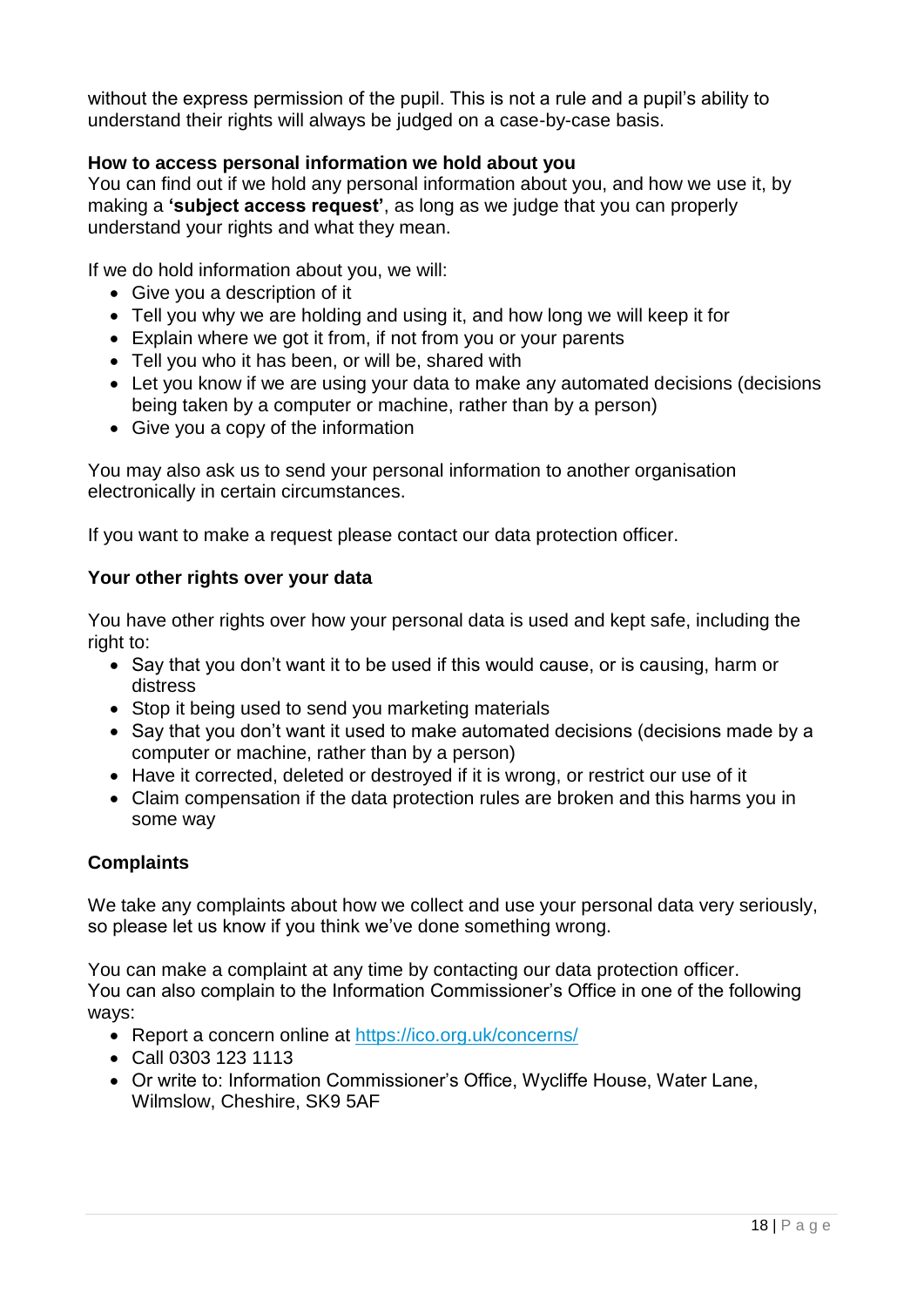without the express permission of the pupil. This is not a rule and a pupil's ability to understand their rights will always be judged on a case-by-case basis.

### **How to access personal information we hold about you**

You can find out if we hold any personal information about you, and how we use it, by making a **'subject access request'**, as long as we judge that you can properly understand your rights and what they mean.

If we do hold information about you, we will:

- Give you a description of it
- Tell you why we are holding and using it, and how long we will keep it for
- Explain where we got it from, if not from you or your parents
- Tell you who it has been, or will be, shared with
- Let you know if we are using your data to make any automated decisions (decisions being taken by a computer or machine, rather than by a person)
- Give you a copy of the information

You may also ask us to send your personal information to another organisation electronically in certain circumstances.

If you want to make a request please contact our data protection officer.

#### **Your other rights over your data**

You have other rights over how your personal data is used and kept safe, including the right to:

- Say that you don't want it to be used if this would cause, or is causing, harm or distress
- Stop it being used to send you marketing materials
- Sav that you don't want it used to make automated decisions (decisions made by a computer or machine, rather than by a person)
- Have it corrected, deleted or destroyed if it is wrong, or restrict our use of it
- Claim compensation if the data protection rules are broken and this harms you in some way

#### **Complaints**

We take any complaints about how we collect and use your personal data very seriously, so please let us know if you think we've done something wrong.

You can make a complaint at any time by contacting our data protection officer. You can also complain to the Information Commissioner's Office in one of the following ways:

- Report a concern online at<https://ico.org.uk/concerns/>
- Call 0303 123 1113
- Or write to: Information Commissioner's Office, Wycliffe House, Water Lane, Wilmslow, Cheshire, SK9 5AF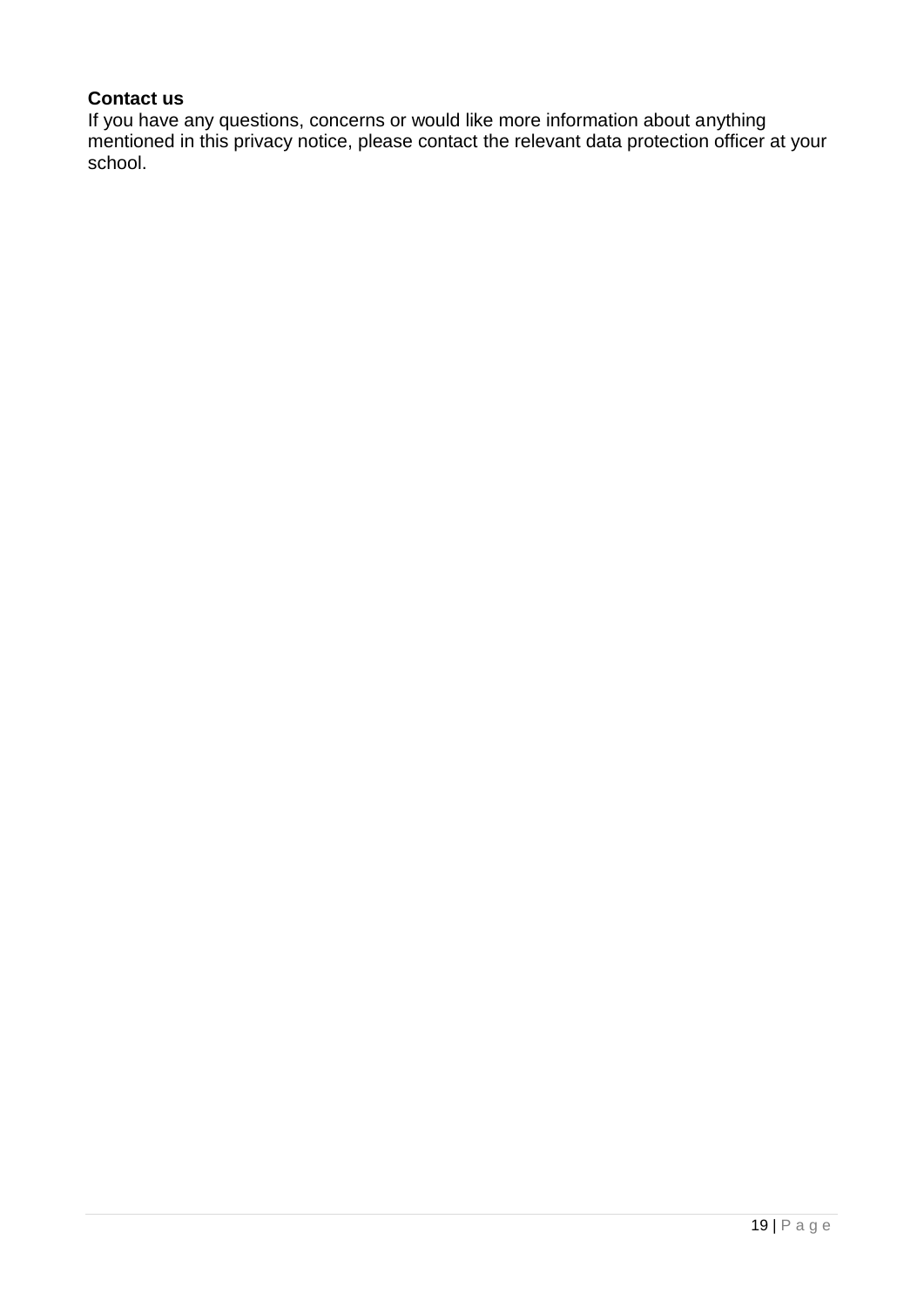# **Contact us**

If you have any questions, concerns or would like more information about anything mentioned in this privacy notice, please contact the relevant data protection officer at your school.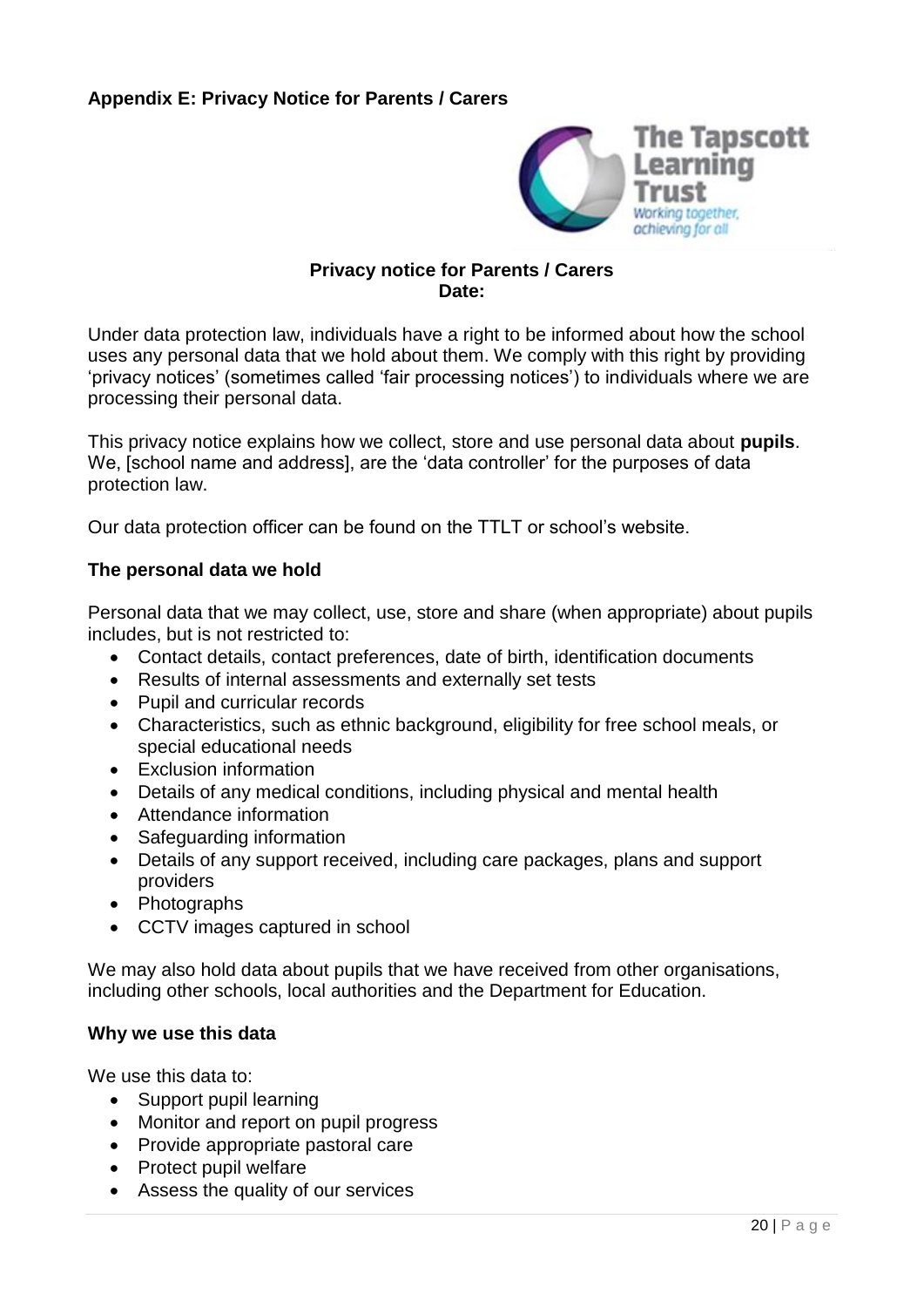

#### **Privacy notice for Parents / Carers Date:**

Under data protection law, individuals have a right to be informed about how the school uses any personal data that we hold about them. We comply with this right by providing 'privacy notices' (sometimes called 'fair processing notices') to individuals where we are processing their personal data.

This privacy notice explains how we collect, store and use personal data about **pupils**. We, [school name and address], are the 'data controller' for the purposes of data protection law.

Our data protection officer can be found on the TTLT or school's website.

#### **The personal data we hold**

Personal data that we may collect, use, store and share (when appropriate) about pupils includes, but is not restricted to:

- Contact details, contact preferences, date of birth, identification documents
- Results of internal assessments and externally set tests
- Pupil and curricular records
- Characteristics, such as ethnic background, eligibility for free school meals, or special educational needs
- Exclusion information
- Details of any medical conditions, including physical and mental health
- Attendance information
- Safeguarding information
- Details of any support received, including care packages, plans and support providers
- Photographs
- CCTV images captured in school

We may also hold data about pupils that we have received from other organisations, including other schools, local authorities and the Department for Education.

#### **Why we use this data**

We use this data to:

- Support pupil learning
- Monitor and report on pupil progress
- Provide appropriate pastoral care
- Protect pupil welfare
- Assess the quality of our services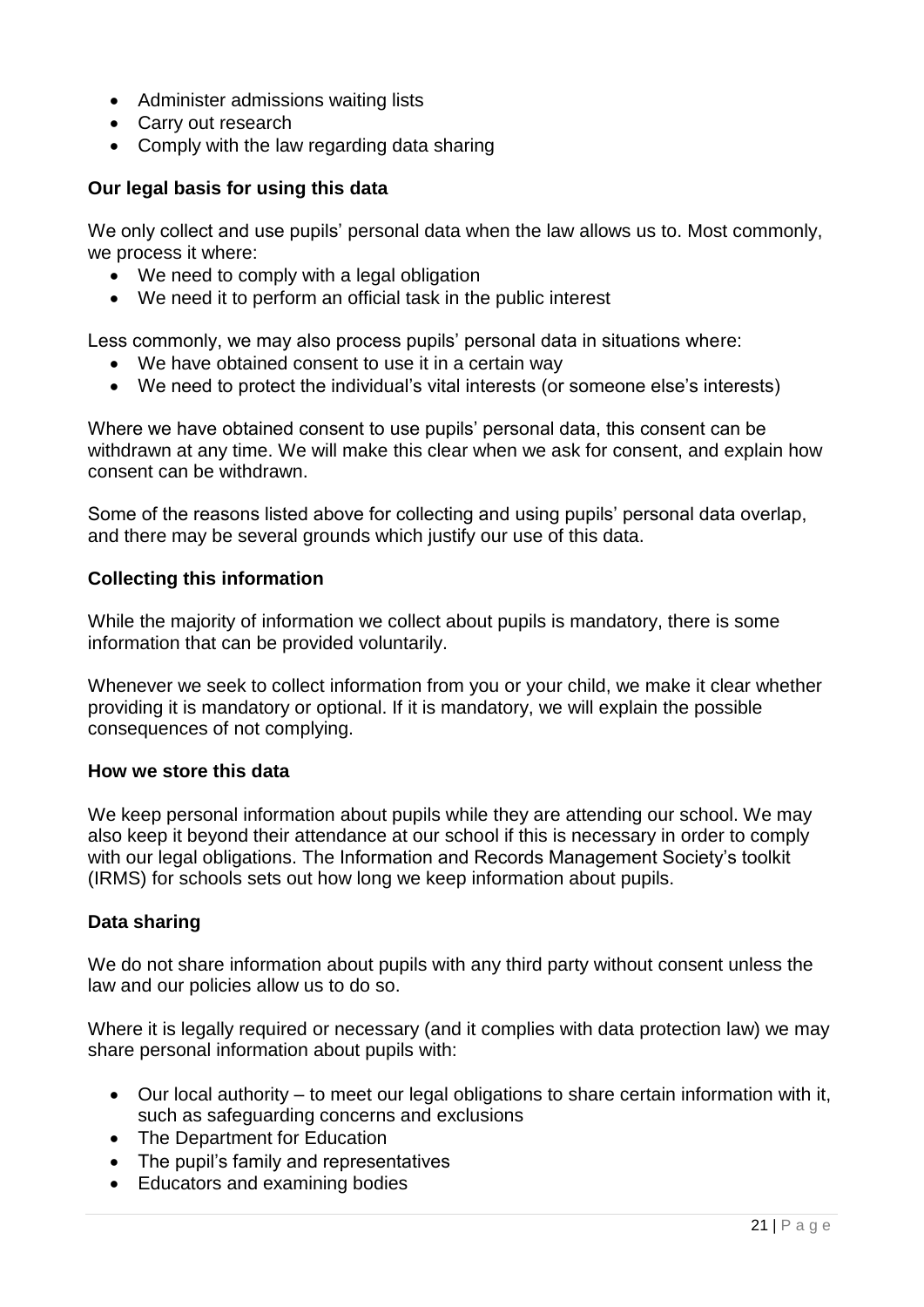- Administer admissions waiting lists
- Carry out research
- Comply with the law regarding data sharing

#### **Our legal basis for using this data**

We only collect and use pupils' personal data when the law allows us to. Most commonly, we process it where:

- We need to comply with a legal obligation
- We need it to perform an official task in the public interest

Less commonly, we may also process pupils' personal data in situations where:

- We have obtained consent to use it in a certain way
- We need to protect the individual's vital interests (or someone else's interests)

Where we have obtained consent to use pupils' personal data, this consent can be withdrawn at any time. We will make this clear when we ask for consent, and explain how consent can be withdrawn.

Some of the reasons listed above for collecting and using pupils' personal data overlap, and there may be several grounds which justify our use of this data.

#### **Collecting this information**

While the majority of information we collect about pupils is mandatory, there is some information that can be provided voluntarily.

Whenever we seek to collect information from you or your child, we make it clear whether providing it is mandatory or optional. If it is mandatory, we will explain the possible consequences of not complying.

#### **How we store this data**

We keep personal information about pupils while they are attending our school. We may also keep it beyond their attendance at our school if this is necessary in order to comply with our legal obligations. The Information and Records Management Society's toolkit (IRMS) for schools sets out how long we keep information about pupils.

#### **Data sharing**

We do not share information about pupils with any third party without consent unless the law and our policies allow us to do so.

Where it is legally required or necessary (and it complies with data protection law) we may share personal information about pupils with:

- Our local authority to meet our legal obligations to share certain information with it, such as safeguarding concerns and exclusions
- The Department for Education
- The pupil's family and representatives
- Educators and examining bodies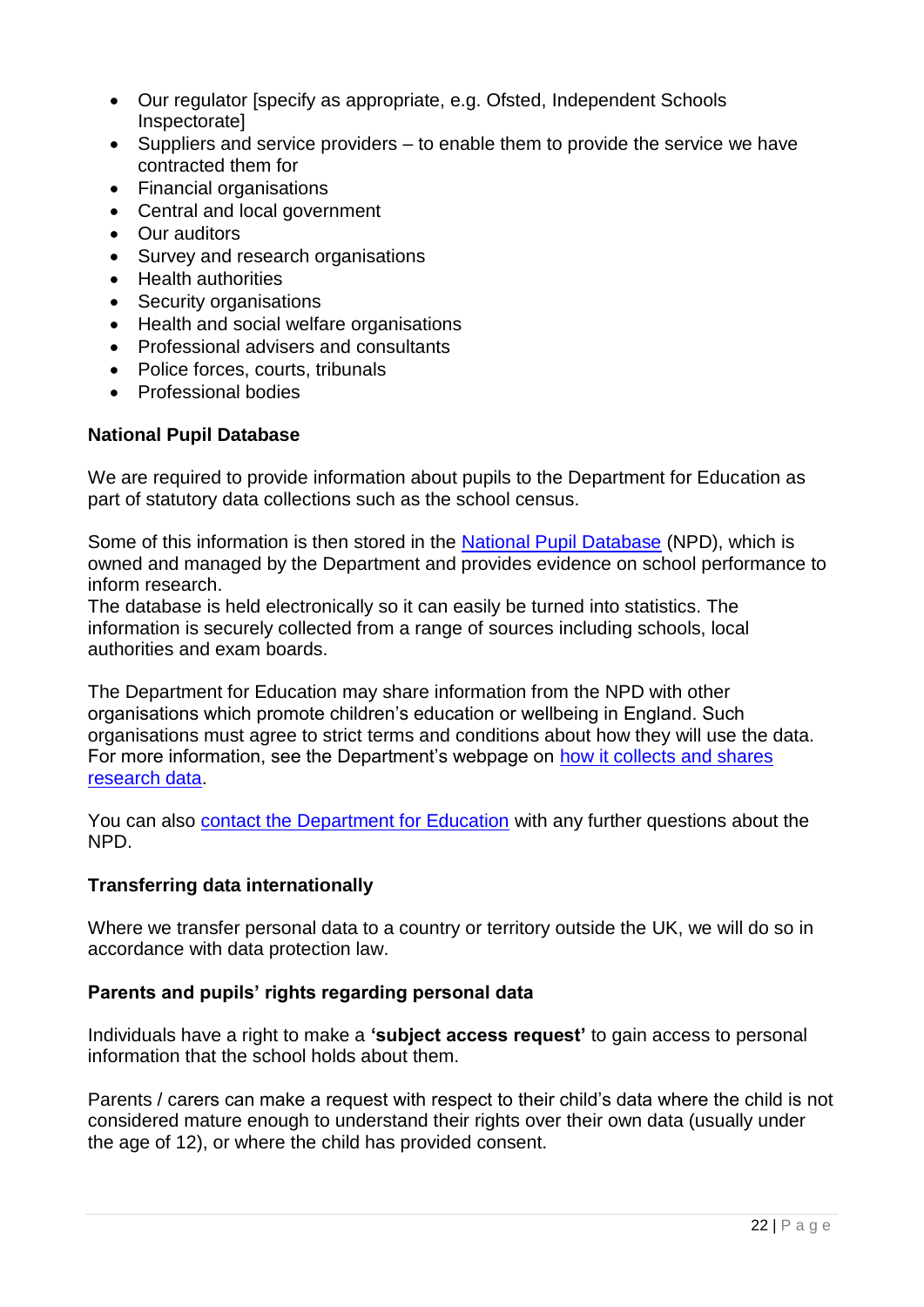- Our regulator [specify as appropriate, e.g. Ofsted, Independent Schools Inspectorate]
- $\bullet$  Suppliers and service providers to enable them to provide the service we have contracted them for
- Financial organisations
- Central and local government
- Our auditors
- Survey and research organisations
- Health authorities
- Security organisations
- Health and social welfare organisations
- Professional advisers and consultants
- Police forces, courts, tribunals
- Professional bodies

### **National Pupil Database**

We are required to provide information about pupils to the Department for Education as part of statutory data collections such as the school census.

Some of this information is then stored in the [National Pupil Database](https://www.gov.uk/government/publications/national-pupil-database-user-guide-and-supporting-information) (NPD), which is owned and managed by the Department and provides evidence on school performance to inform research.

The database is held electronically so it can easily be turned into statistics. The information is securely collected from a range of sources including schools, local authorities and exam boards.

The Department for Education may share information from the NPD with other organisations which promote children's education or wellbeing in England. Such organisations must agree to strict terms and conditions about how they will use the data. For more information, see the Department's webpage on [how it collects and shares](https://www.gov.uk/data-protection-how-we-collect-and-share-research-data)  [research data.](https://www.gov.uk/data-protection-how-we-collect-and-share-research-data)

You can also [contact the Department for Education](https://www.gov.uk/contact-dfe) with any further questions about the NPD.

### **Transferring data internationally**

Where we transfer personal data to a country or territory outside the UK, we will do so in accordance with data protection law.

### **Parents and pupils' rights regarding personal data**

Individuals have a right to make a **'subject access request'** to gain access to personal information that the school holds about them.

Parents / carers can make a request with respect to their child's data where the child is not considered mature enough to understand their rights over their own data (usually under the age of 12), or where the child has provided consent.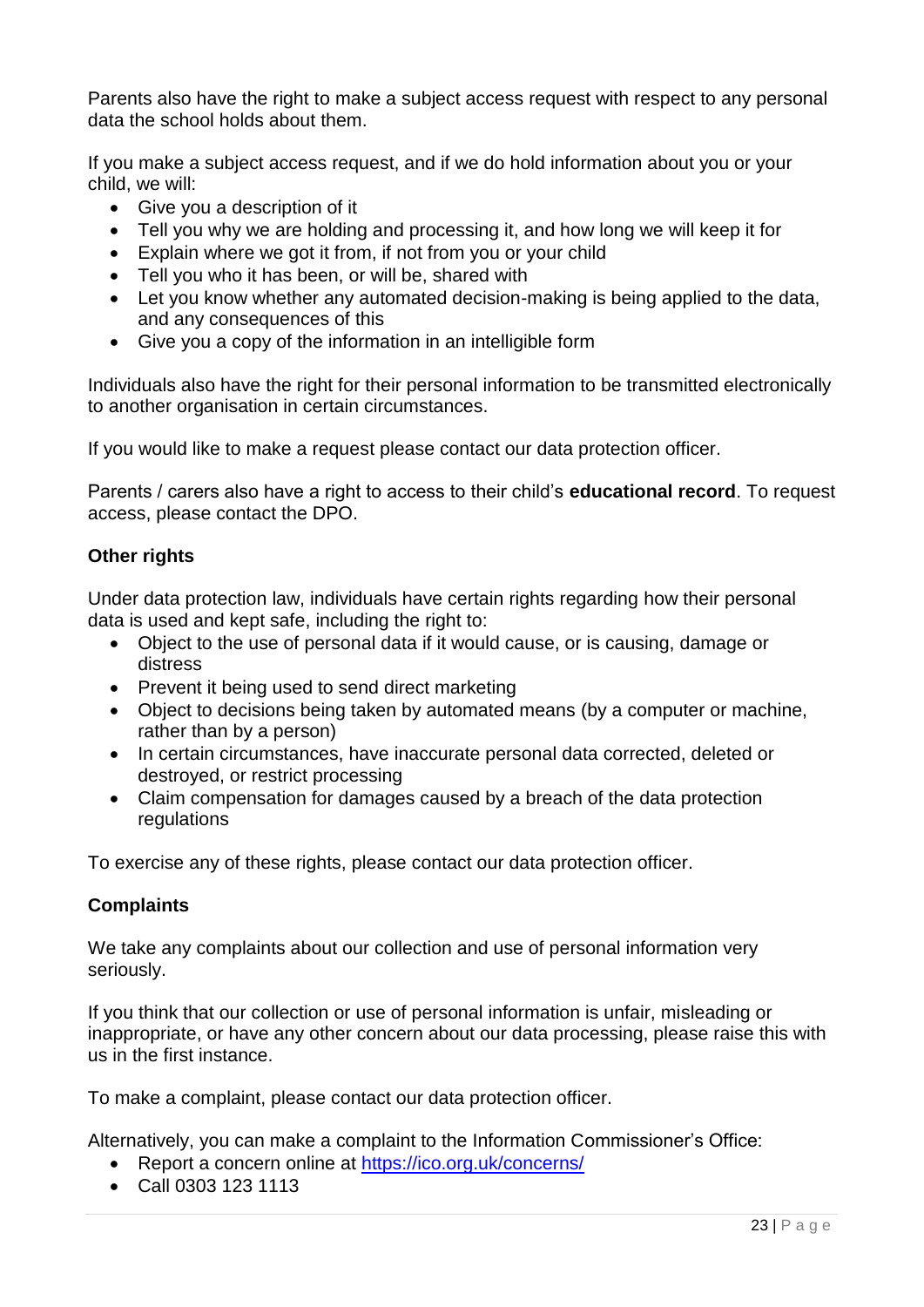Parents also have the right to make a subject access request with respect to any personal data the school holds about them.

If you make a subject access request, and if we do hold information about you or your child, we will:

- Give you a description of it
- Tell you why we are holding and processing it, and how long we will keep it for
- Explain where we got it from, if not from you or your child
- Tell you who it has been, or will be, shared with
- Let you know whether any automated decision-making is being applied to the data, and any consequences of this
- Give you a copy of the information in an intelligible form

Individuals also have the right for their personal information to be transmitted electronically to another organisation in certain circumstances.

If you would like to make a request please contact our data protection officer.

Parents / carers also have a right to access to their child's **educational record**. To request access, please contact the DPO.

### **Other rights**

Under data protection law, individuals have certain rights regarding how their personal data is used and kept safe, including the right to:

- Object to the use of personal data if it would cause, or is causing, damage or distress
- Prevent it being used to send direct marketing
- Object to decisions being taken by automated means (by a computer or machine, rather than by a person)
- In certain circumstances, have inaccurate personal data corrected, deleted or destroyed, or restrict processing
- Claim compensation for damages caused by a breach of the data protection regulations

To exercise any of these rights, please contact our data protection officer.

### **Complaints**

We take any complaints about our collection and use of personal information very seriously.

If you think that our collection or use of personal information is unfair, misleading or inappropriate, or have any other concern about our data processing, please raise this with us in the first instance.

To make a complaint, please contact our data protection officer.

Alternatively, you can make a complaint to the Information Commissioner's Office:

- Report a concern online at<https://ico.org.uk/concerns/>
- Call 0303 123 1113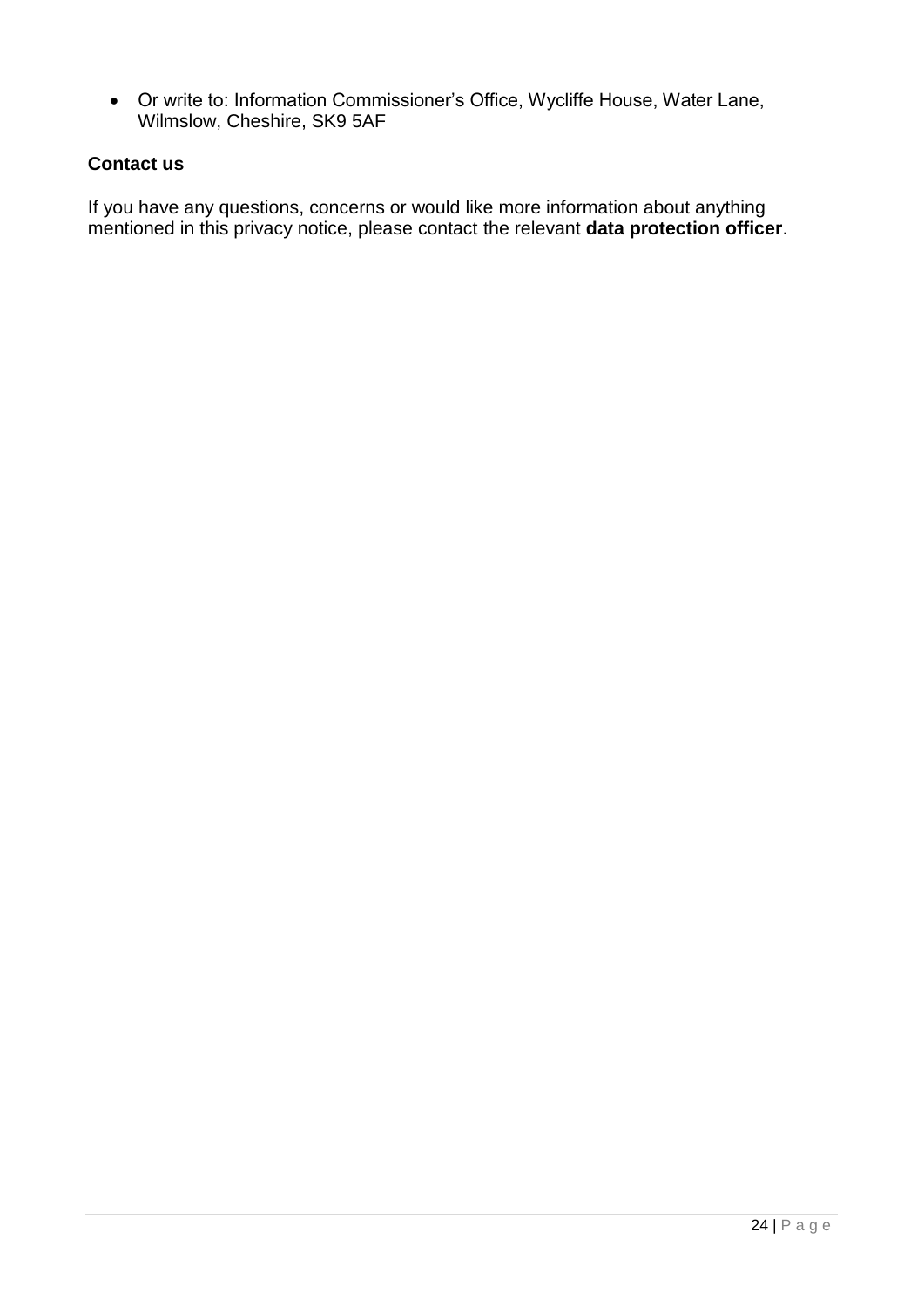Or write to: Information Commissioner's Office, Wycliffe House, Water Lane, Wilmslow, Cheshire, SK9 5AF

### **Contact us**

If you have any questions, concerns or would like more information about anything mentioned in this privacy notice, please contact the relevant **data protection officer**.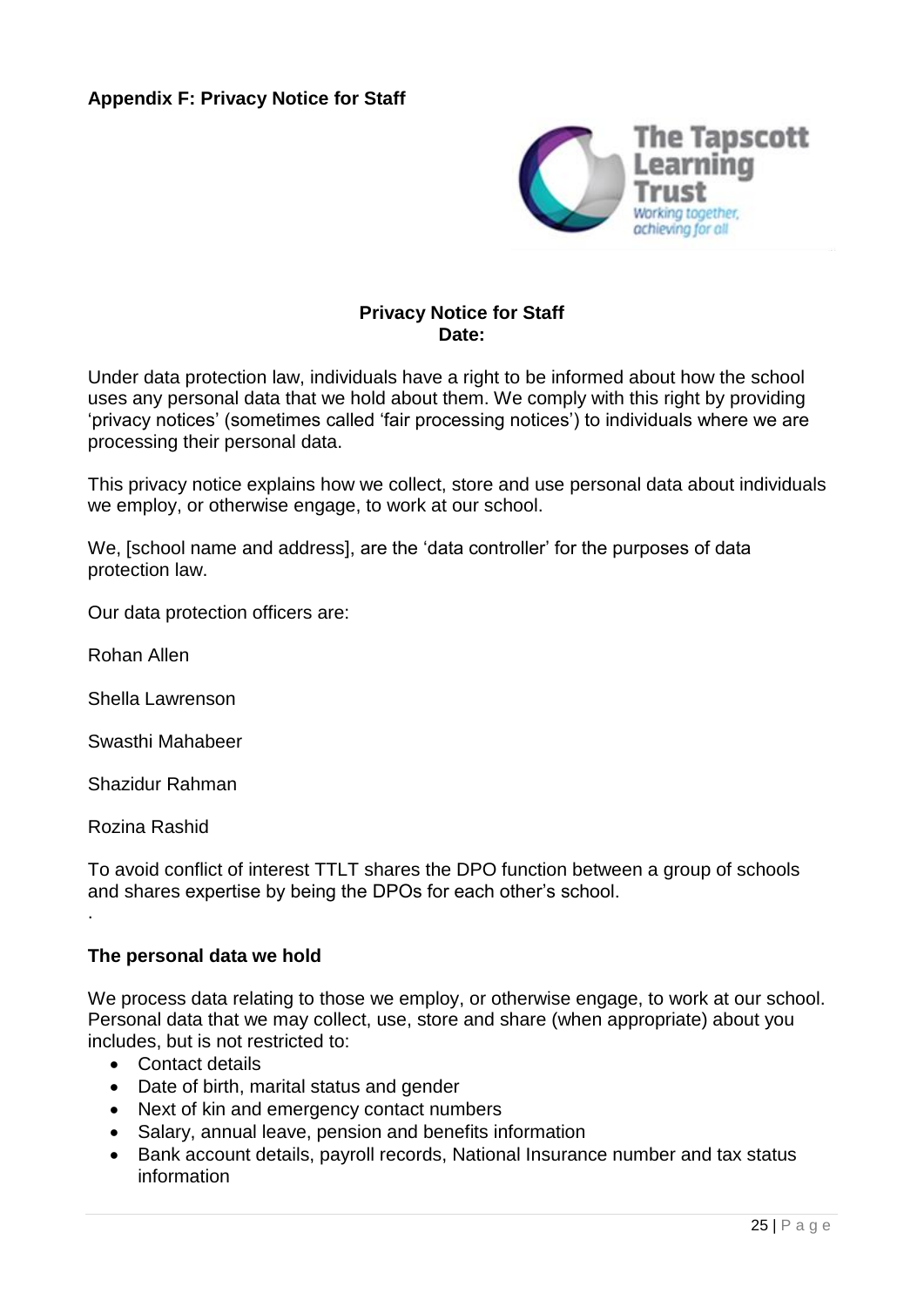

### **Privacy Notice for Staff Date:**

Under data protection law, individuals have a right to be informed about how the school uses any personal data that we hold about them. We comply with this right by providing 'privacy notices' (sometimes called 'fair processing notices') to individuals where we are processing their personal data.

This privacy notice explains how we collect, store and use personal data about individuals we employ, or otherwise engage, to work at our school.

We, [school name and address], are the 'data controller' for the purposes of data protection law.

Our data protection officers are:

Rohan Allen

Shella Lawrenson

Swasthi Mahabeer

Shazidur Rahman

Rozina Rashid

.

To avoid conflict of interest TTLT shares the DPO function between a group of schools and shares expertise by being the DPOs for each other's school.

#### **The personal data we hold**

We process data relating to those we employ, or otherwise engage, to work at our school. Personal data that we may collect, use, store and share (when appropriate) about you includes, but is not restricted to:

- Contact details
- Date of birth, marital status and gender
- Next of kin and emergency contact numbers
- Salary, annual leave, pension and benefits information
- Bank account details, payroll records, National Insurance number and tax status information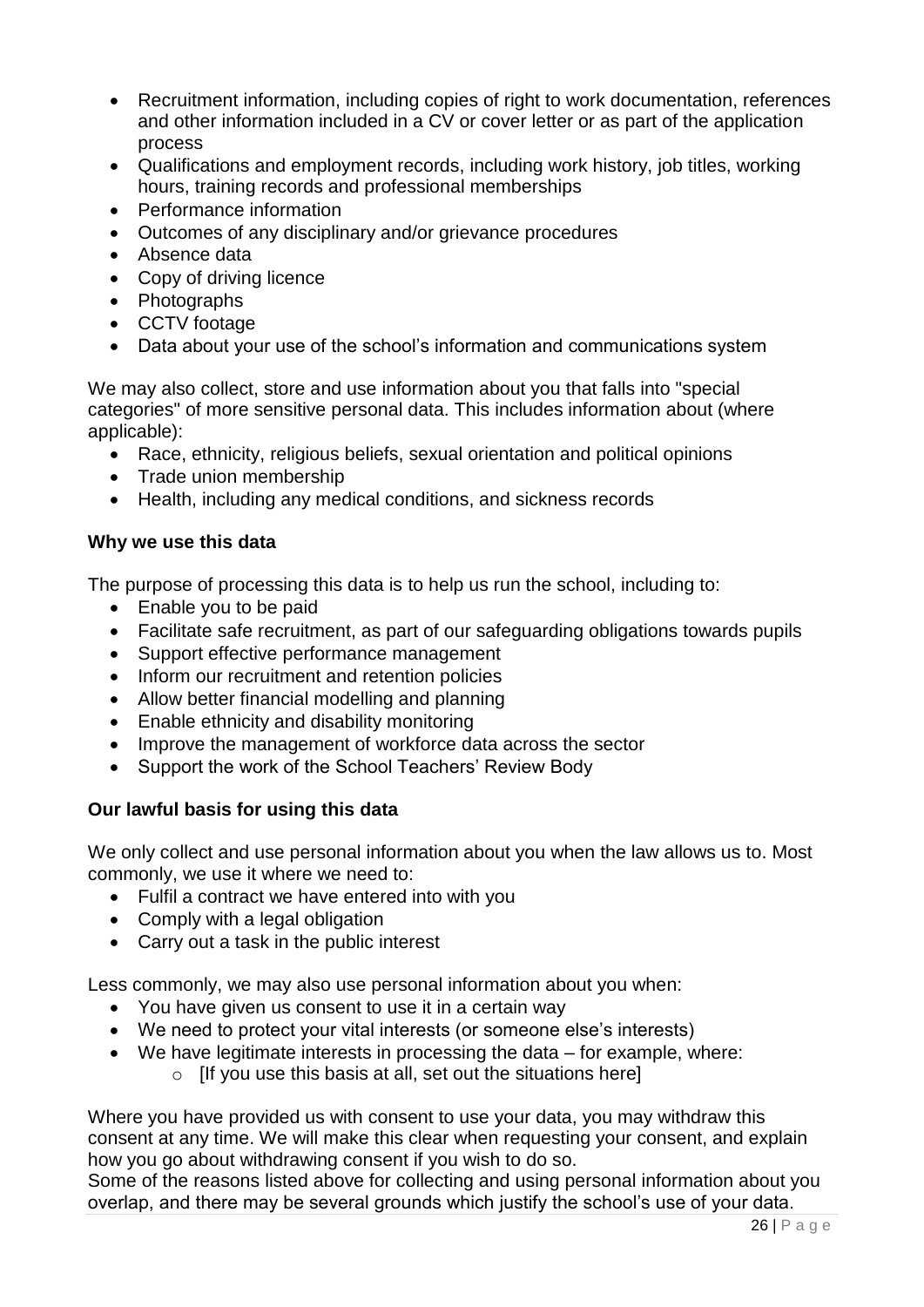- Recruitment information, including copies of right to work documentation, references and other information included in a CV or cover letter or as part of the application process
- Qualifications and employment records, including work history, job titles, working hours, training records and professional memberships
- Performance information
- Outcomes of any disciplinary and/or grievance procedures
- Absence data
- Copy of driving licence
- Photographs
- CCTV footage
- Data about your use of the school's information and communications system

We may also collect, store and use information about you that falls into "special categories" of more sensitive personal data. This includes information about (where applicable):

- Race, ethnicity, religious beliefs, sexual orientation and political opinions
- Trade union membership
- Health, including any medical conditions, and sickness records

#### **Why we use this data**

The purpose of processing this data is to help us run the school, including to:

- Enable you to be paid
- Facilitate safe recruitment, as part of our safeguarding obligations towards pupils
- Support effective performance management
- Inform our recruitment and retention policies
- Allow better financial modelling and planning
- Enable ethnicity and disability monitoring
- Improve the management of workforce data across the sector
- Support the work of the School Teachers' Review Body

#### **Our lawful basis for using this data**

We only collect and use personal information about you when the law allows us to. Most commonly, we use it where we need to:

- Fulfil a contract we have entered into with you
- Comply with a legal obligation
- Carry out a task in the public interest

Less commonly, we may also use personal information about you when:

- You have given us consent to use it in a certain way
- We need to protect your vital interests (or someone else's interests)
- $\bullet$  We have legitimate interests in processing the data for example, where:
	- $\circ$  [If you use this basis at all, set out the situations here]

Where you have provided us with consent to use your data, you may withdraw this consent at any time. We will make this clear when requesting your consent, and explain how you go about withdrawing consent if you wish to do so.

Some of the reasons listed above for collecting and using personal information about you overlap, and there may be several grounds which justify the school's use of your data.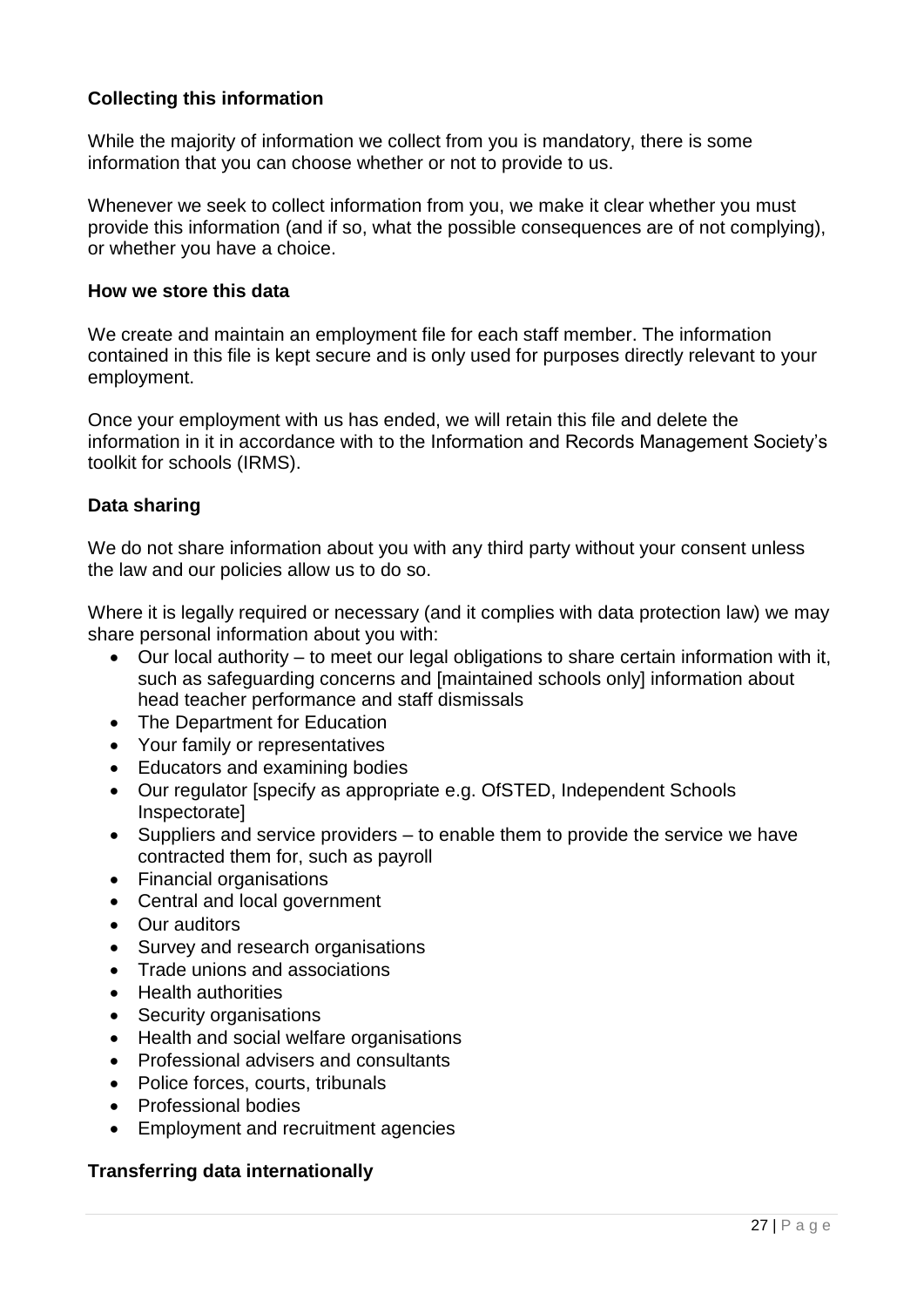### **Collecting this information**

While the majority of information we collect from you is mandatory, there is some information that you can choose whether or not to provide to us.

Whenever we seek to collect information from you, we make it clear whether you must provide this information (and if so, what the possible consequences are of not complying), or whether you have a choice.

#### **How we store this data**

We create and maintain an employment file for each staff member. The information contained in this file is kept secure and is only used for purposes directly relevant to your employment.

Once your employment with us has ended, we will retain this file and delete the information in it in accordance with to the Information and Records Management Society's toolkit for schools (IRMS).

#### **Data sharing**

We do not share information about you with any third party without your consent unless the law and our policies allow us to do so.

Where it is legally required or necessary (and it complies with data protection law) we may share personal information about you with:

- Our local authority to meet our legal obligations to share certain information with it, such as safeguarding concerns and [maintained schools only] information about head teacher performance and staff dismissals
- The Department for Education
- Your family or representatives
- Educators and examining bodies
- Our regulator [specify as appropriate e.g. OfSTED, Independent Schools Inspectorate]
- $\bullet$  Suppliers and service providers to enable them to provide the service we have contracted them for, such as payroll
- Financial organisations
- Central and local government
- Our auditors
- Survey and research organisations
- Trade unions and associations
- Health authorities
- Security organisations
- Health and social welfare organisations
- Professional advisers and consultants
- Police forces, courts, tribunals
- Professional bodies
- Employment and recruitment agencies

#### **Transferring data internationally**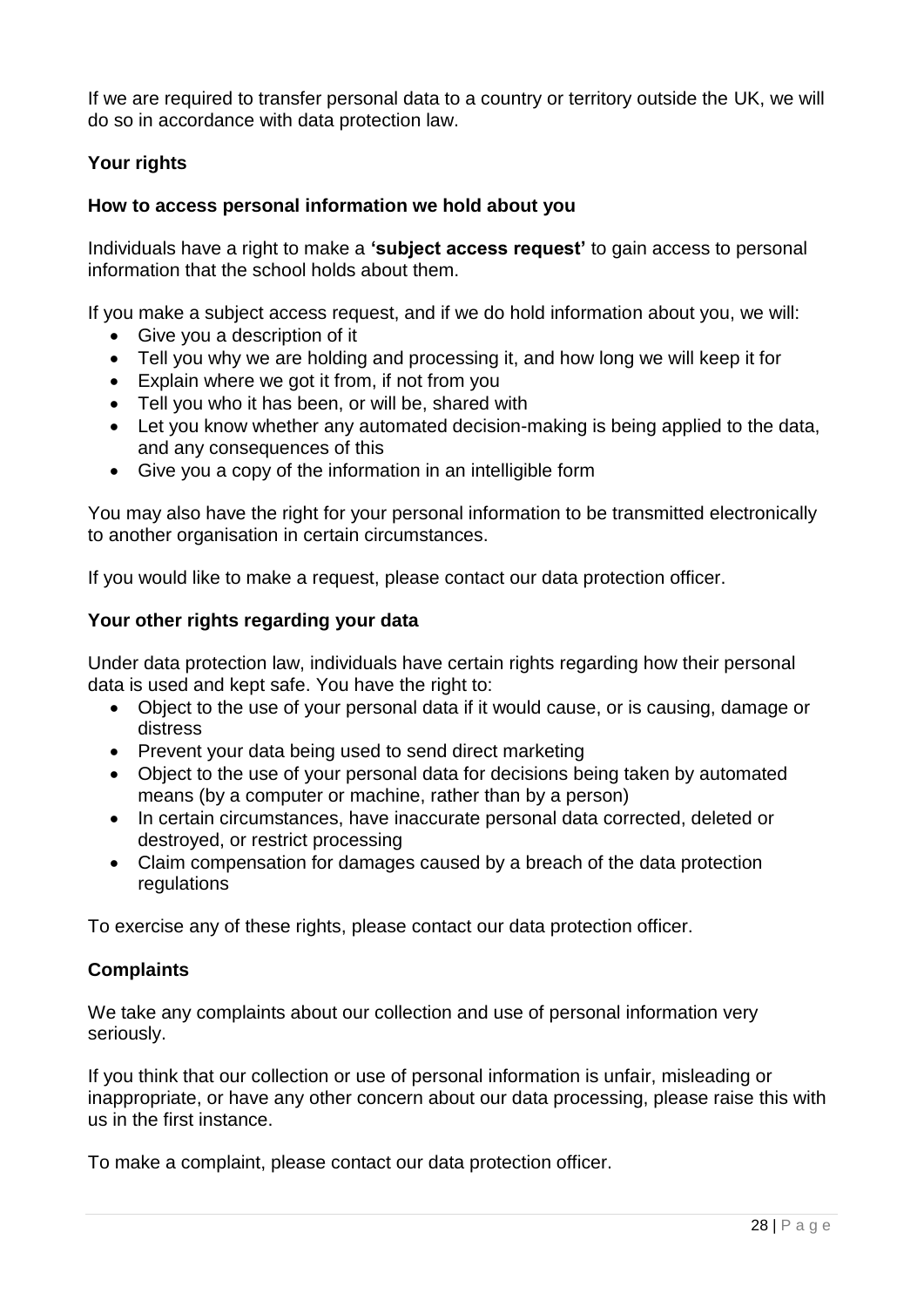If we are required to transfer personal data to a country or territory outside the UK, we will do so in accordance with data protection law.

### **Your rights**

### **How to access personal information we hold about you**

Individuals have a right to make a **'subject access request'** to gain access to personal information that the school holds about them.

If you make a subject access request, and if we do hold information about you, we will:

- Give you a description of it
- Tell you why we are holding and processing it, and how long we will keep it for
- Explain where we got it from, if not from you
- Tell you who it has been, or will be, shared with
- Let you know whether any automated decision-making is being applied to the data, and any consequences of this
- Give you a copy of the information in an intelligible form

You may also have the right for your personal information to be transmitted electronically to another organisation in certain circumstances.

If you would like to make a request, please contact our data protection officer.

### **Your other rights regarding your data**

Under data protection law, individuals have certain rights regarding how their personal data is used and kept safe. You have the right to:

- Object to the use of your personal data if it would cause, or is causing, damage or distress
- Prevent your data being used to send direct marketing
- Object to the use of your personal data for decisions being taken by automated means (by a computer or machine, rather than by a person)
- In certain circumstances, have inaccurate personal data corrected, deleted or destroyed, or restrict processing
- Claim compensation for damages caused by a breach of the data protection regulations

To exercise any of these rights, please contact our data protection officer.

### **Complaints**

We take any complaints about our collection and use of personal information very seriously.

If you think that our collection or use of personal information is unfair, misleading or inappropriate, or have any other concern about our data processing, please raise this with us in the first instance.

To make a complaint, please contact our data protection officer.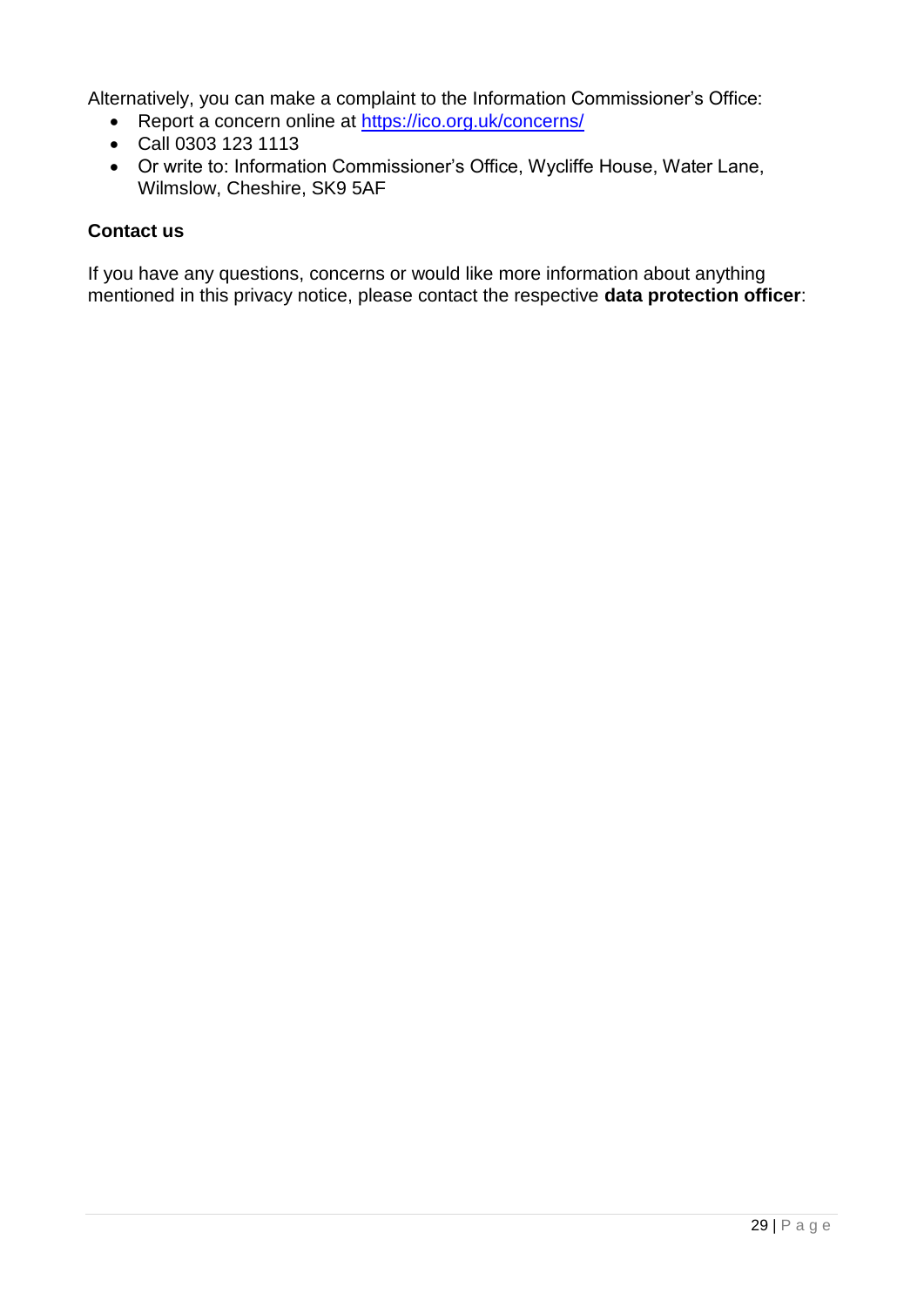Alternatively, you can make a complaint to the Information Commissioner's Office:

- Report a concern online at<https://ico.org.uk/concerns/>
- Call 0303 123 1113
- Or write to: Information Commissioner's Office, Wycliffe House, Water Lane, Wilmslow, Cheshire, SK9 5AF

### **Contact us**

If you have any questions, concerns or would like more information about anything mentioned in this privacy notice, please contact the respective **data protection officer**: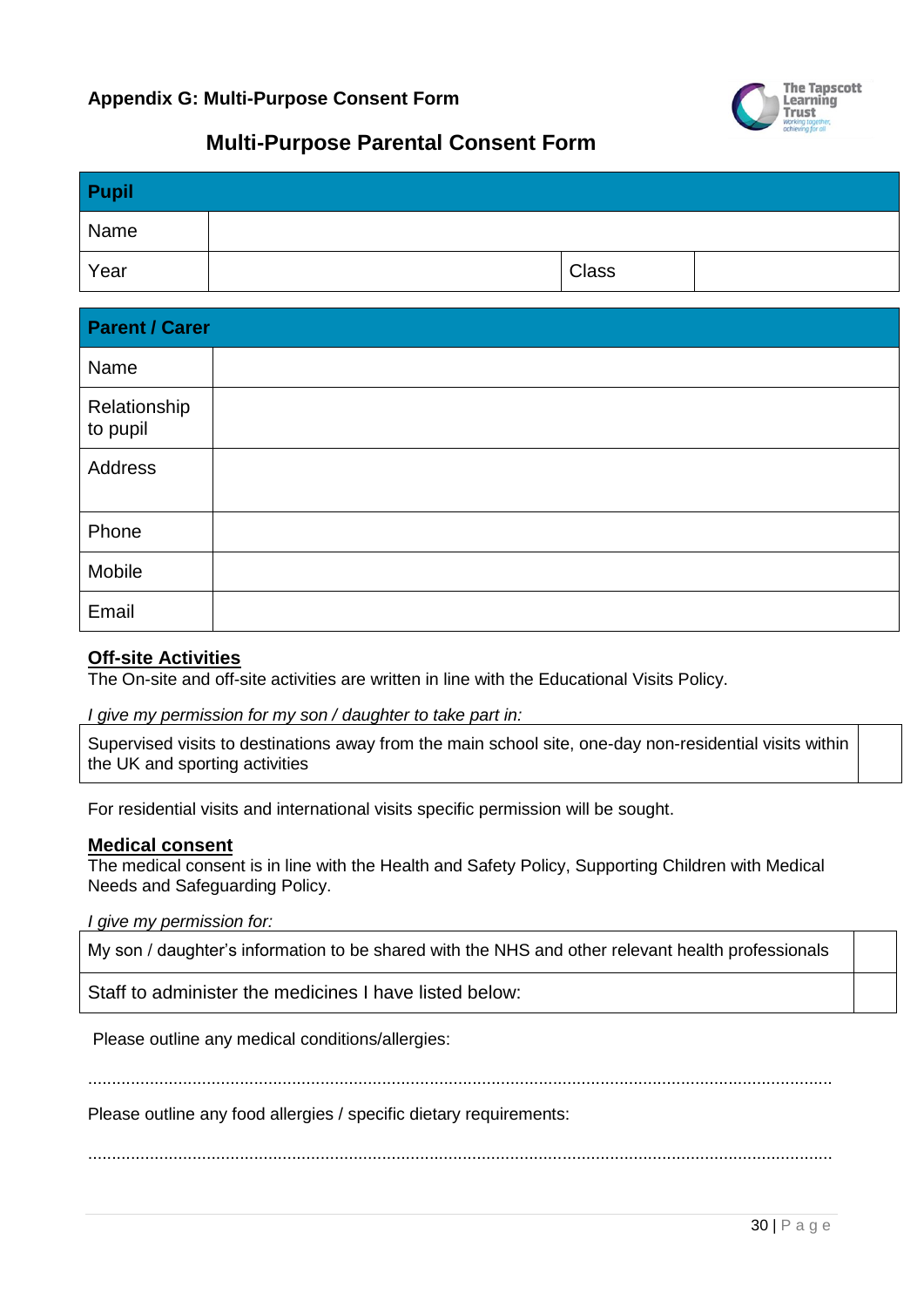

# **Multi-Purpose Parental Consent Form**

| Pupil |              |  |
|-------|--------------|--|
| Name  |              |  |
| Year  | <b>Class</b> |  |

| <b>Parent / Carer</b>    |  |  |  |
|--------------------------|--|--|--|
| Name                     |  |  |  |
| Relationship<br>to pupil |  |  |  |
| Address                  |  |  |  |
| Phone                    |  |  |  |
| Mobile                   |  |  |  |
| Email                    |  |  |  |

#### **Off-site Activities**

The On-site and off-site activities are written in line with the Educational Visits Policy.

*I give my permission for my son / daughter to take part in:*

Supervised visits to destinations away from the main school site, one-day non-residential visits within the UK and sporting activities

For residential visits and international visits specific permission will be sought.

#### **Medical consent**

The medical consent is in line with the Health and Safety Policy, Supporting Children with Medical Needs and Safeguarding Policy.

*I give my permission for:*

My son / daughter's information to be shared with the NHS and other relevant health professionals

Staff to administer the medicines I have listed below:

Please outline any medical conditions/allergies:

.............................................................................................................................................................

Please outline any food allergies / specific dietary requirements:

.............................................................................................................................................................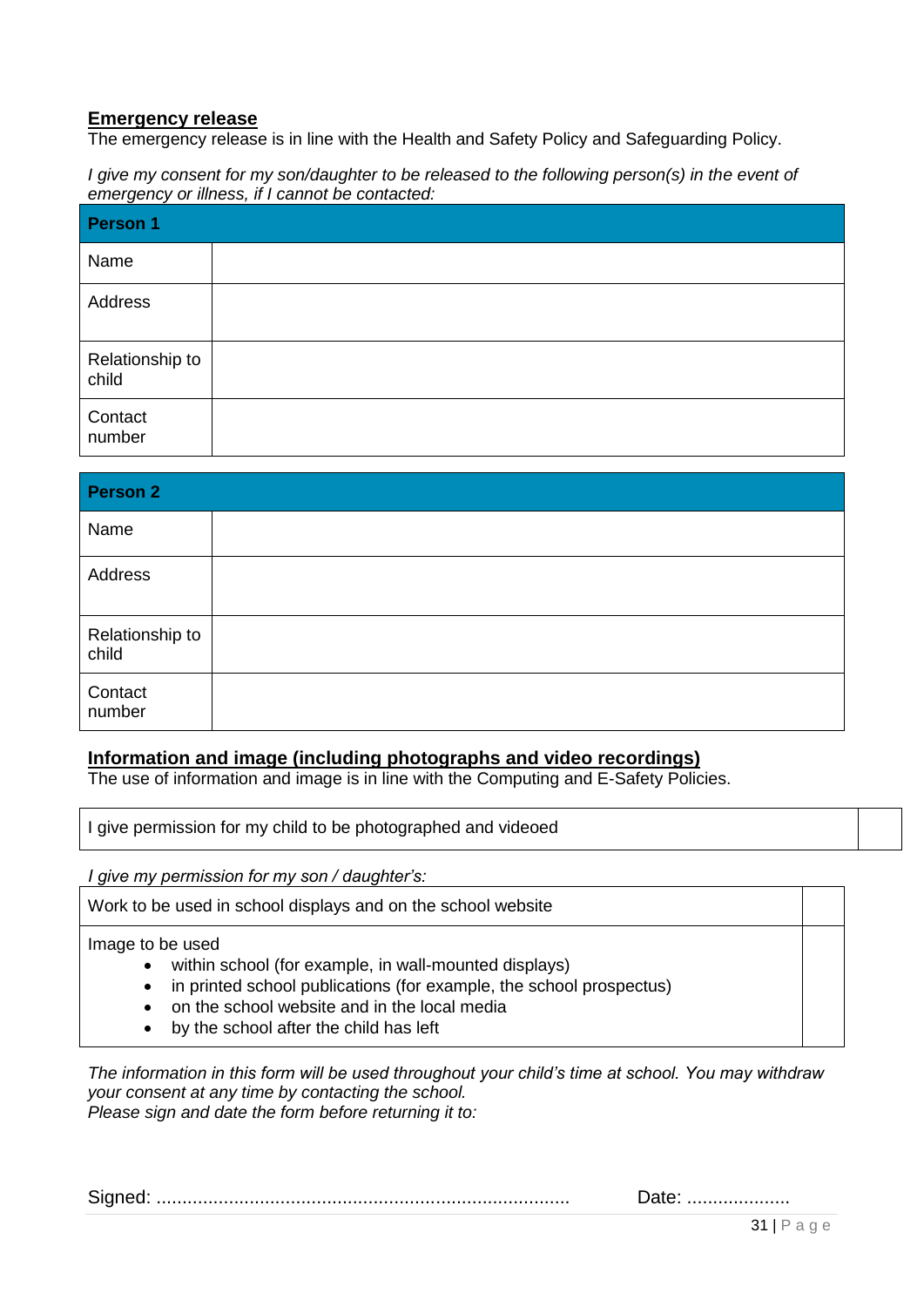#### **Emergency release**

The emergency release is in line with the Health and Safety Policy and Safeguarding Policy.

*I give my consent for my son/daughter to be released to the following person(s) in the event of emergency or illness, if I cannot be contacted:*

| Person 1                 |  |
|--------------------------|--|
| Name                     |  |
| Address                  |  |
| Relationship to<br>child |  |
| Contact<br>number        |  |

| <b>Person 2</b>          |  |
|--------------------------|--|
| Name                     |  |
| Address                  |  |
| Relationship to<br>child |  |
| Contact<br>number        |  |

#### **Information and image (including photographs and video recordings)**

The use of information and image is in line with the Computing and E-Safety Policies.

I give permission for my child to be photographed and videoed

*I give my permission for my son / daughter's:*

Work to be used in school displays and on the school website

Image to be used

- within school (for example, in wall-mounted displays)
- in printed school publications (for example, the school prospectus)
- on the school website and in the local media
- by the school after the child has left

*The information in this form will be used throughout your child's time at school. You may withdraw your consent at any time by contacting the school. Please sign and date the form before returning it to:* 

|  |  | — alt, ………………… |
|--|--|----------------|
|--|--|----------------|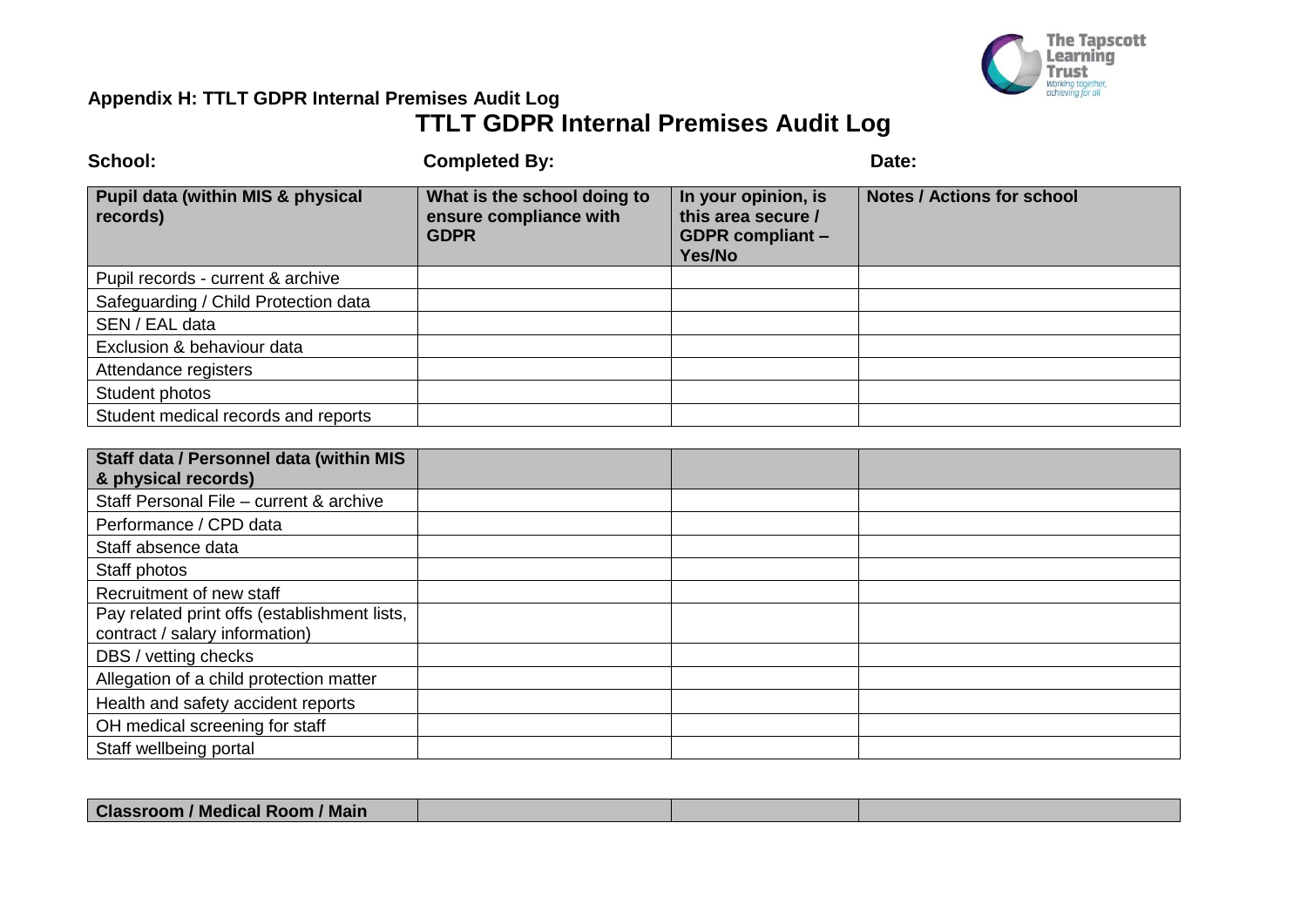

# **Appendix H: TTLT GDPR Internal Premises Audit Log TTLT GDPR Internal Premises Audit Log**

| School:                                                                        | <b>Completed By:</b>                                                 |                                                                                | Date:                             |
|--------------------------------------------------------------------------------|----------------------------------------------------------------------|--------------------------------------------------------------------------------|-----------------------------------|
| <b>Pupil data (within MIS &amp; physical</b><br>records)                       | What is the school doing to<br>ensure compliance with<br><b>GDPR</b> | In your opinion, is<br>this area secure /<br><b>GDPR</b> compliant -<br>Yes/No | <b>Notes / Actions for school</b> |
| Pupil records - current & archive                                              |                                                                      |                                                                                |                                   |
| Safeguarding / Child Protection data                                           |                                                                      |                                                                                |                                   |
| SEN / EAL data                                                                 |                                                                      |                                                                                |                                   |
| Exclusion & behaviour data                                                     |                                                                      |                                                                                |                                   |
| Attendance registers                                                           |                                                                      |                                                                                |                                   |
| Student photos                                                                 |                                                                      |                                                                                |                                   |
| Student medical records and reports                                            |                                                                      |                                                                                |                                   |
|                                                                                |                                                                      |                                                                                |                                   |
| Staff data / Personnel data (within MIS<br>& physical records)                 |                                                                      |                                                                                |                                   |
| Staff Personal File - current & archive                                        |                                                                      |                                                                                |                                   |
| Performance / CPD data                                                         |                                                                      |                                                                                |                                   |
| Staff absence data                                                             |                                                                      |                                                                                |                                   |
| Staff photos                                                                   |                                                                      |                                                                                |                                   |
| Recruitment of new staff                                                       |                                                                      |                                                                                |                                   |
| Pay related print offs (establishment lists,<br>contract / salary information) |                                                                      |                                                                                |                                   |
| DBS / vetting checks                                                           |                                                                      |                                                                                |                                   |
| Allegation of a child protection matter                                        |                                                                      |                                                                                |                                   |
| Health and safety accident reports                                             |                                                                      |                                                                                |                                   |
| OH medical screening for staff                                                 |                                                                      |                                                                                |                                   |
| Staff wellbeing portal                                                         |                                                                      |                                                                                |                                   |

| <b>Classroom / Medical Room / Main</b> |  |  |
|----------------------------------------|--|--|
|                                        |  |  |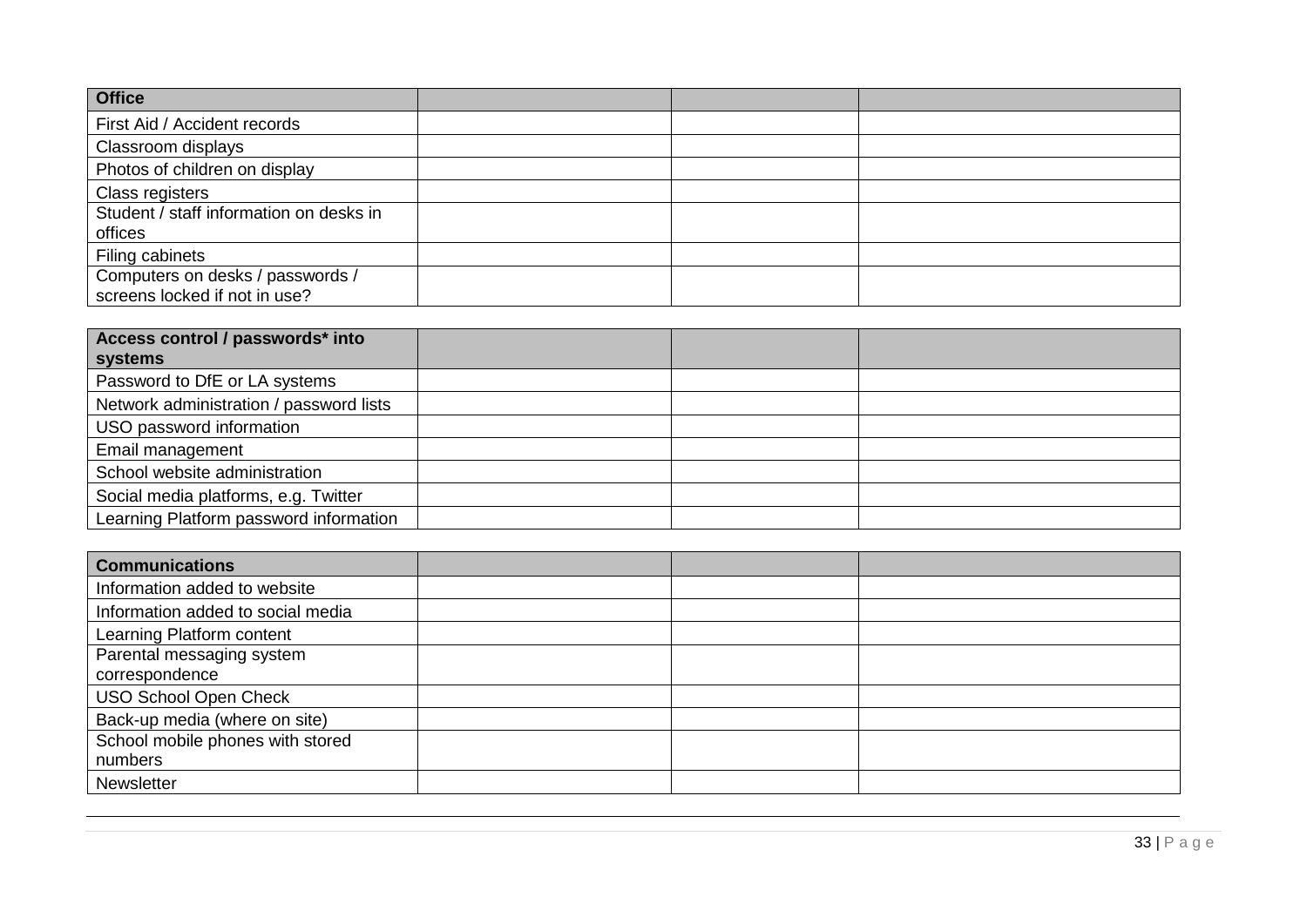| <b>Office</b>                                                     |  |
|-------------------------------------------------------------------|--|
| First Aid / Accident records                                      |  |
| Classroom displays                                                |  |
| Photos of children on display                                     |  |
| Class registers                                                   |  |
| Student / staff information on desks in<br>offices                |  |
| Filing cabinets                                                   |  |
| Computers on desks / passwords /<br>screens locked if not in use? |  |

| Access control / passwords* into        |  |  |
|-----------------------------------------|--|--|
| systems                                 |  |  |
| Password to DfE or LA systems           |  |  |
| Network administration / password lists |  |  |
| USO password information                |  |  |
| Email management                        |  |  |
| School website administration           |  |  |
| Social media platforms, e.g. Twitter    |  |  |
| Learning Platform password information  |  |  |

| <b>Communications</b>             |  |  |
|-----------------------------------|--|--|
| Information added to website      |  |  |
| Information added to social media |  |  |
| Learning Platform content         |  |  |
| Parental messaging system         |  |  |
| correspondence                    |  |  |
| <b>USO School Open Check</b>      |  |  |
| Back-up media (where on site)     |  |  |
| School mobile phones with stored  |  |  |
| numbers                           |  |  |
| <b>Newsletter</b>                 |  |  |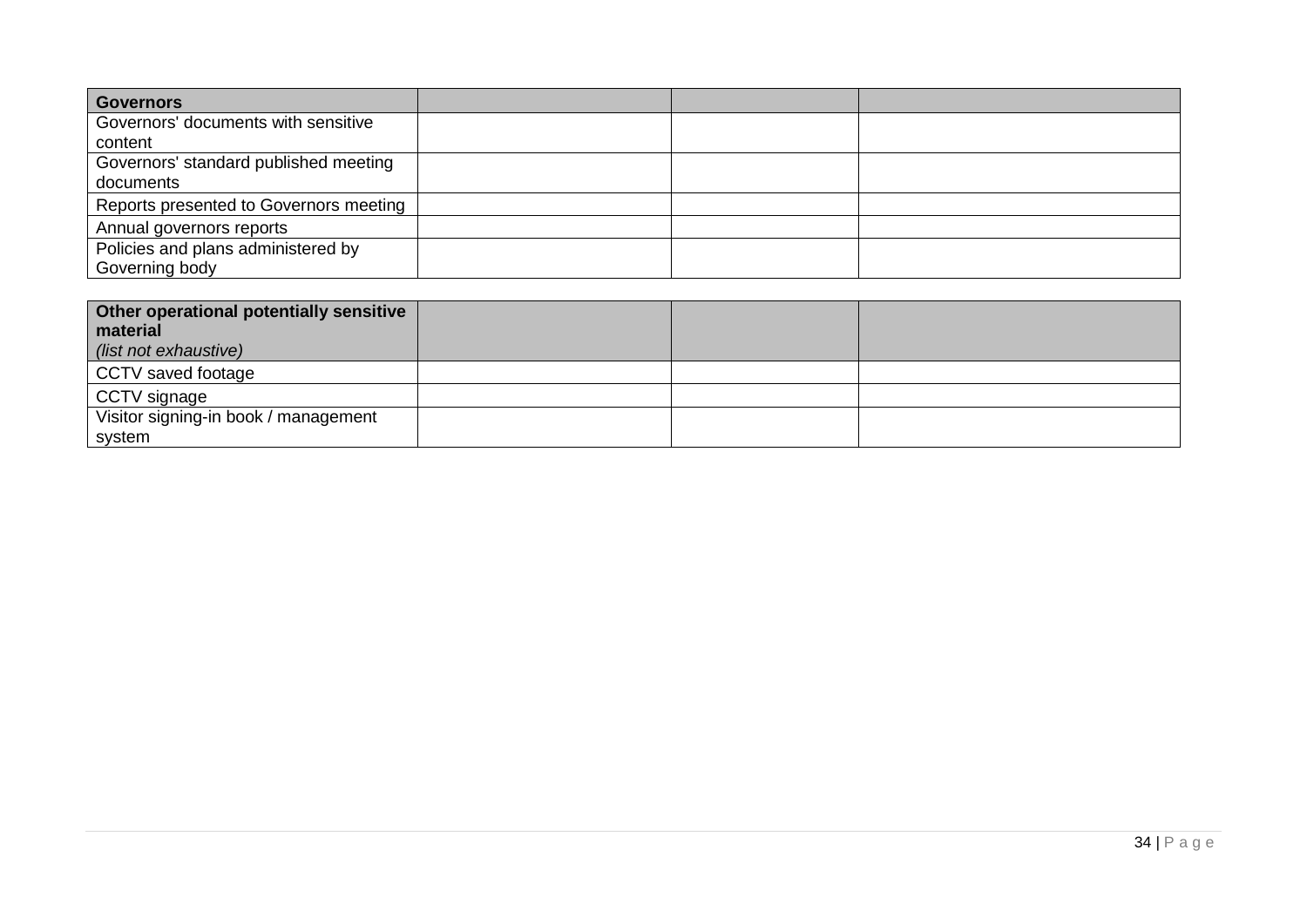| <b>Governors</b>                       |  |  |
|----------------------------------------|--|--|
| Governors' documents with sensitive    |  |  |
| content                                |  |  |
| Governors' standard published meeting  |  |  |
| documents                              |  |  |
| Reports presented to Governors meeting |  |  |
| Annual governors reports               |  |  |
| Policies and plans administered by     |  |  |
| Governing body                         |  |  |

| Other operational potentially sensitive<br>material<br>(list not exhaustive) |  |  |
|------------------------------------------------------------------------------|--|--|
| CCTV saved footage                                                           |  |  |
| CCTV signage                                                                 |  |  |
| Visitor signing-in book / management                                         |  |  |
| system                                                                       |  |  |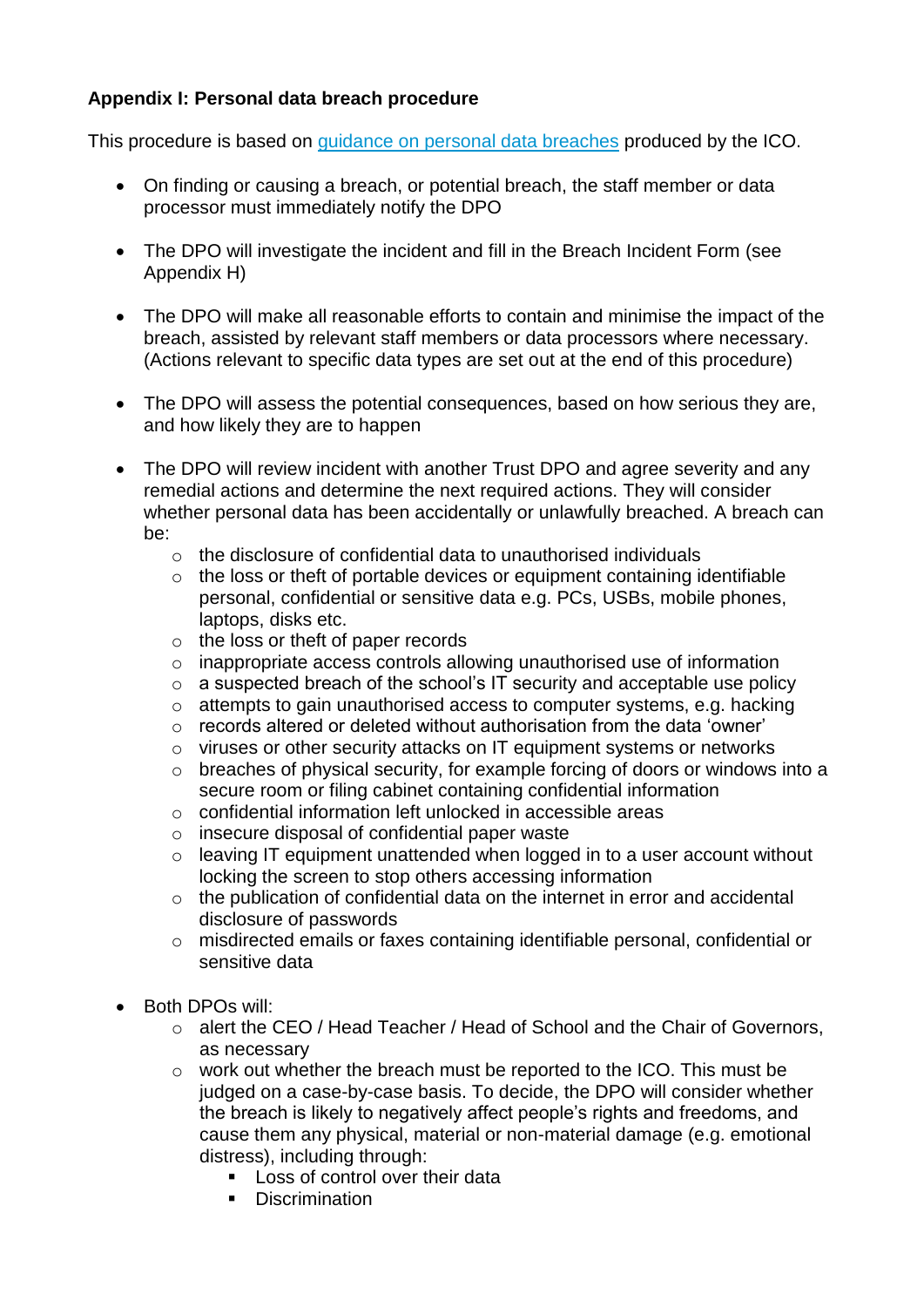# **Appendix I: Personal data breach procedure**

This procedure is based on [guidance on personal data breaches](https://ico.org.uk/for-organisations/guide-to-the-general-data-protection-regulation-gdpr/personal-data-breaches/) produced by the ICO.

- On finding or causing a breach, or potential breach, the staff member or data processor must immediately notify the DPO
- The DPO will investigate the incident and fill in the Breach Incident Form (see Appendix H)
- The DPO will make all reasonable efforts to contain and minimise the impact of the breach, assisted by relevant staff members or data processors where necessary. (Actions relevant to specific data types are set out at the end of this procedure)
- The DPO will assess the potential consequences, based on how serious they are, and how likely they are to happen
- The DPO will review incident with another Trust DPO and agree severity and any remedial actions and determine the next required actions. They will consider whether personal data has been accidentally or unlawfully breached. A breach can be:
	- $\circ$  the disclosure of confidential data to unauthorised individuals
	- o the loss or theft of portable devices or equipment containing identifiable personal, confidential or sensitive data e.g. PCs, USBs, mobile phones, laptops, disks etc.
	- o the loss or theft of paper records
	- o inappropriate access controls allowing unauthorised use of information
	- o a suspected breach of the school's IT security and acceptable use policy
	- o attempts to gain unauthorised access to computer systems, e.g. hacking
	- o records altered or deleted without authorisation from the data 'owner'
	- o viruses or other security attacks on IT equipment systems or networks
	- o breaches of physical security, for example forcing of doors or windows into a secure room or filing cabinet containing confidential information
	- o confidential information left unlocked in accessible areas
	- o insecure disposal of confidential paper waste
	- o leaving IT equipment unattended when logged in to a user account without locking the screen to stop others accessing information
	- o the publication of confidential data on the internet in error and accidental disclosure of passwords
	- o misdirected emails or faxes containing identifiable personal, confidential or sensitive data
- Both DPOs will:
	- o alert the CEO / Head Teacher / Head of School and the Chair of Governors, as necessary
	- o work out whether the breach must be reported to the ICO. This must be judged on a case-by-case basis. To decide, the DPO will consider whether the breach is likely to negatively affect people's rights and freedoms, and cause them any physical, material or non-material damage (e.g. emotional distress), including through:
		- $\blacksquare$  Loss of control over their data
		- **Discrimination**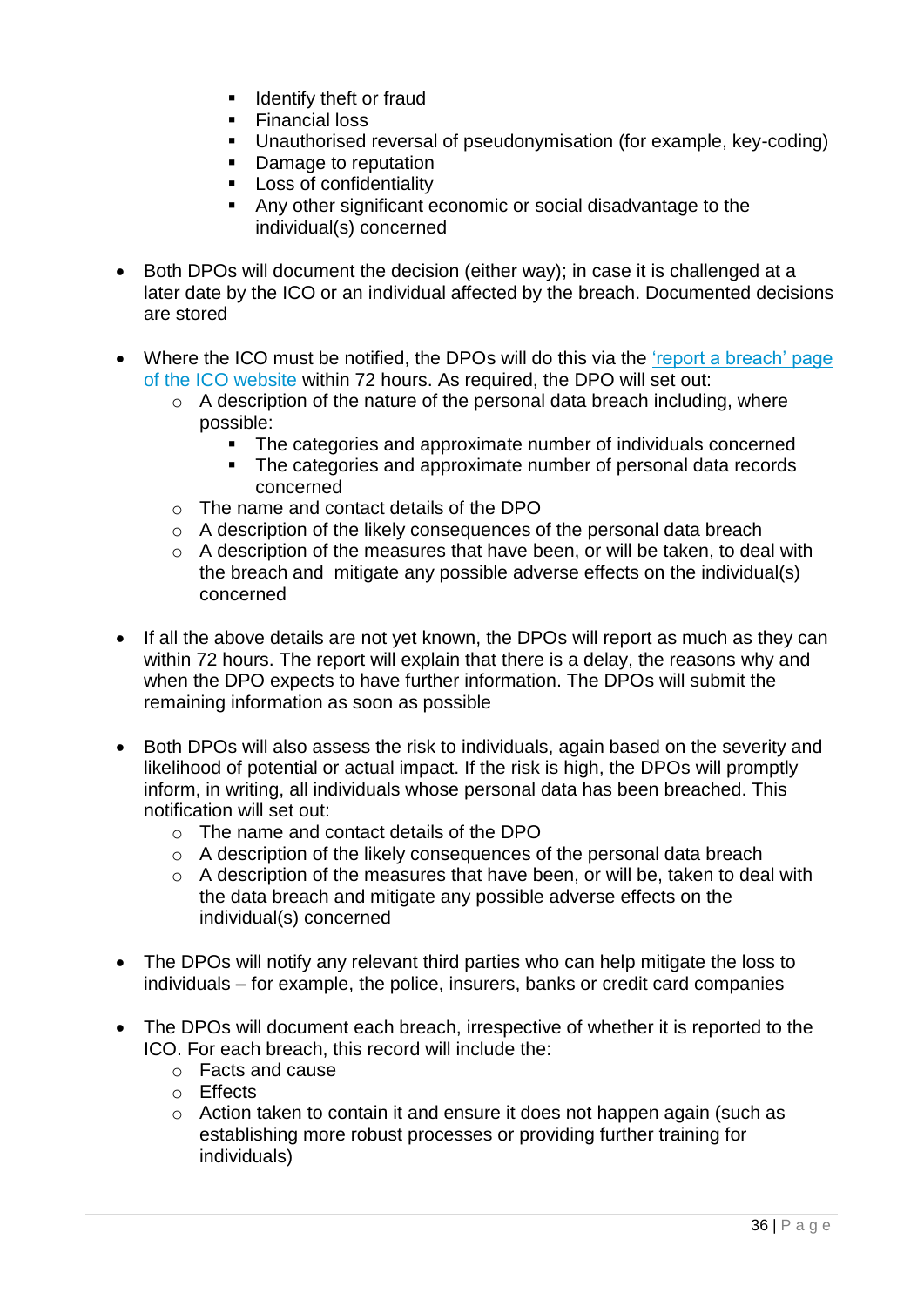- $\blacksquare$  Identify theft or fraud
- Financial loss
- Unauthorised reversal of pseudonymisation (for example, key-coding)
- Damage to reputation
- **Loss of confidentiality**
- Any other significant economic or social disadvantage to the individual(s) concerned
- Both DPOs will document the decision (either way); in case it is challenged at a later date by the ICO or an individual affected by the breach. Documented decisions are stored
- Where the ICO must be notified, the DPOs will do this via the 'report a breach' page [of the ICO website](https://ico.org.uk/for-organisations/report-a-breach/) within 72 hours. As required, the DPO will set out:
	- $\circ$  A description of the nature of the personal data breach including, where possible:
		- The categories and approximate number of individuals concerned
		- The categories and approximate number of personal data records concerned
	- o The name and contact details of the DPO
	- o A description of the likely consequences of the personal data breach
	- o A description of the measures that have been, or will be taken, to deal with the breach and mitigate any possible adverse effects on the individual(s) concerned
- If all the above details are not yet known, the DPOs will report as much as they can within 72 hours. The report will explain that there is a delay, the reasons why and when the DPO expects to have further information. The DPOs will submit the remaining information as soon as possible
- Both DPOs will also assess the risk to individuals, again based on the severity and likelihood of potential or actual impact. If the risk is high, the DPOs will promptly inform, in writing, all individuals whose personal data has been breached. This notification will set out:
	- o The name and contact details of the DPO
	- o A description of the likely consequences of the personal data breach
	- o A description of the measures that have been, or will be, taken to deal with the data breach and mitigate any possible adverse effects on the individual(s) concerned
- The DPOs will notify any relevant third parties who can help mitigate the loss to individuals – for example, the police, insurers, banks or credit card companies
- The DPOs will document each breach, irrespective of whether it is reported to the ICO. For each breach, this record will include the:
	- o Facts and cause
	- o Effects
	- o Action taken to contain it and ensure it does not happen again (such as establishing more robust processes or providing further training for individuals)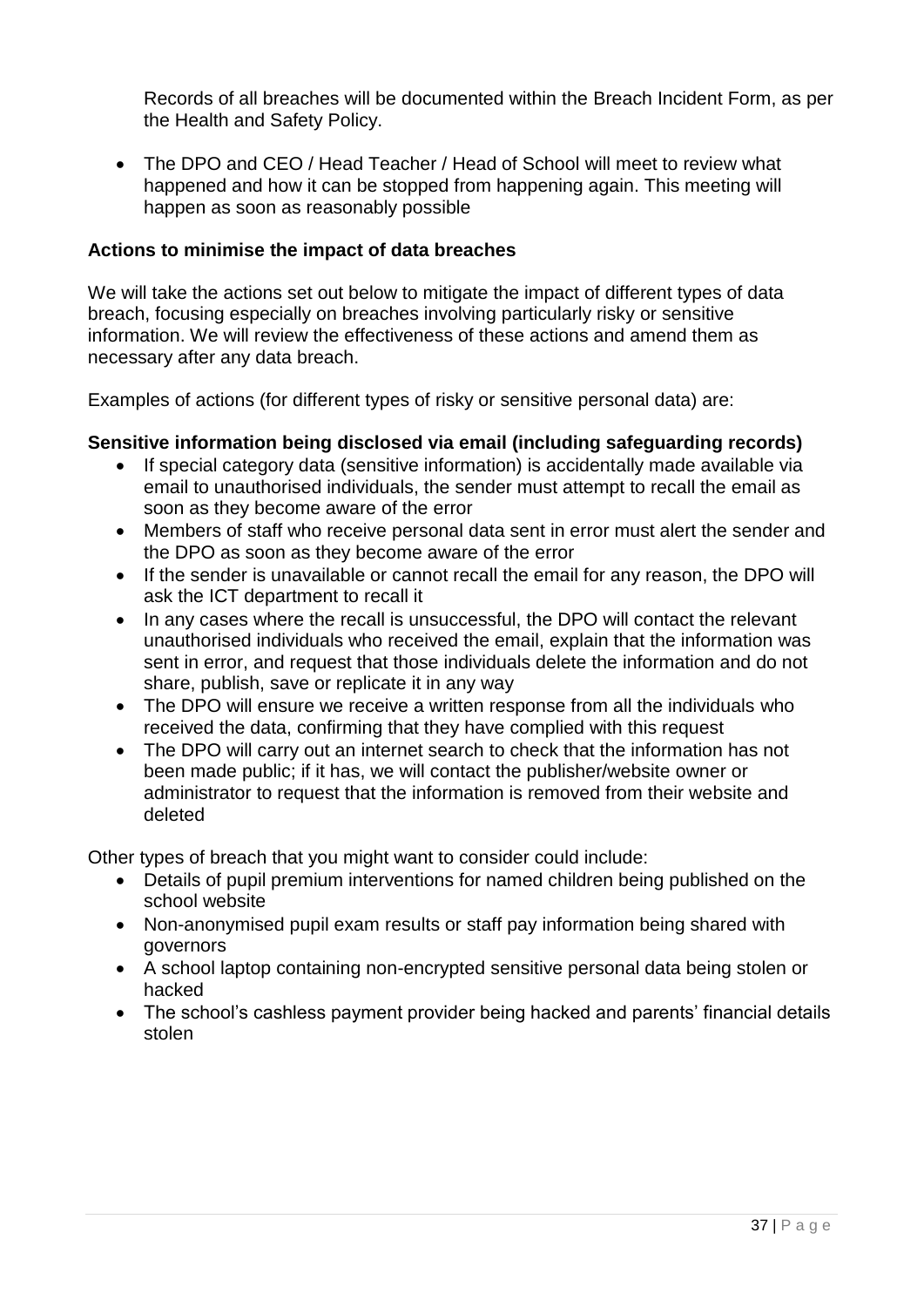Records of all breaches will be documented within the Breach Incident Form, as per the Health and Safety Policy.

 The DPO and CEO / Head Teacher / Head of School will meet to review what happened and how it can be stopped from happening again. This meeting will happen as soon as reasonably possible

### **Actions to minimise the impact of data breaches**

We will take the actions set out below to mitigate the impact of different types of data breach, focusing especially on breaches involving particularly risky or sensitive information. We will review the effectiveness of these actions and amend them as necessary after any data breach.

Examples of actions (for different types of risky or sensitive personal data) are:

### **Sensitive information being disclosed via email (including safeguarding records)**

- If special category data (sensitive information) is accidentally made available via email to unauthorised individuals, the sender must attempt to recall the email as soon as they become aware of the error
- Members of staff who receive personal data sent in error must alert the sender and the DPO as soon as they become aware of the error
- If the sender is unavailable or cannot recall the email for any reason, the DPO will ask the ICT department to recall it
- In any cases where the recall is unsuccessful, the DPO will contact the relevant unauthorised individuals who received the email, explain that the information was sent in error, and request that those individuals delete the information and do not share, publish, save or replicate it in any way
- The DPO will ensure we receive a written response from all the individuals who received the data, confirming that they have complied with this request
- The DPO will carry out an internet search to check that the information has not been made public; if it has, we will contact the publisher/website owner or administrator to request that the information is removed from their website and deleted

Other types of breach that you might want to consider could include:

- Details of pupil premium interventions for named children being published on the school website
- Non-anonymised pupil exam results or staff pay information being shared with governors
- A school laptop containing non-encrypted sensitive personal data being stolen or hacked
- The school's cashless payment provider being hacked and parents' financial details stolen